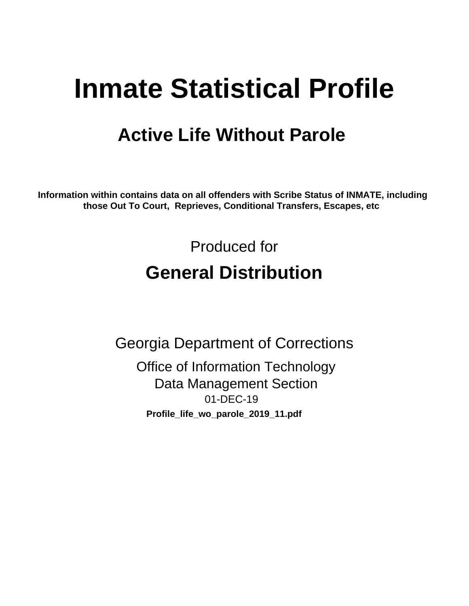# **Inmate Statistical Profile**

## **Active Life Without Parole**

Information within contains data on all offenders with Scribe Status of INMATE, including those Out To Court, Reprieves, Conditional Transfers, Escapes, etc

> Produced for **General Distribution**

**Georgia Department of Corrections Office of Information Technology Data Management Section** 01-DEC-19 Profile\_life\_wo\_parole\_2019\_11.pdf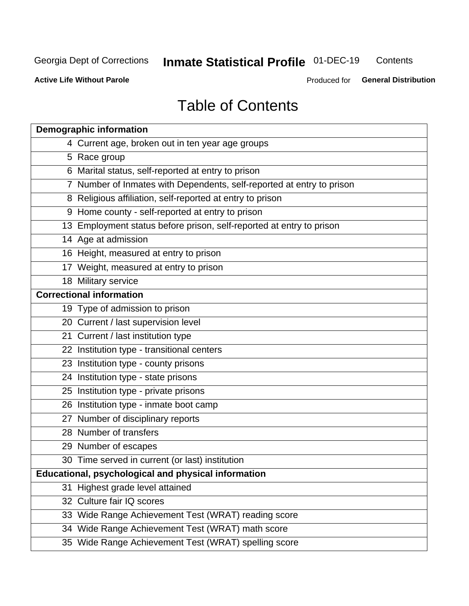#### **Inmate Statistical Profile 01-DEC-19** Contents

**Active Life Without Parole** 

Produced for General Distribution

## **Table of Contents**

|    | <b>Demographic information</b>                                        |
|----|-----------------------------------------------------------------------|
|    | 4 Current age, broken out in ten year age groups                      |
|    | 5 Race group                                                          |
|    | 6 Marital status, self-reported at entry to prison                    |
|    | 7 Number of Inmates with Dependents, self-reported at entry to prison |
|    | 8 Religious affiliation, self-reported at entry to prison             |
|    | 9 Home county - self-reported at entry to prison                      |
|    | 13 Employment status before prison, self-reported at entry to prison  |
|    | 14 Age at admission                                                   |
|    | 16 Height, measured at entry to prison                                |
|    | 17 Weight, measured at entry to prison                                |
|    | 18 Military service                                                   |
|    | <b>Correctional information</b>                                       |
|    | 19 Type of admission to prison                                        |
|    | 20 Current / last supervision level                                   |
|    | 21 Current / last institution type                                    |
|    | 22 Institution type - transitional centers                            |
|    | 23 Institution type - county prisons                                  |
|    | 24 Institution type - state prisons                                   |
|    | 25 Institution type - private prisons                                 |
|    | 26 Institution type - inmate boot camp                                |
|    | 27 Number of disciplinary reports                                     |
|    | 28 Number of transfers                                                |
|    | 29 Number of escapes                                                  |
|    | 30 Time served in current (or last) institution                       |
|    | Educational, psychological and physical information                   |
| 31 | Highest grade level attained                                          |
|    | 32 Culture fair IQ scores                                             |
|    | 33 Wide Range Achievement Test (WRAT) reading score                   |
|    | 34 Wide Range Achievement Test (WRAT) math score                      |
|    | 35 Wide Range Achievement Test (WRAT) spelling score                  |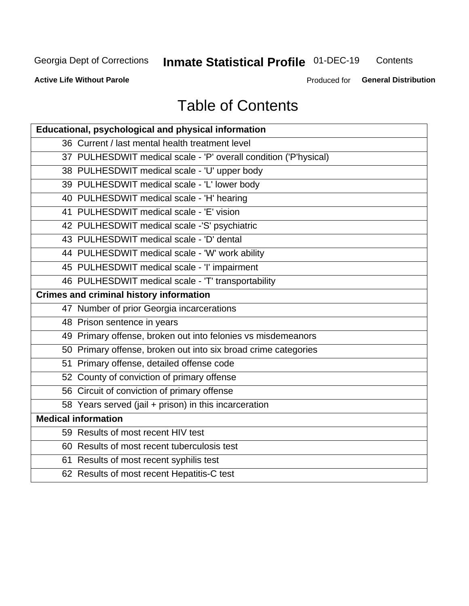## **Inmate Statistical Profile 01-DEC-19**

Contents

**Active Life Without Parole** 

Produced for General Distribution

## **Table of Contents**

| <b>Educational, psychological and physical information</b>       |
|------------------------------------------------------------------|
| 36 Current / last mental health treatment level                  |
| 37 PULHESDWIT medical scale - 'P' overall condition ('P'hysical) |
| 38 PULHESDWIT medical scale - 'U' upper body                     |
| 39 PULHESDWIT medical scale - 'L' lower body                     |
| 40 PULHESDWIT medical scale - 'H' hearing                        |
| 41 PULHESDWIT medical scale - 'E' vision                         |
| 42 PULHESDWIT medical scale -'S' psychiatric                     |
| 43 PULHESDWIT medical scale - 'D' dental                         |
| 44 PULHESDWIT medical scale - 'W' work ability                   |
| 45 PULHESDWIT medical scale - 'I' impairment                     |
| 46 PULHESDWIT medical scale - 'T' transportability               |
| <b>Crimes and criminal history information</b>                   |
| 47 Number of prior Georgia incarcerations                        |
| 48 Prison sentence in years                                      |
| 49 Primary offense, broken out into felonies vs misdemeanors     |
| 50 Primary offense, broken out into six broad crime categories   |
| 51 Primary offense, detailed offense code                        |
| 52 County of conviction of primary offense                       |
| 56 Circuit of conviction of primary offense                      |
| 58 Years served (jail + prison) in this incarceration            |
| <b>Medical information</b>                                       |
| 59 Results of most recent HIV test                               |
| 60 Results of most recent tuberculosis test                      |
| 61 Results of most recent syphilis test                          |
| 62 Results of most recent Hepatitis-C test                       |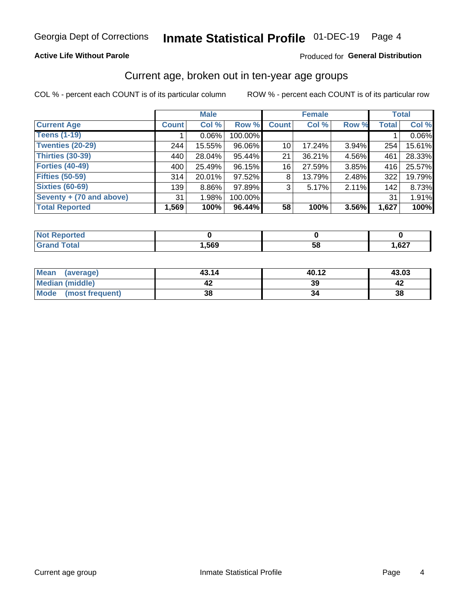#### **Active Life Without Parole**

#### Produced for General Distribution

### Current age, broken out in ten-year age groups

COL % - percent each COUNT is of its particular column

|                          | <b>Male</b>  |          |         |                 | <b>Female</b> |          |              | <b>Total</b> |
|--------------------------|--------------|----------|---------|-----------------|---------------|----------|--------------|--------------|
| <b>Current Age</b>       | <b>Count</b> | Col %    | Row %   | <b>Count</b>    | Col %         | Row %    | <b>Total</b> | Col %        |
| <b>Teens (1-19)</b>      |              | $0.06\%$ | 100.00% |                 |               |          |              | 0.06%        |
| <b>Twenties (20-29)</b>  | 244          | 15.55%   | 96.06%  | 10 <sup>1</sup> | 17.24%        | $3.94\%$ | 254          | 15.61%       |
| Thirties (30-39)         | 440          | 28.04%   | 95.44%  | 21              | 36.21%        | 4.56%    | 461          | 28.33%       |
| <b>Forties (40-49)</b>   | 400          | 25.49%   | 96.15%  | 16              | 27.59%        | 3.85%    | 416          | 25.57%       |
| <b>Fifties (50-59)</b>   | 314          | 20.01%   | 97.52%  | 8               | 13.79%        | 2.48%    | 322          | 19.79%       |
| <b>Sixties (60-69)</b>   | 139          | $8.86\%$ | 97.89%  | 3               | 5.17%         | 2.11%    | 142          | 8.73%        |
| Seventy + (70 and above) | 31           | 1.98%    | 100.00% |                 |               |          | 31           | 1.91%        |
| <b>Total Reported</b>    | 1,569        | 100%     | 96.44%  | 58              | 100%          | $3.56\%$ | 1,627        | 100%         |

| المترات المترات |      |          |             |
|-----------------|------|----------|-------------|
| $C = 4 - 7$     | ,569 | co<br>วด | 627<br>,027 |

| Mean<br>(average)    | 43.14 | 40.12 | 43.03 |
|----------------------|-------|-------|-------|
| Median (middle)      |       | 39    |       |
| Mode (most frequent) | 38    |       | 38    |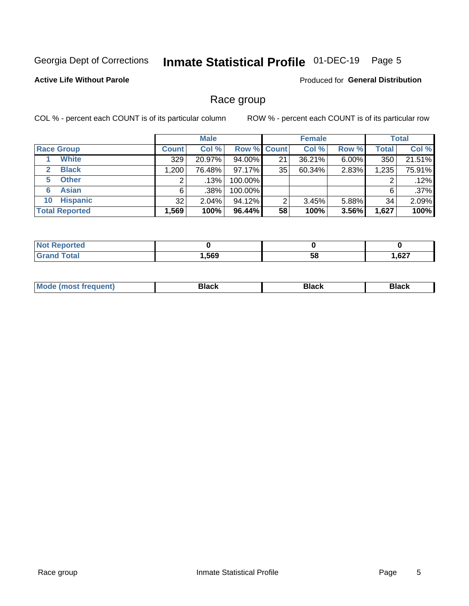#### Inmate Statistical Profile 01-DEC-19 Page 5

#### **Active Life Without Parole**

Produced for General Distribution

### Race group

COL % - percent each COUNT is of its particular column

|                              | <b>Male</b>  |          |           | <b>Female</b>      |        |          | <b>Total</b> |        |
|------------------------------|--------------|----------|-----------|--------------------|--------|----------|--------------|--------|
| <b>Race Group</b>            | <b>Count</b> | Col %    |           | <b>Row % Count</b> | Col %  | Row %    | Total        | Col %  |
| <b>White</b>                 | 329          | 20.97%   | 94.00%    | 21                 | 36.21% | 6.00%    | 350          | 21.51% |
| <b>Black</b><br>$\mathbf{2}$ | 1,200        | 76.48%   | $97.17\%$ | 35                 | 60.34% | 2.83%    | 1,235        | 75.91% |
| <b>Other</b><br>5.           |              | .13%     | 100.00%   |                    |        |          | 2            | .12%   |
| <b>Asian</b><br>6            | 6            | .38%     | 100.00%   |                    |        |          | 6            | .37%   |
| <b>Hispanic</b><br>10        | 32           | $2.04\%$ | 94.12%    | ົ                  | 3.45%  | $5.88\%$ | 34           | 2.09%  |
| <b>Total Reported</b>        | 1,569        | 100%     | 96.44%    | 58                 | 100%   | 3.56%    | 1,627        | 100%   |

| <b>Continued In the Continued In the Continued Inc.</b><br>тео |      |    |      |
|----------------------------------------------------------------|------|----|------|
| <b>Total</b>                                                   | ,569 | ာင | ,627 |

| маст |  | M |  |  |  |
|------|--|---|--|--|--|
|------|--|---|--|--|--|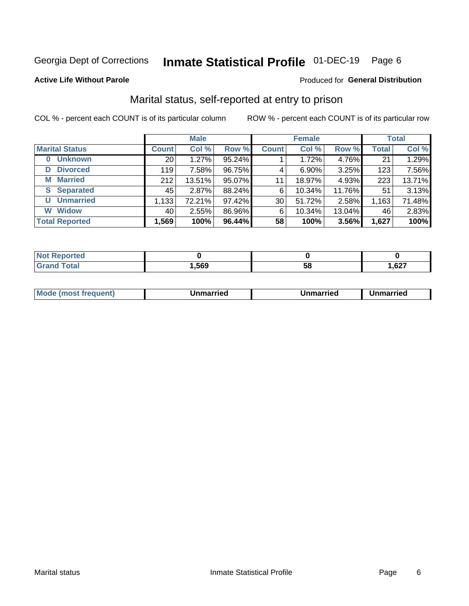#### Inmate Statistical Profile 01-DEC-19 Page 6

#### **Active Life Without Parole**

#### Produced for General Distribution

## Marital status, self-reported at entry to prison

COL % - percent each COUNT is of its particular column

|                            | <b>Male</b>     |        |        | <b>Female</b> |          |        | <b>Total</b> |        |
|----------------------------|-----------------|--------|--------|---------------|----------|--------|--------------|--------|
| <b>Marital Status</b>      | <b>Count</b>    | Col %  | Row %  | <b>Count</b>  | Col %    | Row %  | <b>Total</b> | Col %  |
| <b>Unknown</b><br>$\bf{0}$ | 20 <sub>1</sub> | 1.27%  | 95.24% |               | 1.72%    | 4.76%  | 21           | 1.29%  |
| <b>Divorced</b><br>D       | 119             | 7.58%  | 96.75% | 4             | $6.90\%$ | 3.25%  | 123          | 7.56%  |
| <b>Married</b><br>М        | 212             | 13.51% | 95.07% | 11            | 18.97%   | 4.93%  | 223          | 13.71% |
| <b>S</b> Separated         | 45              | 2.87%  | 88.24% | 6             | 10.34%   | 11.76% | 51           | 3.13%  |
| <b>Unmarried</b><br>U      | 1,133           | 72.21% | 97.42% | 30            | 51.72%   | 2.58%  | 1,163        | 71.48% |
| <b>Widow</b><br>W          | 40              | 2.55%  | 86.96% | 6             | 10.34%   | 13.04% | 46           | 2.83%  |
| <b>Total Reported</b>      | 1,569           | 100%   | 96.44% | 58            | 100%     | 3.56%  | 1,627        | 100%   |

| prted<br>NOT |      |    |              |
|--------------|------|----|--------------|
| <b>Total</b> | ,569 | ວດ | 1,627<br>--- |

|  | M | . | Unmarried | າmarried<br>_____ |
|--|---|---|-----------|-------------------|
|--|---|---|-----------|-------------------|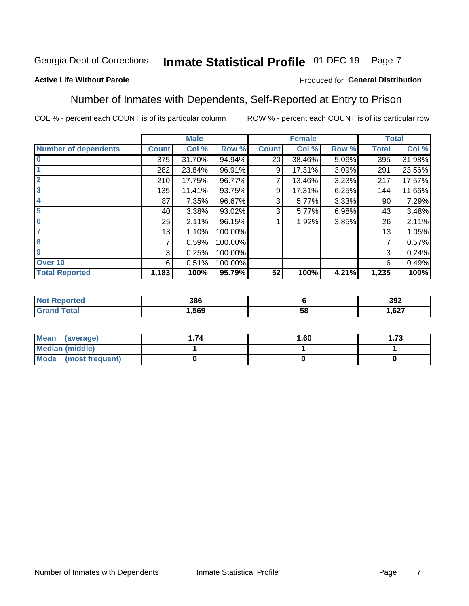#### Inmate Statistical Profile 01-DEC-19 Page 7

#### **Active Life Without Parole**

#### Produced for General Distribution

### Number of Inmates with Dependents, Self-Reported at Entry to Prison

COL % - percent each COUNT is of its particular column

|                             |              | <b>Male</b> |         |              | <b>Female</b> |       |              | <b>Total</b> |
|-----------------------------|--------------|-------------|---------|--------------|---------------|-------|--------------|--------------|
| <b>Number of dependents</b> | <b>Count</b> | Col %       | Row %   | <b>Count</b> | Col %         | Row % | <b>Total</b> | Col %        |
| $\bf{0}$                    | 375          | 31.70%      | 94.94%  | 20           | 38.46%        | 5.06% | 395          | 31.98%       |
|                             | 282          | 23.84%      | 96.91%  | 9            | 17.31%        | 3.09% | 291          | 23.56%       |
| $\overline{2}$              | 210          | 17.75%      | 96.77%  | 7            | 13.46%        | 3.23% | 217          | 17.57%       |
| 3                           | 135          | 11.41%      | 93.75%  | 9            | 17.31%        | 6.25% | 144          | 11.66%       |
| 4                           | 87           | 7.35%       | 96.67%  | 3            | 5.77%         | 3.33% | 90           | 7.29%        |
| 5                           | 40           | 3.38%       | 93.02%  | 3            | 5.77%         | 6.98% | 43           | 3.48%        |
| 6                           | 25           | 2.11%       | 96.15%  |              | 1.92%         | 3.85% | 26           | 2.11%        |
| 7                           | 13           | 1.10%       | 100.00% |              |               |       | 13           | 1.05%        |
| 8                           | 7            | 0.59%       | 100.00% |              |               |       | 7            | 0.57%        |
| $\boldsymbol{9}$            | 3            | 0.25%       | 100.00% |              |               |       | 3            | 0.24%        |
| Over 10                     | 6            | 0.51%       | 100.00% |              |               |       | 6            | 0.49%        |
| <b>Total Reported</b>       | 1,183        | 100%        | 95.79%  | 52           | 100%          | 4.21% | 1,235        | 100%         |

| 386  |          | 392                      |
|------|----------|--------------------------|
| ,569 | . .<br>◡ | $\sim$ 00 $-$<br>/ 2ס, ا |

| <b>Mean</b><br>(average) | 1.60 | - 72<br>I. I J |
|--------------------------|------|----------------|
| Median (middle)          |      |                |
| Mode<br>(most frequent)  |      |                |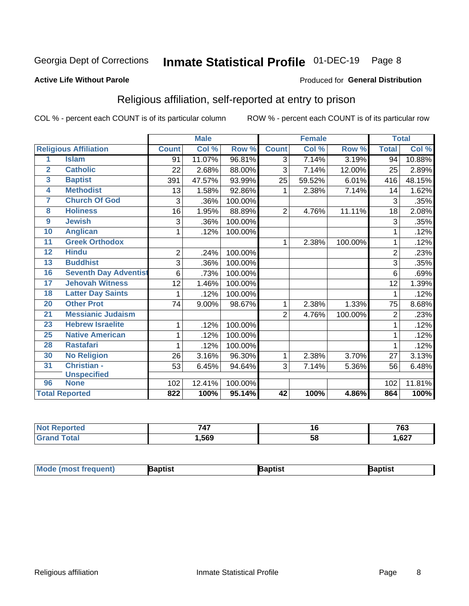#### Inmate Statistical Profile 01-DEC-19 Page 8

#### **Active Life Without Parole**

#### Produced for General Distribution

## Religious affiliation, self-reported at entry to prison

COL % - percent each COUNT is of its particular column

|                         |                              |                | <b>Male</b> |         |                | <b>Female</b> |         |                | <b>Total</b> |
|-------------------------|------------------------------|----------------|-------------|---------|----------------|---------------|---------|----------------|--------------|
|                         | <b>Religious Affiliation</b> | <b>Count</b>   | Col %       | Row %   | <b>Count</b>   | Col %         | Row %   | <b>Total</b>   | Col %        |
| 1                       | <b>Islam</b>                 | 91             | 11.07%      | 96.81%  | $\overline{3}$ | 7.14%         | 3.19%   | 94             | 10.88%       |
| $\overline{2}$          | <b>Catholic</b>              | 22             | 2.68%       | 88.00%  | 3              | 7.14%         | 12.00%  | 25             | 2.89%        |
| $\overline{\mathbf{3}}$ | <b>Baptist</b>               | 391            | 47.57%      | 93.99%  | 25             | 59.52%        | 6.01%   | 416            | 48.15%       |
| $\overline{\mathbf{4}}$ | <b>Methodist</b>             | 13             | 1.58%       | 92.86%  | 1              | 2.38%         | 7.14%   | 14             | 1.62%        |
| 7                       | <b>Church Of God</b>         | 3              | .36%        | 100.00% |                |               |         | 3              | .35%         |
| 8                       | <b>Holiness</b>              | 16             | 1.95%       | 88.89%  | $\overline{2}$ | 4.76%         | 11.11%  | 18             | 2.08%        |
| $\overline{9}$          | <b>Jewish</b>                | 3              | .36%        | 100.00% |                |               |         | 3              | .35%         |
| 10                      | <b>Anglican</b>              | 1              | .12%        | 100.00% |                |               |         |                | .12%         |
| 11                      | <b>Greek Orthodox</b>        |                |             |         | 1              | 2.38%         | 100.00% |                | .12%         |
| 12                      | <b>Hindu</b>                 | $\overline{2}$ | .24%        | 100.00% |                |               |         | $\overline{2}$ | .23%         |
| 13                      | <b>Buddhist</b>              | 3              | .36%        | 100.00% |                |               |         | 3              | .35%         |
| 16                      | <b>Seventh Day Adventist</b> | 6              | .73%        | 100.00% |                |               |         | 6              | .69%         |
| 17                      | <b>Jehovah Witness</b>       | 12             | 1.46%       | 100.00% |                |               |         | 12             | 1.39%        |
| 18                      | <b>Latter Day Saints</b>     | 1              | .12%        | 100.00% |                |               |         |                | .12%         |
| 20                      | <b>Other Prot</b>            | 74             | 9.00%       | 98.67%  | 1              | 2.38%         | 1.33%   | 75             | 8.68%        |
| $\overline{21}$         | <b>Messianic Judaism</b>     |                |             |         | $\overline{2}$ | 4.76%         | 100.00% | $\overline{2}$ | .23%         |
| 23                      | <b>Hebrew Israelite</b>      | 1              | .12%        | 100.00% |                |               |         |                | .12%         |
| 25                      | <b>Native American</b>       | 1              | .12%        | 100.00% |                |               |         |                | .12%         |
| 28                      | <b>Rastafari</b>             | 1              | .12%        | 100.00% |                |               |         |                | .12%         |
| 30                      | <b>No Religion</b>           | 26             | 3.16%       | 96.30%  | 1              | 2.38%         | 3.70%   | 27             | 3.13%        |
| 31                      | Christian -                  | 53             | 6.45%       | 94.64%  | 3              | 7.14%         | 5.36%   | 56             | 6.48%        |
|                         | <b>Unspecified</b>           |                |             |         |                |               |         |                |              |
| 96                      | <b>None</b>                  | 102            | 12.41%      | 100.00% |                |               |         | 102            | 11.81%       |
|                         | <b>Total Reported</b>        | 822            | 100%        | 95.14%  | 42             | 100%          | 4.86%   | 864            | 100%         |

| ---<br><b>TI</b> | 10 | 763             |
|------------------|----|-----------------|
| .569             | ວດ | $\sim$<br>. .oz |

| Mode (most frequent)<br>3aptist<br>3aptist<br>ˈaɒtist |
|-------------------------------------------------------|
|-------------------------------------------------------|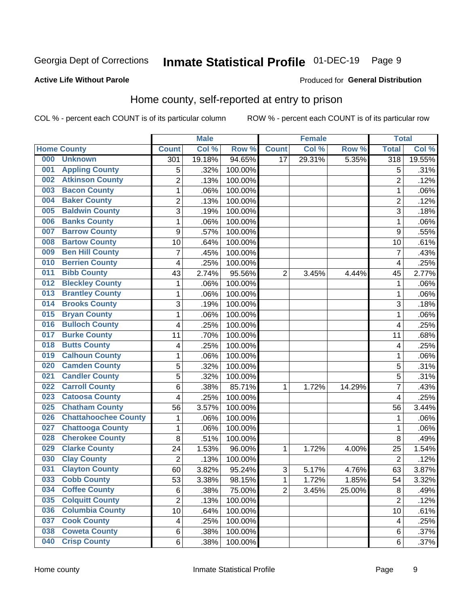#### Inmate Statistical Profile 01-DEC-19 Page 9

#### **Active Life Without Parole**

#### Produced for General Distribution

## Home county, self-reported at entry to prison

COL % - percent each COUNT is of its particular column

|     |                             |                | <b>Male</b> |         |                | <b>Female</b> |        | <b>Total</b>            |        |
|-----|-----------------------------|----------------|-------------|---------|----------------|---------------|--------|-------------------------|--------|
|     | <b>Home County</b>          | <b>Count</b>   | Col %       | Row %   | <b>Count</b>   | Col %         | Row %  | <b>Total</b>            | Col %  |
| 000 | <b>Unknown</b>              | 301            | 19.18%      | 94.65%  | 17             | 29.31%        | 5.35%  | 318                     | 19.55% |
| 001 | <b>Appling County</b>       | 5              | .32%        | 100.00% |                |               |        | 5                       | .31%   |
| 002 | <b>Atkinson County</b>      | $\overline{2}$ | .13%        | 100.00% |                |               |        | $\overline{2}$          | .12%   |
| 003 | <b>Bacon County</b>         | $\mathbf 1$    | .06%        | 100.00% |                |               |        | 1                       | .06%   |
| 004 | <b>Baker County</b>         | $\overline{2}$ | .13%        | 100.00% |                |               |        | $\overline{2}$          | .12%   |
| 005 | <b>Baldwin County</b>       | 3              | .19%        | 100.00% |                |               |        | 3                       | .18%   |
| 006 | <b>Banks County</b>         | $\mathbf{1}$   | .06%        | 100.00% |                |               |        | 1                       | .06%   |
| 007 | <b>Barrow County</b>        | 9              | .57%        | 100.00% |                |               |        | 9                       | .55%   |
| 008 | <b>Bartow County</b>        | 10             | .64%        | 100.00% |                |               |        | 10                      | .61%   |
| 009 | <b>Ben Hill County</b>      | $\overline{7}$ | .45%        | 100.00% |                |               |        | 7                       | .43%   |
| 010 | <b>Berrien County</b>       | 4              | .25%        | 100.00% |                |               |        | $\overline{\mathbf{4}}$ | .25%   |
| 011 | <b>Bibb County</b>          | 43             | 2.74%       | 95.56%  | $\overline{2}$ | 3.45%         | 4.44%  | 45                      | 2.77%  |
| 012 | <b>Bleckley County</b>      | 1              | .06%        | 100.00% |                |               |        | 1                       | .06%   |
| 013 | <b>Brantley County</b>      | $\mathbf 1$    | .06%        | 100.00% |                |               |        | 1                       | .06%   |
| 014 | <b>Brooks County</b>        | 3              | .19%        | 100.00% |                |               |        | 3                       | .18%   |
| 015 | <b>Bryan County</b>         | $\mathbf{1}$   | .06%        | 100.00% |                |               |        | 1                       | .06%   |
| 016 | <b>Bulloch County</b>       | 4              | .25%        | 100.00% |                |               |        | $\overline{4}$          | .25%   |
| 017 | <b>Burke County</b>         | 11             | .70%        | 100.00% |                |               |        | 11                      | .68%   |
| 018 | <b>Butts County</b>         | 4              | .25%        | 100.00% |                |               |        | 4                       | .25%   |
| 019 | <b>Calhoun County</b>       | $\mathbf 1$    | .06%        | 100.00% |                |               |        | 1                       | .06%   |
| 020 | <b>Camden County</b>        | 5              | .32%        | 100.00% |                |               |        | 5                       | .31%   |
| 021 | <b>Candler County</b>       | 5              | .32%        | 100.00% |                |               |        | 5                       | .31%   |
| 022 | <b>Carroll County</b>       | 6              | .38%        | 85.71%  | 1              | 1.72%         | 14.29% | 7                       | .43%   |
| 023 | <b>Catoosa County</b>       | 4              | .25%        | 100.00% |                |               |        | 4                       | .25%   |
| 025 | <b>Chatham County</b>       | 56             | 3.57%       | 100.00% |                |               |        | 56                      | 3.44%  |
| 026 | <b>Chattahoochee County</b> | $\mathbf 1$    | .06%        | 100.00% |                |               |        | 1                       | .06%   |
| 027 | <b>Chattooga County</b>     | $\mathbf 1$    | .06%        | 100.00% |                |               |        | 1                       | .06%   |
| 028 | <b>Cherokee County</b>      | 8              | .51%        | 100.00% |                |               |        | 8                       | .49%   |
| 029 | <b>Clarke County</b>        | 24             | 1.53%       | 96.00%  | 1              | 1.72%         | 4.00%  | 25                      | 1.54%  |
| 030 | <b>Clay County</b>          | $\overline{2}$ | .13%        | 100.00% |                |               |        | $\overline{2}$          | .12%   |
| 031 | <b>Clayton County</b>       | 60             | 3.82%       | 95.24%  | $\sqrt{3}$     | 5.17%         | 4.76%  | 63                      | 3.87%  |
| 033 | <b>Cobb County</b>          | 53             | 3.38%       | 98.15%  | 1              | 1.72%         | 1.85%  | 54                      | 3.32%  |
| 034 | <b>Coffee County</b>        | 6              | .38%        | 75.00%  | $\overline{2}$ | 3.45%         | 25.00% | 8                       | .49%   |
| 035 | <b>Colquitt County</b>      | $\overline{2}$ | .13%        | 100.00% |                |               |        | $\overline{2}$          | .12%   |
| 036 | <b>Columbia County</b>      | 10             | .64%        | 100.00% |                |               |        | 10                      | .61%   |
| 037 | <b>Cook County</b>          | 4              | .25%        | 100.00% |                |               |        | 4                       | .25%   |
| 038 | <b>Coweta County</b>        | 6              | .38%        | 100.00% |                |               |        | 6                       | .37%   |
| 040 | <b>Crisp County</b>         | 6              | .38%        | 100.00% |                |               |        | 6                       | .37%   |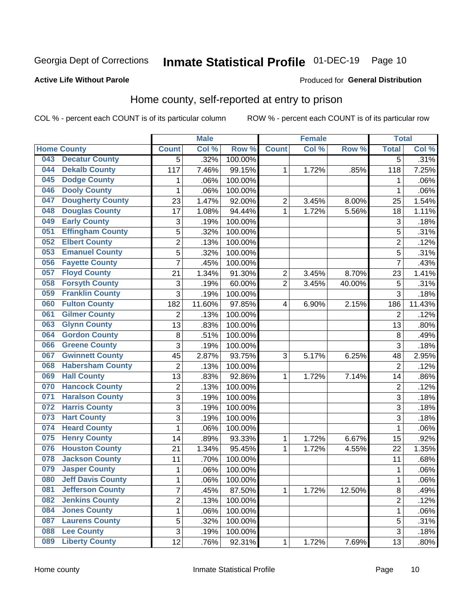## Inmate Statistical Profile 01-DEC-19 Page 10

#### **Active Life Without Parole**

#### Produced for General Distribution

## Home county, self-reported at entry to prison

COL % - percent each COUNT is of its particular column

|     |                          |                | <b>Male</b> |         |                | <b>Female</b> |        | <b>Total</b>   |        |
|-----|--------------------------|----------------|-------------|---------|----------------|---------------|--------|----------------|--------|
|     | <b>Home County</b>       | <b>Count</b>   | Col %       | Row %   | <b>Count</b>   | Col %         | Row %  | <b>Total</b>   | Col %  |
| 043 | <b>Decatur County</b>    | 5              | .32%        | 100.00% |                |               |        | 5              | .31%   |
| 044 | <b>Dekalb County</b>     | 117            | 7.46%       | 99.15%  | 1              | 1.72%         | .85%   | 118            | 7.25%  |
| 045 | <b>Dodge County</b>      | 1              | .06%        | 100.00% |                |               |        | 1              | .06%   |
| 046 | <b>Dooly County</b>      | 1              | .06%        | 100.00% |                |               |        | 1              | .06%   |
| 047 | <b>Dougherty County</b>  | 23             | 1.47%       | 92.00%  | $\overline{2}$ | 3.45%         | 8.00%  | 25             | 1.54%  |
| 048 | <b>Douglas County</b>    | 17             | 1.08%       | 94.44%  | 1              | 1.72%         | 5.56%  | 18             | 1.11%  |
| 049 | <b>Early County</b>      | 3              | .19%        | 100.00% |                |               |        | 3              | .18%   |
| 051 | <b>Effingham County</b>  | 5              | .32%        | 100.00% |                |               |        | 5              | .31%   |
| 052 | <b>Elbert County</b>     | $\overline{2}$ | .13%        | 100.00% |                |               |        | $\overline{2}$ | .12%   |
| 053 | <b>Emanuel County</b>    | 5              | .32%        | 100.00% |                |               |        | 5              | .31%   |
| 056 | <b>Fayette County</b>    | $\overline{7}$ | .45%        | 100.00% |                |               |        | $\overline{7}$ | .43%   |
| 057 | <b>Floyd County</b>      | 21             | 1.34%       | 91.30%  | $\overline{2}$ | 3.45%         | 8.70%  | 23             | 1.41%  |
| 058 | <b>Forsyth County</b>    | 3              | .19%        | 60.00%  | $\overline{2}$ | 3.45%         | 40.00% | 5              | .31%   |
| 059 | <b>Franklin County</b>   | 3              | .19%        | 100.00% |                |               |        | 3              | .18%   |
| 060 | <b>Fulton County</b>     | 182            | 11.60%      | 97.85%  | 4              | 6.90%         | 2.15%  | 186            | 11.43% |
| 061 | <b>Gilmer County</b>     | 2              | .13%        | 100.00% |                |               |        | $\overline{2}$ | .12%   |
| 063 | <b>Glynn County</b>      | 13             | .83%        | 100.00% |                |               |        | 13             | .80%   |
| 064 | <b>Gordon County</b>     | 8              | .51%        | 100.00% |                |               |        | 8              | .49%   |
| 066 | <b>Greene County</b>     | 3              | .19%        | 100.00% |                |               |        | 3              | .18%   |
| 067 | <b>Gwinnett County</b>   | 45             | 2.87%       | 93.75%  | 3              | 5.17%         | 6.25%  | 48             | 2.95%  |
| 068 | <b>Habersham County</b>  | $\overline{2}$ | .13%        | 100.00% |                |               |        | $\overline{2}$ | .12%   |
| 069 | <b>Hall County</b>       | 13             | .83%        | 92.86%  | 1              | 1.72%         | 7.14%  | 14             | .86%   |
| 070 | <b>Hancock County</b>    | $\overline{2}$ | .13%        | 100.00% |                |               |        | $\overline{2}$ | .12%   |
| 071 | <b>Haralson County</b>   | 3              | .19%        | 100.00% |                |               |        | 3              | .18%   |
| 072 | <b>Harris County</b>     | 3              | .19%        | 100.00% |                |               |        | 3              | .18%   |
| 073 | <b>Hart County</b>       | 3              | .19%        | 100.00% |                |               |        | 3              | .18%   |
| 074 | <b>Heard County</b>      | $\mathbf 1$    | .06%        | 100.00% |                |               |        | 1              | .06%   |
| 075 | <b>Henry County</b>      | 14             | .89%        | 93.33%  | 1              | 1.72%         | 6.67%  | 15             | .92%   |
| 076 | <b>Houston County</b>    | 21             | 1.34%       | 95.45%  | 1              | 1.72%         | 4.55%  | 22             | 1.35%  |
| 078 | <b>Jackson County</b>    | 11             | .70%        | 100.00% |                |               |        | 11             | .68%   |
| 079 | <b>Jasper County</b>     | 1              | .06%        | 100.00% |                |               |        | 1              | .06%   |
| 080 | <b>Jeff Davis County</b> | 1              | .06%        | 100.00% |                |               |        | 1              | .06%   |
| 081 | <b>Jefferson County</b>  | $\overline{7}$ | .45%        | 87.50%  | 1              | 1.72%         | 12.50% | 8              | .49%   |
| 082 | <b>Jenkins County</b>    | $\overline{2}$ | .13%        | 100.00% |                |               |        | $\overline{2}$ | .12%   |
| 084 | <b>Jones County</b>      | $\mathbf{1}$   | .06%        | 100.00% |                |               |        | 1              | .06%   |
| 087 | <b>Laurens County</b>    | 5              | .32%        | 100.00% |                |               |        | 5              | .31%   |
| 088 | <b>Lee County</b>        | 3              | .19%        | 100.00% |                |               |        | 3              | .18%   |
| 089 | <b>Liberty County</b>    | 12             | .76%        | 92.31%  | 1              | 1.72%         | 7.69%  | 13             | .80%   |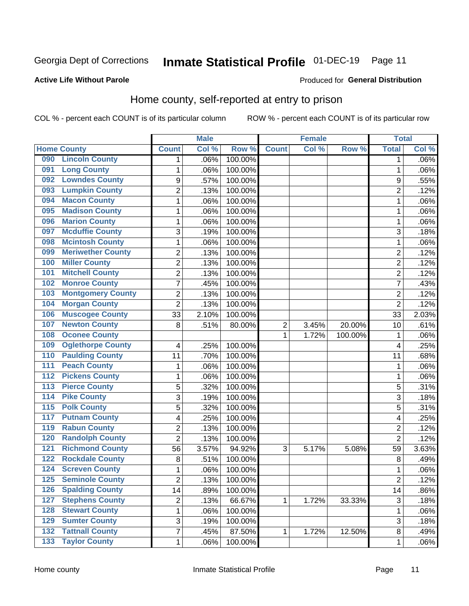## Inmate Statistical Profile 01-DEC-19 Page 11

#### **Active Life Without Parole**

#### Produced for General Distribution

### Home county, self-reported at entry to prison

COL % - percent each COUNT is of its particular column

|                  |                          |                | <b>Male</b> |         |                | <b>Female</b> |         | <b>Total</b>   |       |
|------------------|--------------------------|----------------|-------------|---------|----------------|---------------|---------|----------------|-------|
|                  | <b>Home County</b>       | <b>Count</b>   | Col %       | Row %   | <b>Count</b>   | Col %         | Row %   | <b>Total</b>   | Col % |
| 090              | <b>Lincoln County</b>    | 1              | .06%        | 100.00% |                |               |         | 1              | .06%  |
| 091              | <b>Long County</b>       | 1              | .06%        | 100.00% |                |               |         | 1              | .06%  |
| 092              | <b>Lowndes County</b>    | 9              | .57%        | 100.00% |                |               |         | 9              | .55%  |
| 093              | <b>Lumpkin County</b>    | $\overline{2}$ | .13%        | 100.00% |                |               |         | $\overline{2}$ | .12%  |
| 094              | <b>Macon County</b>      | $\mathbf 1$    | .06%        | 100.00% |                |               |         | 1              | .06%  |
| 095              | <b>Madison County</b>    | $\mathbf 1$    | .06%        | 100.00% |                |               |         | 1              | .06%  |
| 096              | <b>Marion County</b>     | $\mathbf 1$    | .06%        | 100.00% |                |               |         | 1              | .06%  |
| 097              | <b>Mcduffie County</b>   | 3              | .19%        | 100.00% |                |               |         | 3              | .18%  |
| 098              | <b>Mcintosh County</b>   | $\mathbf 1$    | .06%        | 100.00% |                |               |         | 1              | .06%  |
| 099              | <b>Meriwether County</b> | $\overline{c}$ | .13%        | 100.00% |                |               |         | $\overline{2}$ | .12%  |
| 100              | <b>Miller County</b>     | $\overline{c}$ | .13%        | 100.00% |                |               |         | $\overline{2}$ | .12%  |
| 101              | <b>Mitchell County</b>   | $\overline{2}$ | .13%        | 100.00% |                |               |         | $\overline{2}$ | .12%  |
| 102              | <b>Monroe County</b>     | 7              | .45%        | 100.00% |                |               |         | 7              | .43%  |
| 103              | <b>Montgomery County</b> | $\overline{c}$ | .13%        | 100.00% |                |               |         | $\overline{2}$ | .12%  |
| 104              | <b>Morgan County</b>     | $\overline{2}$ | .13%        | 100.00% |                |               |         | $\overline{2}$ | .12%  |
| 106              | <b>Muscogee County</b>   | 33             | 2.10%       | 100.00% |                |               |         | 33             | 2.03% |
| 107              | <b>Newton County</b>     | 8              | .51%        | 80.00%  | $\overline{2}$ | 3.45%         | 20.00%  | 10             | .61%  |
| 108              | <b>Oconee County</b>     |                |             |         | 1              | 1.72%         | 100.00% | 1              | .06%  |
| 109              | <b>Oglethorpe County</b> | 4              | .25%        | 100.00% |                |               |         | 4              | .25%  |
| 110              | <b>Paulding County</b>   | 11             | .70%        | 100.00% |                |               |         | 11             | .68%  |
| 111              | <b>Peach County</b>      | $\mathbf 1$    | .06%        | 100.00% |                |               |         | 1              | .06%  |
| $\overline{112}$ | <b>Pickens County</b>    | $\mathbf 1$    | .06%        | 100.00% |                |               |         | 1              | .06%  |
| 113              | <b>Pierce County</b>     | 5              | .32%        | 100.00% |                |               |         | 5              | .31%  |
| 114              | <b>Pike County</b>       | 3              | .19%        | 100.00% |                |               |         | 3              | .18%  |
| $\overline{115}$ | <b>Polk County</b>       | 5              | .32%        | 100.00% |                |               |         | 5              | .31%  |
| 117              | <b>Putnam County</b>     | 4              | .25%        | 100.00% |                |               |         | 4              | .25%  |
| 119              | <b>Rabun County</b>      | $\overline{2}$ | .13%        | 100.00% |                |               |         | $\overline{2}$ | .12%  |
| 120              | <b>Randolph County</b>   | $\overline{2}$ | .13%        | 100.00% |                |               |         | $\overline{2}$ | .12%  |
| 121              | <b>Richmond County</b>   | 56             | 3.57%       | 94.92%  | 3              | 5.17%         | 5.08%   | 59             | 3.63% |
| 122              | <b>Rockdale County</b>   | 8              | .51%        | 100.00% |                |               |         | $\, 8$         | .49%  |
| 124              | <b>Screven County</b>    | $\mathbf 1$    | .06%        | 100.00% |                |               |         | 1              | .06%  |
| 125              | <b>Seminole County</b>   | 2              | .13%        | 100.00% |                |               |         | 2              | .12%  |
| 126              | <b>Spalding County</b>   | 14             | .89%        | 100.00% |                |               |         | 14             | .86%  |
| 127              | <b>Stephens County</b>   | $\overline{c}$ | .13%        | 66.67%  | 1              | 1.72%         | 33.33%  | $\mathfrak{B}$ | .18%  |
| 128              | <b>Stewart County</b>    | $\mathbf{1}$   | .06%        | 100.00% |                |               |         | 1              | .06%  |
| 129              | <b>Sumter County</b>     | 3              | .19%        | 100.00% |                |               |         | 3              | .18%  |
| $\overline{132}$ | <b>Tattnall County</b>   | $\overline{7}$ | .45%        | 87.50%  | 1              | 1.72%         | 12.50%  | 8              | .49%  |
| $\overline{133}$ | <b>Taylor County</b>     | $\mathbf{1}$   | .06%        | 100.00% |                |               |         | 1              | .06%  |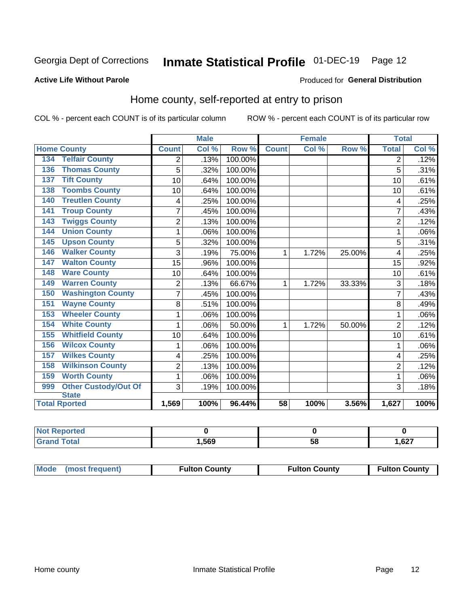## Inmate Statistical Profile 01-DEC-19 Page 12

#### **Active Life Without Parole**

#### Produced for General Distribution

### Home county, self-reported at entry to prison

COL % - percent each COUNT is of its particular column

|                                    |                | <b>Male</b> |         |              | <b>Female</b> |        | <b>Total</b>   |       |
|------------------------------------|----------------|-------------|---------|--------------|---------------|--------|----------------|-------|
| <b>Home County</b>                 | <b>Count</b>   | Col %       | Row %   | <b>Count</b> | Col %         | Row %  | <b>Total</b>   | Col % |
| <b>Telfair County</b><br>134       | 2              | .13%        | 100.00% |              |               |        | 2              | .12%  |
| <b>Thomas County</b><br>136        | 5              | .32%        | 100.00% |              |               |        | 5              | .31%  |
| <b>Tift County</b><br>137          | 10             | .64%        | 100.00% |              |               |        | 10             | .61%  |
| <b>Toombs County</b><br>138        | 10             | .64%        | 100.00% |              |               |        | 10             | .61%  |
| <b>Treutlen County</b><br>140      | 4              | .25%        | 100.00% |              |               |        | 4              | .25%  |
| <b>Troup County</b><br>141         | $\overline{7}$ | .45%        | 100.00% |              |               |        | 7              | .43%  |
| <b>Twiggs County</b><br>143        | $\overline{c}$ | .13%        | 100.00% |              |               |        | $\overline{2}$ | .12%  |
| <b>Union County</b><br>144         | 1              | .06%        | 100.00% |              |               |        |                | .06%  |
| <b>Upson County</b><br>145         | 5              | .32%        | 100.00% |              |               |        | 5              | .31%  |
| <b>Walker County</b><br>146        | 3              | .19%        | 75.00%  | 1            | 1.72%         | 25.00% | 4              | .25%  |
| <b>Walton County</b><br>147        | 15             | .96%        | 100.00% |              |               |        | 15             | .92%  |
| <b>Ware County</b><br>148          | 10             | .64%        | 100.00% |              |               |        | 10             | .61%  |
| <b>Warren County</b><br>149        | $\overline{2}$ | .13%        | 66.67%  | 1            | 1.72%         | 33.33% | 3              | .18%  |
| <b>Washington County</b><br>150    | 7              | .45%        | 100.00% |              |               |        |                | .43%  |
| <b>Wayne County</b><br>151         | 8              | .51%        | 100.00% |              |               |        | 8              | .49%  |
| <b>Wheeler County</b><br>153       | 1              | .06%        | 100.00% |              |               |        | 1              | .06%  |
| <b>White County</b><br>154         | 1              | .06%        | 50.00%  | 1            | 1.72%         | 50.00% | $\overline{2}$ | .12%  |
| <b>Whitfield County</b><br>155     | 10             | .64%        | 100.00% |              |               |        | 10             | .61%  |
| <b>Wilcox County</b><br>156        | 1              | .06%        | 100.00% |              |               |        |                | .06%  |
| <b>Wilkes County</b><br>157        | 4              | .25%        | 100.00% |              |               |        | 4              | .25%  |
| <b>Wilkinson County</b><br>158     | $\overline{2}$ | .13%        | 100.00% |              |               |        | $\overline{2}$ | .12%  |
| <b>Worth County</b><br>159         | 1              | .06%        | 100.00% |              |               |        | 1              | .06%  |
| <b>Other Custody/Out Of</b><br>999 | 3              | .19%        | 100.00% |              |               |        | 3              | .18%  |
| <b>State</b>                       |                |             |         |              |               |        |                |       |
| <b>Total Rported</b>               | 1,569          | 100%        | 96.44%  | 58           | 100%          | 3.56%  | 1,627          | 100%  |

| <b>Not Reported</b> |      |    |               |
|---------------------|------|----|---------------|
| <b>Total</b>        | ,569 | ວດ | ,627<br>$  -$ |

| Mode (most frequent) | <b>Fulton County</b> | <b>Fulton County</b> | <b>Fulton County</b> |
|----------------------|----------------------|----------------------|----------------------|
|----------------------|----------------------|----------------------|----------------------|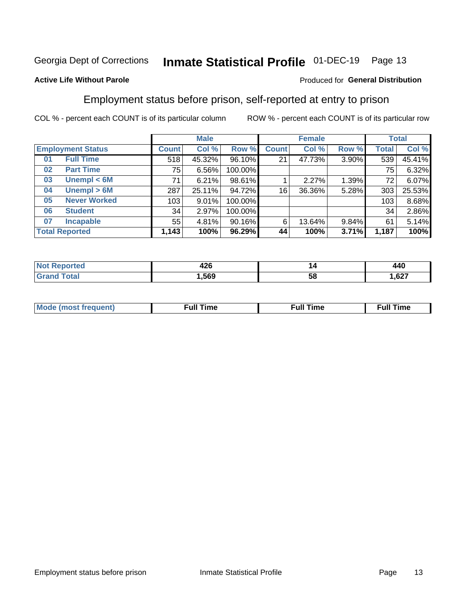#### Inmate Statistical Profile 01-DEC-19 Page 13

#### **Active Life Without Parole**

#### Produced for General Distribution

### Employment status before prison, self-reported at entry to prison

COL % - percent each COUNT is of its particular column

|                           |              | <b>Male</b> |         |              | <b>Female</b> |       |       | <b>Total</b> |  |
|---------------------------|--------------|-------------|---------|--------------|---------------|-------|-------|--------------|--|
| <b>Employment Status</b>  | <b>Count</b> | Col %       | Row %   | <b>Count</b> | Col %         | Row % | Total | Col %        |  |
| <b>Full Time</b><br>01    | 518          | 45.32%      | 96.10%  | 21           | 47.73%        | 3.90% | 539   | 45.41%       |  |
| <b>Part Time</b><br>02    | 75           | 6.56%       | 100.00% |              |               |       | 75    | 6.32%        |  |
| Unempl $<$ 6M<br>03       | 71           | 6.21%       | 98.61%  |              | 2.27%         | 1.39% | 72    | 6.07%        |  |
| Unempl > 6M<br>04         | 287          | 25.11%      | 94.72%  | 16           | 36.36%        | 5.28% | 303   | 25.53%       |  |
| <b>Never Worked</b><br>05 | 103          | 9.01%       | 100.00% |              |               |       | 103   | 8.68%        |  |
| <b>Student</b><br>06      | 34           | 2.97%       | 100.00% |              |               |       | 34    | 2.86%        |  |
| <b>Incapable</b><br>07    | 55           | 4.81%       | 90.16%  | 6            | 13.64%        | 9.84% | 61    | 5.14%        |  |
| <b>Total Reported</b>     | 1,143        | 100%        | 96.29%  | 44           | 100%          | 3.71% | 1,187 | 100%         |  |

| .    | ı  | $\overline{a}$ |
|------|----|----------------|
| ⊣∠∪  |    | 77V            |
| .569 | ວເ |                |

| Mc | ∴ull | ----<br>ıme<br>w |
|----|------|------------------|
|    |      |                  |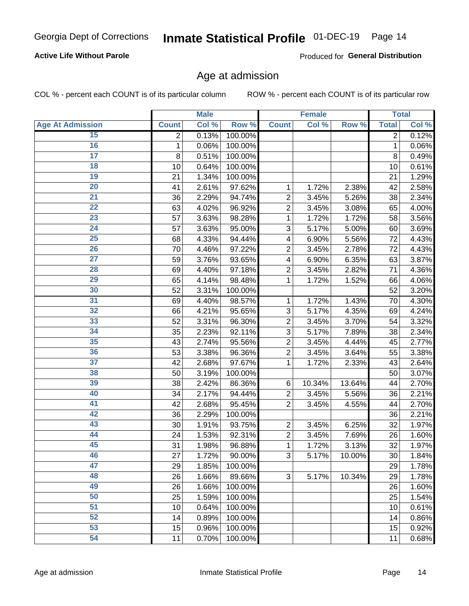#### **Active Life Without Parole**

Produced for General Distribution

### Age at admission

COL % - percent each COUNT is of its particular column

|                         |                | <b>Male</b> |         |                           | <b>Female</b> |        |                | <b>Total</b> |
|-------------------------|----------------|-------------|---------|---------------------------|---------------|--------|----------------|--------------|
| <b>Age At Admission</b> | <b>Count</b>   | Col %       | Row %   | <b>Count</b>              | Col %         | Row %  | <b>Total</b>   | Col %        |
| 15                      | $\overline{2}$ | 0.13%       | 100.00% |                           |               |        | $\overline{2}$ | 0.12%        |
| 16                      | 1              | 0.06%       | 100.00% |                           |               |        | 1              | 0.06%        |
| $\overline{17}$         | 8              | 0.51%       | 100.00% |                           |               |        | 8              | 0.49%        |
| 18                      | 10             | 0.64%       | 100.00% |                           |               |        | 10             | 0.61%        |
| 19                      | 21             | 1.34%       | 100.00% |                           |               |        | 21             | 1.29%        |
| $\overline{20}$         | 41             | 2.61%       | 97.62%  | $\mathbf 1$               | 1.72%         | 2.38%  | 42             | 2.58%        |
| 21                      | 36             | 2.29%       | 94.74%  | $\overline{c}$            | 3.45%         | 5.26%  | 38             | 2.34%        |
| $\overline{22}$         | 63             | 4.02%       | 96.92%  | $\overline{2}$            | 3.45%         | 3.08%  | 65             | 4.00%        |
| $\overline{23}$         | 57             | 3.63%       | 98.28%  | 1                         | 1.72%         | 1.72%  | 58             | 3.56%        |
| $\overline{24}$         | 57             | 3.63%       | 95.00%  | 3                         | 5.17%         | 5.00%  | 60             | 3.69%        |
| $\overline{25}$         | 68             | 4.33%       | 94.44%  | 4                         | 6.90%         | 5.56%  | 72             | 4.43%        |
| 26                      | 70             | 4.46%       | 97.22%  | $\overline{2}$            | 3.45%         | 2.78%  | 72             | 4.43%        |
| $\overline{27}$         | 59             | 3.76%       | 93.65%  | $\overline{\mathbf{4}}$   | 6.90%         | 6.35%  | 63             | 3.87%        |
| 28                      | 69             | 4.40%       | 97.18%  | $\overline{2}$            | 3.45%         | 2.82%  | 71             | 4.36%        |
| 29                      | 65             | 4.14%       | 98.48%  | $\mathbf{1}$              | 1.72%         | 1.52%  | 66             | 4.06%        |
| 30                      | 52             | 3.31%       | 100.00% |                           |               |        | 52             | 3.20%        |
| 31                      | 69             | 4.40%       | 98.57%  | 1                         | 1.72%         | 1.43%  | 70             | 4.30%        |
| $\overline{32}$         | 66             | 4.21%       | 95.65%  | 3                         | 5.17%         | 4.35%  | 69             | 4.24%        |
| 33                      | 52             | 3.31%       | 96.30%  | $\overline{2}$            | 3.45%         | 3.70%  | 54             | 3.32%        |
| $\overline{34}$         | 35             | 2.23%       | 92.11%  | 3                         | 5.17%         | 7.89%  | 38             | 2.34%        |
| 35                      | 43             | 2.74%       | 95.56%  | $\overline{2}$            | 3.45%         | 4.44%  | 45             | 2.77%        |
| 36                      | 53             | 3.38%       | 96.36%  | $\overline{2}$            | 3.45%         | 3.64%  | 55             | 3.38%        |
| $\overline{37}$         | 42             | 2.68%       | 97.67%  | $\mathbf{1}$              | 1.72%         | 2.33%  | 43             | 2.64%        |
| 38                      | 50             | 3.19%       | 100.00% |                           |               |        | 50             | 3.07%        |
| 39                      | 38             | 2.42%       | 86.36%  | 6                         | 10.34%        | 13.64% | 44             | 2.70%        |
| 40                      | 34             | 2.17%       | 94.44%  | $\overline{c}$            | 3.45%         | 5.56%  | 36             | 2.21%        |
| 41                      | 42             | 2.68%       | 95.45%  | $\overline{2}$            | 3.45%         | 4.55%  | 44             | 2.70%        |
| 42                      | 36             | 2.29%       | 100.00% |                           |               |        | 36             | 2.21%        |
| 43                      | 30             | 1.91%       | 93.75%  | $\mathbf 2$               | 3.45%         | 6.25%  | 32             | 1.97%        |
| 44                      | 24             | 1.53%       | 92.31%  | $\overline{c}$            | 3.45%         | 7.69%  | 26             | 1.60%        |
| 45                      | 31             | 1.98%       | 96.88%  | $\mathbf{1}$              | 1.72%         | 3.13%  | 32             | 1.97%        |
| 46                      | 27             | 1.72%       | 90.00%  | $\ensuremath{\mathsf{3}}$ | 5.17%         | 10.00% | 30             | 1.84%        |
| 47                      | 29             | 1.85%       | 100.00% |                           |               |        | 29             | 1.78%        |
| 48                      | 26             | 1.66%       | 89.66%  | 3                         | 5.17%         | 10.34% | 29             | 1.78%        |
| 49                      | 26             | 1.66%       | 100.00% |                           |               |        | 26             | 1.60%        |
| 50                      | 25             | 1.59%       | 100.00% |                           |               |        | 25             | 1.54%        |
| $\overline{51}$         | 10             | 0.64%       | 100.00% |                           |               |        | 10             | 0.61%        |
| $\overline{52}$         | 14             | 0.89%       | 100.00% |                           |               |        | 14             | 0.86%        |
| 53                      | 15             | 0.96%       | 100.00% |                           |               |        | 15             | 0.92%        |
| 54                      | 11             | 0.70%       | 100.00% |                           |               |        | 11             | 0.68%        |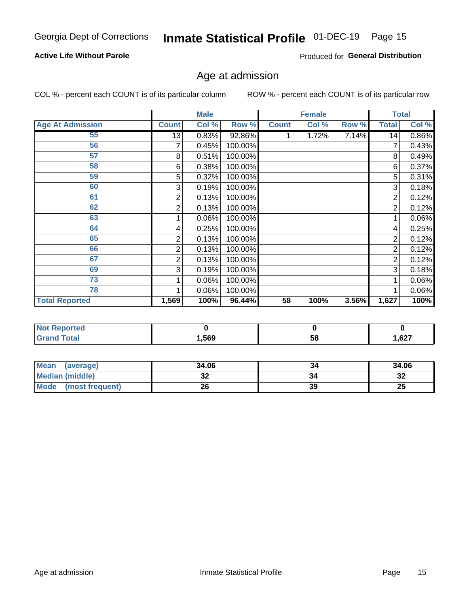#### **Active Life Without Parole**

Produced for General Distribution

## Age at admission

COL % - percent each COUNT is of its particular column

|                         |              | <b>Male</b> |         |              | <b>Female</b> |       |                | <b>Total</b> |
|-------------------------|--------------|-------------|---------|--------------|---------------|-------|----------------|--------------|
| <b>Age At Admission</b> | <b>Count</b> | Col %       | Row %   | <b>Count</b> | Col %         | Row % | <b>Total</b>   | Col %        |
| 55                      | 13           | 0.83%       | 92.86%  |              | 1.72%         | 7.14% | 14             | $0.86\%$     |
| 56                      |              | 0.45%       | 100.00% |              |               |       | 7              | 0.43%        |
| 57                      | 8            | 0.51%       | 100.00% |              |               |       | 8              | 0.49%        |
| 58                      | 6            | 0.38%       | 100.00% |              |               |       | 6              | 0.37%        |
| 59                      | 5            | 0.32%       | 100.00% |              |               |       | 5              | 0.31%        |
| 60                      | 3            | 0.19%       | 100.00% |              |               |       | 3              | 0.18%        |
| 61                      | 2            | 0.13%       | 100.00% |              |               |       | $\overline{2}$ | 0.12%        |
| 62                      | 2            | 0.13%       | 100.00% |              |               |       | 2              | 0.12%        |
| 63                      |              | 0.06%       | 100.00% |              |               |       |                | 0.06%        |
| 64                      | 4            | 0.25%       | 100.00% |              |               |       | 4              | 0.25%        |
| 65                      | 2            | 0.13%       | 100.00% |              |               |       | 2              | 0.12%        |
| 66                      | 2            | 0.13%       | 100.00% |              |               |       | 2              | 0.12%        |
| 67                      | 2            | 0.13%       | 100.00% |              |               |       | 2              | 0.12%        |
| 69                      | 3            | 0.19%       | 100.00% |              |               |       | 3              | 0.18%        |
| 73                      |              | 0.06%       | 100.00% |              |               |       |                | 0.06%        |
| 78                      |              | 0.06%       | 100.00% |              |               |       |                | $0.06\%$     |
| <b>Total Reported</b>   | 1,569        | 100%        | 96.44%  | 58           | 100%          | 3.56% | 1,627          | 100%         |

| <b>NOT Reported</b> |      |    |                 |
|---------------------|------|----|-----------------|
| <b>cotal</b>        | ,569 | ၁၀ | $\sim$<br>, 021 |

| Mean (average)       | 34.06 | 34 | 34.06     |
|----------------------|-------|----|-----------|
| Median (middle)      | ◡▵    | 34 | o c<br>⊾ت |
| Mode (most frequent) |       | 39 | 25        |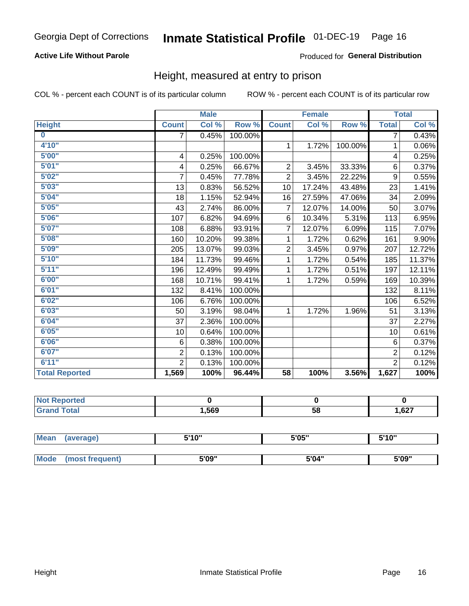#### **Active Life Without Parole**

#### Produced for General Distribution

### Height, measured at entry to prison

COL % - percent each COUNT is of its particular column

|                       |                | <b>Male</b> |         |                | <b>Female</b> |         |                | <b>Total</b> |
|-----------------------|----------------|-------------|---------|----------------|---------------|---------|----------------|--------------|
| <b>Height</b>         | <b>Count</b>   | Col %       | Row %   | <b>Count</b>   | Col %         | Row %   | <b>Total</b>   | Col %        |
| $\bf{0}$              | $\overline{7}$ | 0.45%       | 100.00% |                |               |         | 7              | 0.43%        |
| 4'10''                |                |             |         | $\mathbf{1}$   | 1.72%         | 100.00% | 1              | $0.06\%$     |
| 5'00''                | 4              | 0.25%       | 100.00% |                |               |         | 4              | 0.25%        |
| 5'01"                 | 4              | 0.25%       | 66.67%  | $\overline{2}$ | 3.45%         | 33.33%  | 6              | 0.37%        |
| 5'02"                 | 7              | 0.45%       | 77.78%  | $\overline{2}$ | 3.45%         | 22.22%  | 9              | 0.55%        |
| 5'03''                | 13             | 0.83%       | 56.52%  | 10             | 17.24%        | 43.48%  | 23             | 1.41%        |
| 5'04"                 | 18             | 1.15%       | 52.94%  | 16             | 27.59%        | 47.06%  | 34             | 2.09%        |
| 5'05"                 | 43             | 2.74%       | 86.00%  | $\overline{7}$ | 12.07%        | 14.00%  | 50             | 3.07%        |
| 5'06''                | 107            | 6.82%       | 94.69%  | 6              | 10.34%        | 5.31%   | 113            | 6.95%        |
| 5'07"                 | 108            | 6.88%       | 93.91%  | 7              | 12.07%        | 6.09%   | 115            | 7.07%        |
| 5'08''                | 160            | 10.20%      | 99.38%  | 1              | 1.72%         | 0.62%   | 161            | $9.90\%$     |
| 5'09''                | 205            | 13.07%      | 99.03%  | $\overline{c}$ | 3.45%         | 0.97%   | 207            | 12.72%       |
| 5'10''                | 184            | 11.73%      | 99.46%  | 1              | 1.72%         | 0.54%   | 185            | 11.37%       |
| 5'11"                 | 196            | 12.49%      | 99.49%  | 1              | 1.72%         | 0.51%   | 197            | 12.11%       |
| 6'00''                | 168            | 10.71%      | 99.41%  | 1              | 1.72%         | 0.59%   | 169            | 10.39%       |
| 6'01''                | 132            | 8.41%       | 100.00% |                |               |         | 132            | 8.11%        |
| 6'02"                 | 106            | 6.76%       | 100.00% |                |               |         | 106            | 6.52%        |
| 6'03''                | 50             | 3.19%       | 98.04%  | $\mathbf{1}$   | 1.72%         | 1.96%   | 51             | 3.13%        |
| 6'04"                 | 37             | 2.36%       | 100.00% |                |               |         | 37             | 2.27%        |
| 6'05"                 | 10             | 0.64%       | 100.00% |                |               |         | 10             | 0.61%        |
| 6'06''                | 6              | 0.38%       | 100.00% |                |               |         | 6              | 0.37%        |
| 6'07''                | $\overline{2}$ | 0.13%       | 100.00% |                |               |         | $\overline{2}$ | 0.12%        |
| 6'11''                | $\overline{2}$ | 0.13%       | 100.00% |                |               |         | $\overline{2}$ | 0.12%        |
| <b>Total Reported</b> | 1,569          | 100%        | 96.44%  | 58             | 100%          | 3.56%   | 1,627          | 100%         |

| enorted     |      |    |       |
|-------------|------|----|-------|
| <b>otal</b> | ,569 | 58 | 1,627 |

| <b>Mean</b> | (average)       | 5'10" | 5'05" | 5'10" |  |
|-------------|-----------------|-------|-------|-------|--|
|             |                 |       |       |       |  |
| Mode        | (most frequent) | 5'09" | 5'04" | 5'09" |  |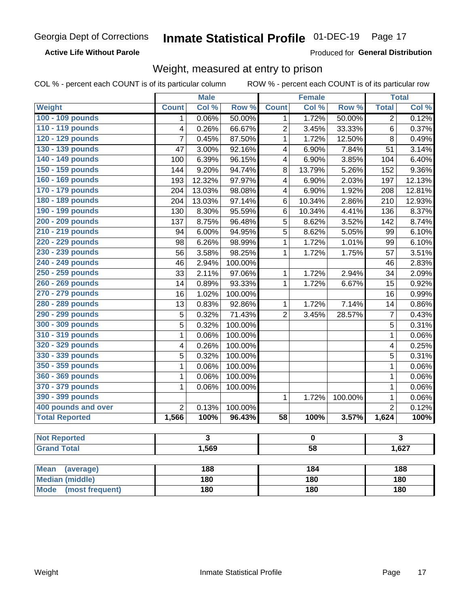#### **Active Life Without Parole**

Produced for General Distribution

### Weight, measured at entry to prison

COL % - percent each COUNT is of its particular column

|                                |                         | <b>Male</b>             |         |                         | <b>Female</b>           |         |                | <b>Total</b> |  |
|--------------------------------|-------------------------|-------------------------|---------|-------------------------|-------------------------|---------|----------------|--------------|--|
| <b>Weight</b>                  | <b>Count</b>            | Col %                   | Row %   | <b>Count</b>            | Col %                   | Row %   | <b>Total</b>   | Col %        |  |
| 100 - 109 pounds               | 1                       | 0.06%                   | 50.00%  | $\overline{1}$          | 1.72%                   | 50.00%  | $\overline{2}$ | 0.12%        |  |
| 110 - 119 pounds               | $\overline{\mathbf{4}}$ | 0.26%                   | 66.67%  | $\overline{2}$          | 3.45%                   | 33.33%  | 6              | 0.37%        |  |
| 120 - 129 pounds               | $\overline{7}$          | 0.45%                   | 87.50%  | $\mathbf{1}$            | 1.72%                   | 12.50%  | 8              | 0.49%        |  |
| 130 - 139 pounds               | 47                      | 3.00%                   | 92.16%  | $\overline{\mathbf{4}}$ | 6.90%                   | 7.84%   | 51             | 3.14%        |  |
| 140 - 149 pounds               | 100                     | 6.39%                   | 96.15%  | $\overline{\mathbf{4}}$ | 6.90%                   | 3.85%   | 104            | 6.40%        |  |
| 150 - 159 pounds               | 144                     | 9.20%                   | 94.74%  | 8                       | 13.79%                  | 5.26%   | 152            | 9.36%        |  |
| 160 - 169 pounds               | 193                     | 12.32%                  | 97.97%  | $\overline{4}$          | 6.90%                   | 2.03%   | 197            | 12.13%       |  |
| 170 - 179 pounds               | 204                     | 13.03%                  | 98.08%  | 4                       | 6.90%                   | 1.92%   | 208            | 12.81%       |  |
| 180 - 189 pounds               | 204                     | 13.03%                  | 97.14%  | 6                       | 10.34%                  | 2.86%   | 210            | 12.93%       |  |
| 190 - 199 pounds               | 130                     | 8.30%                   | 95.59%  | 6                       | 10.34%                  | 4.41%   | 136            | 8.37%        |  |
| 200 - 209 pounds               | 137                     | 8.75%                   | 96.48%  | $\overline{5}$          | 8.62%                   | 3.52%   | 142            | 8.74%        |  |
| 210 - 219 pounds               | 94                      | 6.00%                   | 94.95%  | $\overline{5}$          | 8.62%                   | 5.05%   | 99             | 6.10%        |  |
| 220 - 229 pounds               | 98                      | 6.26%                   | 98.99%  | 1                       | 1.72%                   | 1.01%   | 99             | 6.10%        |  |
| 230 - 239 pounds               | 56                      | 3.58%                   | 98.25%  | $\mathbf{1}$            | 1.72%                   | 1.75%   | 57             | 3.51%        |  |
| 240 - 249 pounds               | 46                      | 2.94%                   | 100.00% |                         |                         |         | 46             | 2.83%        |  |
| 250 - 259 pounds               | 33                      | 2.11%                   | 97.06%  | 1                       | 1.72%                   | 2.94%   | 34             | 2.09%        |  |
| 260 - 269 pounds               | 14                      | 0.89%                   | 93.33%  | $\mathbf{1}$            | 1.72%                   | 6.67%   | 15             | 0.92%        |  |
| 270 - 279 pounds               | 16                      | 1.02%                   | 100.00% |                         |                         |         | 16             | 0.99%        |  |
| 280 - 289 pounds               | 13                      | 0.83%                   | 92.86%  | $\mathbf{1}$            | 1.72%                   | 7.14%   | 14             | 0.86%        |  |
| 290 - 299 pounds               | 5                       | 0.32%                   | 71.43%  | $\overline{2}$          | 3.45%                   | 28.57%  | $\overline{7}$ | 0.43%        |  |
| 300 - 309 pounds               | 5                       | 0.32%                   | 100.00% |                         |                         |         | 5              | 0.31%        |  |
| 310 - 319 pounds               | 1                       | 0.06%                   | 100.00% |                         |                         |         | $\mathbf{1}$   | 0.06%        |  |
| 320 - 329 pounds               | 4                       | 0.26%                   | 100.00% |                         |                         |         | 4              | 0.25%        |  |
| 330 - 339 pounds               | 5                       | 0.32%                   | 100.00% |                         |                         |         | 5              | 0.31%        |  |
| 350 - 359 pounds               | $\mathbf{1}$            | 0.06%                   | 100.00% |                         |                         |         | $\mathbf{1}$   | 0.06%        |  |
| 360 - 369 pounds               | 1                       | 0.06%                   | 100.00% |                         |                         |         | $\mathbf 1$    | 0.06%        |  |
| 370 - 379 pounds               | 1                       | 0.06%                   | 100.00% |                         |                         |         | $\mathbf{1}$   | 0.06%        |  |
| 390 - 399 pounds               |                         |                         |         | $\mathbf{1}$            | 1.72%                   | 100.00% | $\mathbf{1}$   | 0.06%        |  |
| 400 pounds and over            | $\overline{2}$          | 0.13%                   | 100.00% |                         |                         |         | $\overline{2}$ | 0.12%        |  |
| <b>Total Reported</b>          | 1,566                   | 100%                    | 96.43%  | $\overline{58}$         | 100%                    | 3.57%   | 1,624          | 100%         |  |
|                                |                         |                         |         |                         |                         |         |                |              |  |
| <b>Not Reported</b>            |                         | $\overline{\mathbf{3}}$ |         |                         | $\overline{\mathbf{0}}$ |         |                | 3            |  |
| <b>Grand Total</b>             |                         | 1,569                   |         |                         | $\overline{58}$         |         |                | 1,627        |  |
| <b>Mean</b><br>(average)       |                         | 188                     |         |                         | 184                     |         |                | 188          |  |
| <b>Median (middle)</b>         |                         | 180                     |         |                         | 180                     |         |                | 180          |  |
| <b>Mode</b><br>(most frequent) | 180                     |                         |         | 180                     |                         |         | 180            |              |  |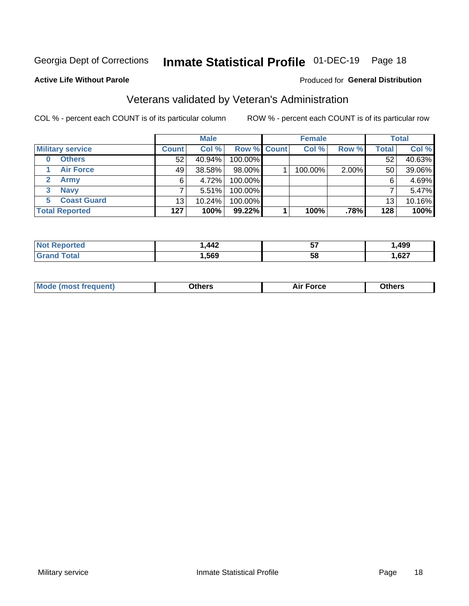## Inmate Statistical Profile 01-DEC-19 Page 18

#### **Active Life Without Parole**

#### Produced for General Distribution

## Veterans validated by Veteran's Administration

COL % - percent each COUNT is of its particular column

|                          |              | <b>Male</b> |                    | <b>Female</b> |       |              | <b>Total</b> |
|--------------------------|--------------|-------------|--------------------|---------------|-------|--------------|--------------|
| <b>Military service</b>  | <b>Count</b> | Col %       | <b>Row % Count</b> | Col %         | Row % | <b>Total</b> | Col %        |
| <b>Others</b><br>0       | 52           | 40.94%      | 100.00%            |               |       | 52           | 40.63%       |
| <b>Air Force</b>         | 49           | 38.58%      | 98.00%             | 100.00%       | 2.00% | 50           | 39.06%       |
| <b>Army</b>              | 6            | 4.72%       | 100.00%            |               |       | 6            | 4.69%        |
| <b>Navy</b><br>3         |              | 5.51%       | 100.00%            |               |       |              | 5.47%        |
| <b>Coast Guard</b><br>5. | 13           | 10.24%      | 100.00%            |               |       | 13           | 10.16%       |
| <b>Total Reported</b>    | 127          | 100%        | $99.22\%$          | 100%          | .78%  | 128          | 100%         |

| TAL. | AA<br>-14 | --<br>IJ | ,499           |
|------|-----------|----------|----------------|
|      | .569      | ၁၀       | $\sim$<br>,627 |

| <b>Moo.</b> |
|-------------|
|-------------|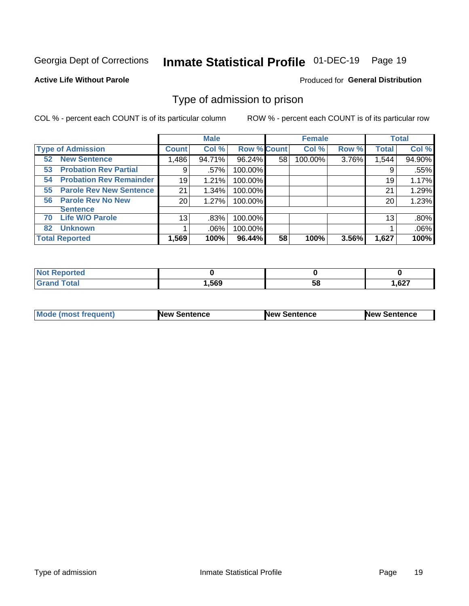#### Inmate Statistical Profile 01-DEC-19 Page 19

**Active Life Without Parole** 

Produced for General Distribution

### Type of admission to prison

COL % - percent each COUNT is of its particular column

|                                      |                 | <b>Male</b> |                    |    | <b>Female</b> |       |              | <b>Total</b> |
|--------------------------------------|-----------------|-------------|--------------------|----|---------------|-------|--------------|--------------|
| <b>Type of Admission</b>             | <b>Count</b>    | Col %       | <b>Row % Count</b> |    | Col %         | Row % | <b>Total</b> | Col %        |
| <b>New Sentence</b><br>52            | 1,486           | 94.71%      | 96.24%             | 58 | 100.00%       | 3.76% | 1,544        | 94.90%       |
| <b>Probation Rev Partial</b><br>53   | 9               | .57%        | 100.00%            |    |               |       | 9            | .55%         |
| <b>Probation Rev Remainder</b><br>54 | 19              | 1.21%       | 100.00%            |    |               |       | 19           | 1.17%        |
| <b>Parole Rev New Sentence</b><br>55 | 21              | 1.34%       | 100.00%            |    |               |       | 21           | 1.29%        |
| <b>Parole Rev No New</b><br>56       | 20              | 1.27%       | 100.00%            |    |               |       | 20           | 1.23%        |
| <b>Sentence</b>                      |                 |             |                    |    |               |       |              |              |
| <b>Life W/O Parole</b><br>70         | 13 <sub>1</sub> | .83%        | 100.00%            |    |               |       | 13           | .80%         |
| <b>Unknown</b><br>82                 |                 | $.06\%$     | 100.00%            |    |               |       |              | .06%         |
| <b>Total Reported</b>                | 1,569           | 100%        | 96.44%             | 58 | 100%          | 3.56% | 1,627        | 100%         |

| Reported<br><b>NOT</b> |       |                 |       |
|------------------------|-------|-----------------|-------|
| <b>c</b> otal<br>Gra   | .,569 | - -<br>cc<br>วง | 1,627 |

| Mode (most frequent) | <b>New Sentence</b> | <b>New Sentence</b> | <b>New Sentence</b> |
|----------------------|---------------------|---------------------|---------------------|
|                      |                     |                     |                     |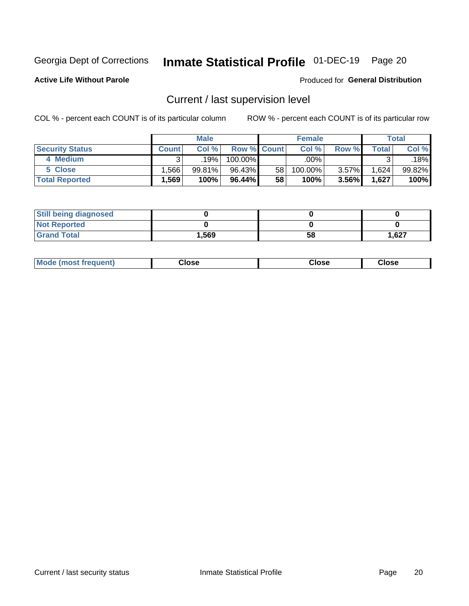## Inmate Statistical Profile 01-DEC-19 Page 20

**Active Life Without Parole** 

#### **Produced for General Distribution**

## Current / last supervision level

COL % - percent each COUNT is of its particular column

|                        |              | <b>Male</b> |                    |    | <b>Female</b> |       |       | Total  |
|------------------------|--------------|-------------|--------------------|----|---------------|-------|-------|--------|
| <b>Security Status</b> | <b>Count</b> | Col%        | <b>Row % Count</b> |    | Col %         | Row % | Total | Col %  |
| 4 Medium               |              | 19%         | 100.00%            |    | .00% '        |       |       | .18%   |
| 5 Close                | .566         | 99.81%      | 96.43%             | 58 | 100.00%       | 3.57% | 1,624 | 99.82% |
| <b>Total Reported</b>  | .569'        | 100%        | 96.44%             | 58 | 100%          | 3.56% | 1,627 | 100%   |

| <b>Still being diagnosed</b> |       |    |       |
|------------------------------|-------|----|-------|
| <b>Not Reported</b>          |       |    |       |
| <b>Grand Total</b>           | 1,569 | 58 | 1,627 |

| Mode (m<br>rreguent)<br>mso | lose: | Close | Close |
|-----------------------------|-------|-------|-------|
|                             |       |       |       |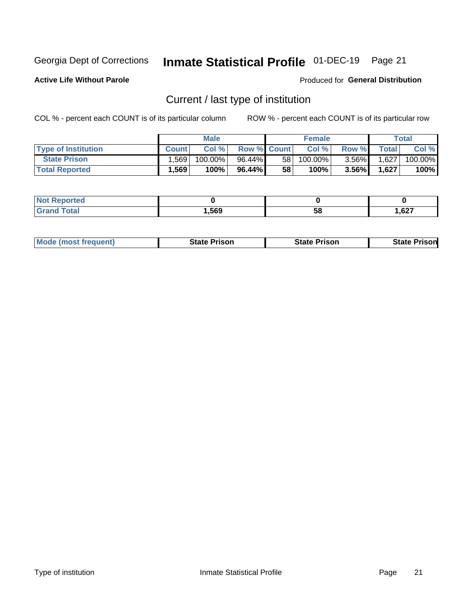## Inmate Statistical Profile 01-DEC-19 Page 21

**Active Life Without Parole** 

Produced for General Distribution

## Current / last type of institution

COL % - percent each COUNT is of its particular column

|                            |              | <b>Male</b> |                    |                 | <b>Female</b> |          |              | <b>Total</b> |
|----------------------------|--------------|-------------|--------------------|-----------------|---------------|----------|--------------|--------------|
| <b>Type of Institution</b> | <b>Count</b> | Col%        | <b>Row % Count</b> |                 | Col %         | Row %    | <b>Total</b> | Col %        |
| <b>State Prison</b>        | 1,569        | $100.00\%$  | $96.44\%$          | 58 <sub>1</sub> | $100.00\%$    | $3.56\%$ | 1,627        | 100.00%      |
| <b>Total Reported</b>      | 1,569        | 100%        | $96.44\%$          | 58              | $100\%$       | $3.56\%$ | 1,627        | 100%         |

| тес |      |    |      |
|-----|------|----|------|
|     | .569 | ວເ | ,627 |

|  | <b>Mode (most frequent)</b> | State Prison | <b>State Prison</b> | <b>State Prison</b> |
|--|-----------------------------|--------------|---------------------|---------------------|
|--|-----------------------------|--------------|---------------------|---------------------|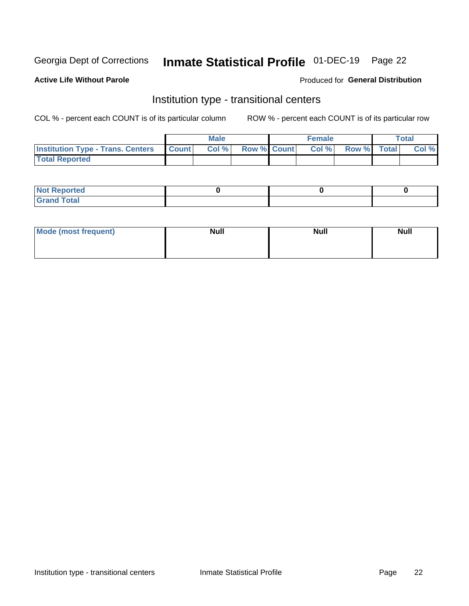## Inmate Statistical Profile 01-DEC-19 Page 22

#### **Active Life Without Parole**

#### Produced for General Distribution

## Institution type - transitional centers

COL % - percent each COUNT is of its particular column

|                                                | <b>Male</b> |                          | <b>Female</b> |                    | <b>Total</b> |
|------------------------------------------------|-------------|--------------------------|---------------|--------------------|--------------|
| <b>Institution Type - Trans. Centers Count</b> |             | <b>Col %</b> Row % Count | CoI%          | <b>Row % Total</b> | Col %        |
| <b>Total Reported</b>                          |             |                          |               |                    |              |

| <b>Reported</b><br><b>NOT</b><br>$\sim$            |  |  |
|----------------------------------------------------|--|--|
| $f$ $f \circ f \circ f$<br>$C = 1$<br><b>TULAI</b> |  |  |

| Mode (most frequent) | <b>Null</b> | <b>Null</b> | <b>Null</b> |
|----------------------|-------------|-------------|-------------|
|                      |             |             |             |
|                      |             |             |             |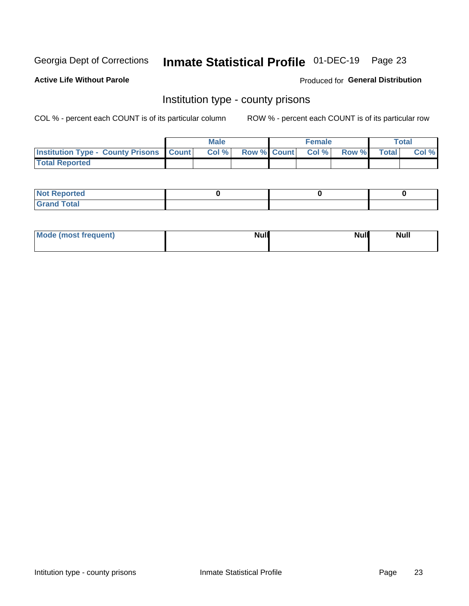## Inmate Statistical Profile 01-DEC-19 Page 23

**Active Life Without Parole** 

**Produced for General Distribution** 

### Institution type - county prisons

COL % - percent each COUNT is of its particular column

|                                                    | <b>Male</b> |       |  | <b>Female</b> |                          |             | <b>Total</b> |       |
|----------------------------------------------------|-------------|-------|--|---------------|--------------------------|-------------|--------------|-------|
| <b>Institution Type - County Prisons   Count  </b> |             | Col % |  |               | <b>Row % Count Col %</b> | Row % Total |              | Col % |
| <b>Total Reported</b>                              |             |       |  |               |                          |             |              |       |

| <b>Not</b><br>: Reported<br> |  |  |
|------------------------------|--|--|
| <b>Total</b><br>---          |  |  |

| Mode (most frequent) | <b>Null</b> | <b>Null</b><br><b>Null</b> |
|----------------------|-------------|----------------------------|
|                      |             |                            |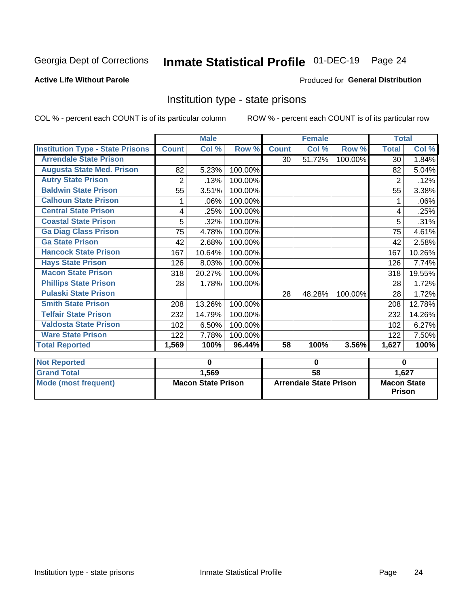## Inmate Statistical Profile 01-DEC-19 Page 24

#### **Active Life Without Parole**

#### Produced for General Distribution

### Institution type - state prisons

|                                         | <b>Male</b>               |        |         | <b>Female</b>                 |        |          | <b>Total</b>                        |        |
|-----------------------------------------|---------------------------|--------|---------|-------------------------------|--------|----------|-------------------------------------|--------|
| <b>Institution Type - State Prisons</b> | <b>Count</b>              | Col %  | Row %   | <b>Count</b>                  | Col %  | Row %    | <b>Total</b>                        | Col %  |
| <b>Arrendale State Prison</b>           |                           |        |         | 30                            | 51.72% | 100.00%  | 30                                  | 1.84%  |
| <b>Augusta State Med. Prison</b>        | 82                        | 5.23%  | 100.00% |                               |        |          | 82                                  | 5.04%  |
| <b>Autry State Prison</b>               | $\overline{2}$            | .13%   | 100.00% |                               |        |          | $\overline{2}$                      | .12%   |
| <b>Baldwin State Prison</b>             | 55                        | 3.51%  | 100.00% |                               |        |          | 55                                  | 3.38%  |
| <b>Calhoun State Prison</b>             |                           | .06%   | 100.00% |                               |        |          |                                     | .06%   |
| <b>Central State Prison</b>             | 4                         | .25%   | 100.00% |                               |        |          | 4                                   | .25%   |
| <b>Coastal State Prison</b>             | 5                         | .32%   | 100.00% |                               |        |          | 5                                   | .31%   |
| <b>Ga Diag Class Prison</b>             | 75                        | 4.78%  | 100.00% |                               |        |          | 75                                  | 4.61%  |
| <b>Ga State Prison</b>                  | 42                        | 2.68%  | 100.00% |                               |        |          | 42                                  | 2.58%  |
| <b>Hancock State Prison</b>             | 167                       | 10.64% | 100.00% |                               |        |          | 167                                 | 10.26% |
| <b>Hays State Prison</b>                | 126                       | 8.03%  | 100.00% |                               |        |          | 126                                 | 7.74%  |
| <b>Macon State Prison</b>               | 318                       | 20.27% | 100.00% |                               |        |          | 318                                 | 19.55% |
| <b>Phillips State Prison</b>            | 28                        | 1.78%  | 100.00% |                               |        |          | 28                                  | 1.72%  |
| <b>Pulaski State Prison</b>             |                           |        |         | 28                            | 48.28% | 100.00%  | 28                                  | 1.72%  |
| <b>Smith State Prison</b>               | 208                       | 13.26% | 100.00% |                               |        |          | 208                                 | 12.78% |
| <b>Telfair State Prison</b>             | 232                       | 14.79% | 100.00% |                               |        |          | 232                                 | 14.26% |
| <b>Valdosta State Prison</b>            | 102                       | 6.50%  | 100.00% |                               |        |          | 102                                 | 6.27%  |
| <b>Ware State Prison</b>                | 122                       | 7.78%  | 100.00% |                               |        |          | 122                                 | 7.50%  |
| <b>Total Reported</b>                   | 1,569                     | 100%   | 96.44%  | 58                            | 100%   | 3.56%    | 1,627                               | 100%   |
| <b>Not Reported</b>                     | 0                         |        | 0       |                               |        | $\bf{0}$ |                                     |        |
| <b>Grand Total</b>                      |                           | 1,569  |         | $\overline{58}$               |        |          |                                     | 1,627  |
| <b>Mode (most frequent)</b>             | <b>Macon State Prison</b> |        |         | <b>Arrendale State Prison</b> |        |          | <b>Macon State</b><br><b>Prison</b> |        |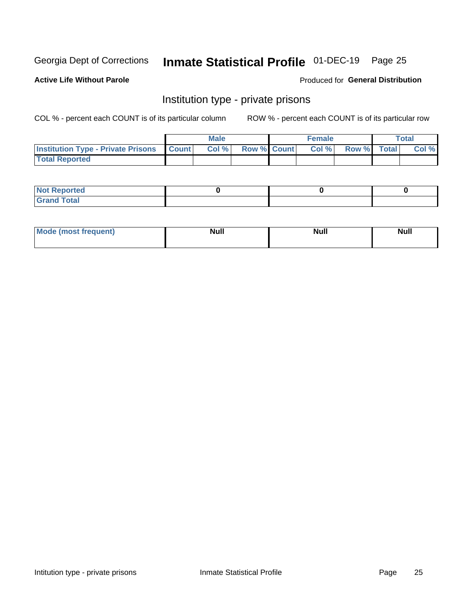## Inmate Statistical Profile 01-DEC-19 Page 25

#### **Active Life Without Parole**

#### Produced for General Distribution

### Institution type - private prisons

COL % - percent each COUNT is of its particular column

|                                                     | <b>Male</b> |       |                    | <b>Female</b> |       |             | Total |       |
|-----------------------------------------------------|-------------|-------|--------------------|---------------|-------|-------------|-------|-------|
| <b>Institution Type - Private Prisons   Count  </b> |             | Col % | <b>Row % Count</b> |               | Col % | Row % Total |       | Col % |
| <b>Total Reported</b>                               |             |       |                    |               |       |             |       |       |

| Not Reported          |  |  |
|-----------------------|--|--|
| <b>Cotal</b><br>_____ |  |  |

| <b>Mo</b><br>frequent) | <b>Null</b> | <b>Null</b> | . . I *<br><b>IVUII</b> |
|------------------------|-------------|-------------|-------------------------|
|                        |             |             |                         |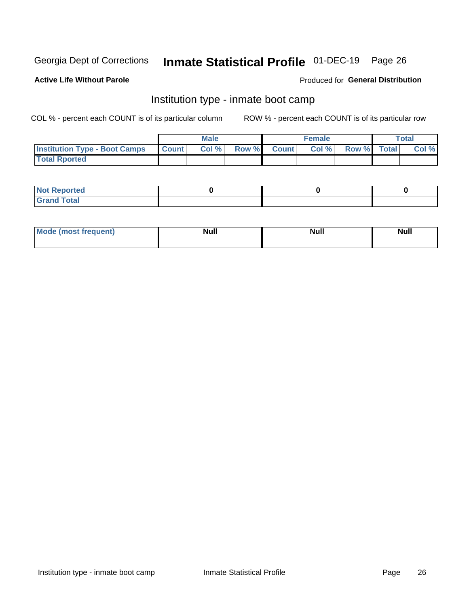## Inmate Statistical Profile 01-DEC-19 Page 26

#### **Active Life Without Parole**

#### Produced for General Distribution

## Institution type - inmate boot camp

COL % - percent each COUNT is of its particular column

|                                      | <b>Male</b>      |       |              | <b>Female</b> |       |             | <b>Total</b> |       |
|--------------------------------------|------------------|-------|--------------|---------------|-------|-------------|--------------|-------|
| <b>Institution Type - Boot Camps</b> | <b>I</b> Count I | Col % | <b>Row %</b> | <b>Count</b>  | Col % | Row % Total |              | Col % |
| <b>Total Rported</b>                 |                  |       |              |               |       |             |              |       |

| <b>Not Reported</b>            |  |  |
|--------------------------------|--|--|
| <b>Total</b><br>C <sub>r</sub> |  |  |

| Mod<br>uamo | Nul.<br>$- - - - - -$ | <b>Null</b> | . .<br>uu.<br>------ |
|-------------|-----------------------|-------------|----------------------|
|             |                       |             |                      |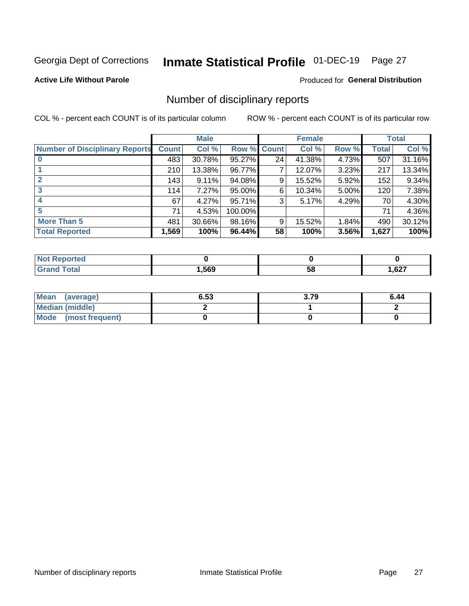## Inmate Statistical Profile 01-DEC-19 Page 27

#### **Active Life Without Parole**

#### Produced for General Distribution

### Number of disciplinary reports

COL % - percent each COUNT is of its particular column

|                                       | <b>Male</b>  |        |             | <b>Female</b> |        |       | <b>Total</b> |        |
|---------------------------------------|--------------|--------|-------------|---------------|--------|-------|--------------|--------|
| <b>Number of Disciplinary Reports</b> | <b>Count</b> | Col %  | Row % Count |               | Col %  | Row % | <b>Total</b> | Col %  |
|                                       | 483          | 30.78% | 95.27%      | 24            | 41.38% | 4.73% | 507          | 31.16% |
|                                       | 210          | 13.38% | 96.77%      | 7             | 12.07% | 3.23% | 217          | 13.34% |
| $\mathbf{2}$                          | 143          | 9.11%  | 94.08%      | 9             | 15.52% | 5.92% | 152          | 9.34%  |
| 3                                     | 114          | 7.27%  | 95.00%      | 6             | 10.34% | 5.00% | 120          | 7.38%  |
|                                       | 67           | 4.27%  | 95.71%      | 3             | 5.17%  | 4.29% | 70           | 4.30%  |
| 5                                     | 71           | 4.53%  | 100.00%     |               |        |       | 71           | 4.36%  |
| <b>More Than 5</b>                    | 481          | 30.66% | 98.16%      | 9             | 15.52% | 1.84% | 490          | 30.12% |
| <b>Total Reported</b>                 | 1,569        | 100%   | 96.44%      | 58            | 100%   | 3.56% | 1,627        | 100%   |

| NO           |      |    |      |
|--------------|------|----|------|
| <b>Total</b> | .569 | Эō | ,627 |

| Mean (average)       | 6.53 | 3.79 | 6.44 |
|----------------------|------|------|------|
| Median (middle)      |      |      |      |
| Mode (most frequent) |      |      |      |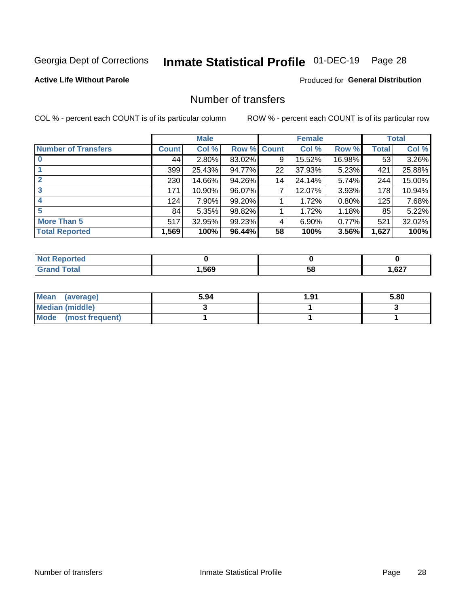## Inmate Statistical Profile 01-DEC-19 Page 28

#### **Active Life Without Parole**

#### **Produced for General Distribution**

## Number of transfers

COL % - percent each COUNT is of its particular column

|                            |              | <b>Male</b> |             |    | <b>Female</b> |          |       | <b>Total</b> |
|----------------------------|--------------|-------------|-------------|----|---------------|----------|-------|--------------|
| <b>Number of Transfers</b> | <b>Count</b> | Col %       | Row % Count |    | Col %         | Row %    | Total | Col %        |
|                            | 44           | $2.80\%$    | 83.02%      | 9  | 15.52%        | 16.98%   | 53    | 3.26%        |
|                            | 399          | 25.43%      | 94.77%      | 22 | 37.93%        | 5.23%    | 421   | 25.88%       |
| 2                          | 230          | 14.66%      | 94.26%      | 14 | 24.14%        | 5.74%    | 244   | 15.00%       |
| 3                          | 171          | 10.90%      | 96.07%      | 7  | 12.07%        | $3.93\%$ | 178   | 10.94%       |
|                            | 124          | 7.90%       | 99.20%      |    | 1.72%         | 0.80%    | 125   | 7.68%        |
| 5                          | 84           | 5.35%       | 98.82%      |    | 1.72%         | 1.18%    | 85    | 5.22%        |
| <b>More Than 5</b>         | 517          | 32.95%      | 99.23%      | 4  | 6.90%         | 0.77%    | 521   | 32.02%       |
| <b>Total Reported</b>      | 1,569        | 100%        | 96.44%      | 58 | 100%          | 3.56%    | 1,627 | 100%         |

| NO           |      |    |      |
|--------------|------|----|------|
| <b>Total</b> | .569 | Эō | ,627 |

| Mean (average)       | 5.94 | 1.91 | 5.80 |
|----------------------|------|------|------|
| Median (middle)      |      |      |      |
| Mode (most frequent) |      |      |      |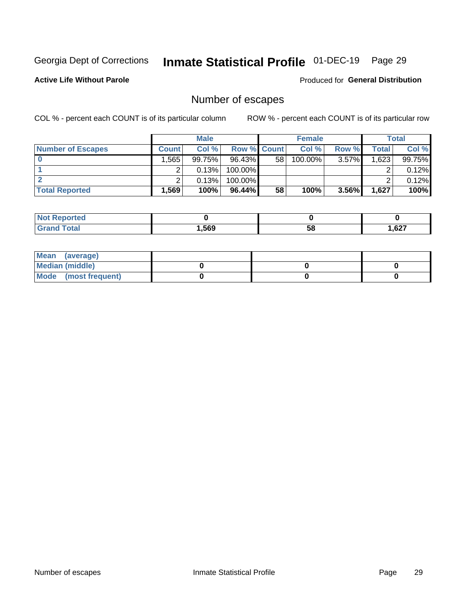## Inmate Statistical Profile 01-DEC-19 Page 29

**Active Life Without Parole** 

Produced for General Distribution

## Number of escapes

COL % - percent each COUNT is of its particular column

|                          | <b>Male</b>  |        |                    | <b>Female</b> |         |          | Total |        |
|--------------------------|--------------|--------|--------------------|---------------|---------|----------|-------|--------|
| <b>Number of Escapes</b> | <b>Count</b> | Col %  | <b>Row % Count</b> |               | Col %   | Row %    | Total | Col %  |
|                          | .565         | 99.75% | $96.43\%$          | 58            | 100.00% | $3.57\%$ | 1,623 | 99.75% |
|                          |              | 0.13%  | $100.00\%$         |               |         |          |       | 0.12%  |
|                          |              | 0.13%  | $100.00\%$         |               |         |          |       | 0.12%  |
| <b>Total Reported</b>    | .569         | 100%   | $96.44\%$          | 58            | 100%    | 3.56%    | 1,627 | 100%   |

| <b>Not Reported</b> |      |    |       |
|---------------------|------|----|-------|
| <b>Total</b>        | 569, | 58 | 1,627 |

| Mean (average)       |  |  |
|----------------------|--|--|
| Median (middle)      |  |  |
| Mode (most frequent) |  |  |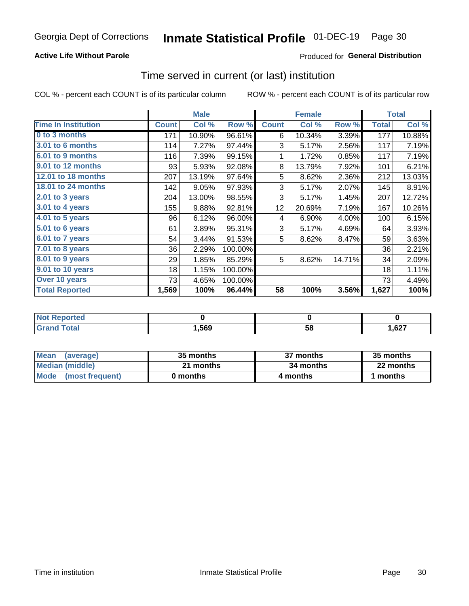#### **Active Life Without Parole**

### **Produced for General Distribution**

### Time served in current (or last) institution

COL % - percent each COUNT is of its particular column

|                            |              | <b>Male</b> |         |                 | <b>Female</b> |        |              | <b>Total</b> |
|----------------------------|--------------|-------------|---------|-----------------|---------------|--------|--------------|--------------|
| <b>Time In Institution</b> | <b>Count</b> | Col %       | Row %   | <b>Count</b>    | Col %         | Row %  | <b>Total</b> | Col %        |
| 0 to 3 months              | 171          | 10.90%      | 96.61%  | 6               | 10.34%        | 3.39%  | 177          | 10.88%       |
| <b>3.01 to 6 months</b>    | 114          | 7.27%       | 97.44%  | 3               | 5.17%         | 2.56%  | 117          | 7.19%        |
| 6.01 to 9 months           | 116          | 7.39%       | 99.15%  | 1               | 1.72%         | 0.85%  | 117          | 7.19%        |
| 9.01 to 12 months          | 93           | 5.93%       | 92.08%  | 8               | 13.79%        | 7.92%  | 101          | 6.21%        |
| 12.01 to 18 months         | 207          | 13.19%      | 97.64%  | 5               | 8.62%         | 2.36%  | 212          | 13.03%       |
| <b>18.01 to 24 months</b>  | 142          | 9.05%       | 97.93%  | 3               | 5.17%         | 2.07%  | 145          | 8.91%        |
| $2.01$ to 3 years          | 204          | 13.00%      | 98.55%  | 3               | 5.17%         | 1.45%  | 207          | 12.72%       |
| $3.01$ to 4 years          | 155          | 9.88%       | 92.81%  | 12 <sub>2</sub> | 20.69%        | 7.19%  | 167          | 10.26%       |
| 4.01 to 5 years            | 96           | 6.12%       | 96.00%  | 4               | 6.90%         | 4.00%  | 100          | 6.15%        |
| 5.01 to 6 years            | 61           | 3.89%       | 95.31%  | 3               | 5.17%         | 4.69%  | 64           | 3.93%        |
| 6.01 to 7 years            | 54           | 3.44%       | 91.53%  | 5               | 8.62%         | 8.47%  | 59           | 3.63%        |
| 7.01 to 8 years            | 36           | 2.29%       | 100.00% |                 |               |        | 36           | 2.21%        |
| 8.01 to 9 years            | 29           | 1.85%       | 85.29%  | 5               | 8.62%         | 14.71% | 34           | 2.09%        |
| 9.01 to 10 years           | 18           | 1.15%       | 100.00% |                 |               |        | 18           | 1.11%        |
| Over 10 years              | 73           | 4.65%       | 100.00% |                 |               |        | 73           | 4.49%        |
| <b>Total Reported</b>      | 1,569        | 100%        | 96.44%  | 58              | 100%          | 3.56%  | 1,627        | 100%         |

| <b>Not R</b><br><b>Reported</b> |      |    |      |
|---------------------------------|------|----|------|
| <i>i</i> otal                   | ,569 | วง | ,627 |

| <b>Mean</b><br>(average) | 35 months | 37 months | 35 months |
|--------------------------|-----------|-----------|-----------|
| Median (middle)          | 21 months | 34 months | 22 months |
| Mode (most frequent)     | 0 months  | 4 months  | 1 months  |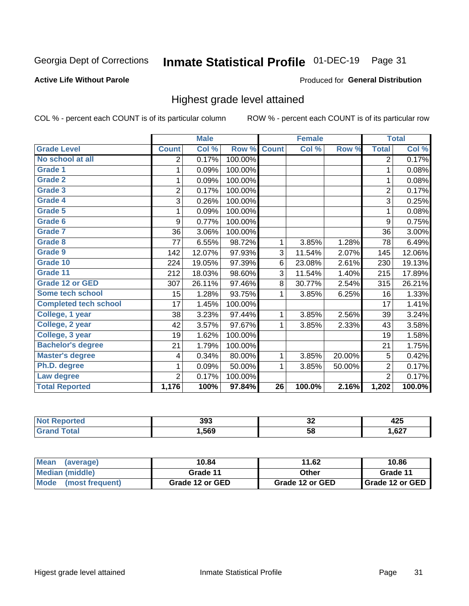#### Inmate Statistical Profile 01-DEC-19 Page 31

#### **Active Life Without Parole**

#### Produced for General Distribution

### Highest grade level attained

COL % - percent each COUNT is of its particular column

|                              |                | <b>Male</b> |         |                 | <b>Female</b> |        |                | <b>Total</b> |
|------------------------------|----------------|-------------|---------|-----------------|---------------|--------|----------------|--------------|
| <b>Grade Level</b>           | <b>Count</b>   | Col %       | Row %   | <b>Count</b>    | Col %         | Row %  | <b>Total</b>   | Col %        |
| No school at all             | 2              | 0.17%       | 100.00% |                 |               |        | $\overline{2}$ | 0.17%        |
| <b>Grade 1</b>               | 1              | 0.09%       | 100.00% |                 |               |        | 1              | 0.08%        |
| <b>Grade 2</b>               | 1              | 0.09%       | 100.00% |                 |               |        | 1              | 0.08%        |
| <b>Grade 3</b>               | $\overline{2}$ | 0.17%       | 100.00% |                 |               |        | $\overline{2}$ | 0.17%        |
| <b>Grade 4</b>               | 3              | 0.26%       | 100.00% |                 |               |        | 3              | 0.25%        |
| <b>Grade 5</b>               | 1              | 0.09%       | 100.00% |                 |               |        | 1              | 0.08%        |
| Grade 6                      | 9              | 0.77%       | 100.00% |                 |               |        | 9              | 0.75%        |
| Grade 7                      | 36             | 3.06%       | 100.00% |                 |               |        | 36             | 3.00%        |
| Grade 8                      | 77             | 6.55%       | 98.72%  | 1               | 3.85%         | 1.28%  | 78             | 6.49%        |
| Grade 9                      | 142            | 12.07%      | 97.93%  | 3               | 11.54%        | 2.07%  | 145            | 12.06%       |
| Grade 10                     | 224            | 19.05%      | 97.39%  | 6               | 23.08%        | 2.61%  | 230            | 19.13%       |
| Grade 11                     | 212            | 18.03%      | 98.60%  | 3               | 11.54%        | 1.40%  | 215            | 17.89%       |
| <b>Grade 12 or GED</b>       | 307            | 26.11%      | 97.46%  | 8               | 30.77%        | 2.54%  | 315            | 26.21%       |
| Some tech school             | 15             | 1.28%       | 93.75%  | 1               | 3.85%         | 6.25%  | 16             | 1.33%        |
| <b>Completed tech school</b> | 17             | 1.45%       | 100.00% |                 |               |        | 17             | 1.41%        |
| College, 1 year              | 38             | 3.23%       | 97.44%  | 1               | 3.85%         | 2.56%  | 39             | 3.24%        |
| College, 2 year              | 42             | 3.57%       | 97.67%  | 1               | 3.85%         | 2.33%  | 43             | 3.58%        |
| College, 3 year              | 19             | 1.62%       | 100.00% |                 |               |        | 19             | 1.58%        |
| <b>Bachelor's degree</b>     | 21             | 1.79%       | 100.00% |                 |               |        | 21             | 1.75%        |
| <b>Master's degree</b>       | 4              | 0.34%       | 80.00%  | 1               | 3.85%         | 20.00% | 5              | 0.42%        |
| Ph.D. degree                 | 1              | 0.09%       | 50.00%  | 1               | 3.85%         | 50.00% | $\overline{2}$ | 0.17%        |
| Law degree                   | $\overline{2}$ | 0.17%       | 100.00% |                 |               |        | $\overline{2}$ | 0.17%        |
| <b>Total Reported</b>        | 1,176          | 100%        | 97.84%  | $\overline{26}$ | 100.0%        | 2.16%  | 1,202          | 100.0%       |

| NO   | 393  | ^^ | $\bullet$ |
|------|------|----|-----------|
| rtec |      | ◡∠ | ╍         |
|      | .569 | 58 | ,627      |

| <b>Mean</b><br>(average) | 10.84           | 11.62           | 10.86           |  |
|--------------------------|-----------------|-----------------|-----------------|--|
| <b>Median (middle)</b>   | Grade 11        | Other           | Grade 11        |  |
| Mode<br>(most frequent)  | Grade 12 or GED | Grade 12 or GED | Grade 12 or GED |  |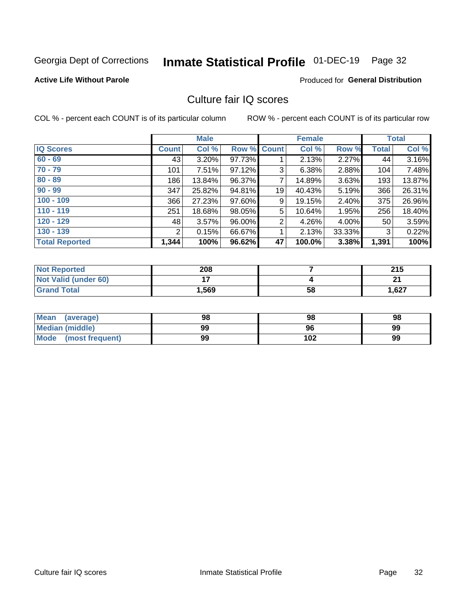## Inmate Statistical Profile 01-DEC-19 Page 32

#### **Active Life Without Parole**

#### Produced for General Distribution

## Culture fair IQ scores

COL % - percent each COUNT is of its particular column

|                       |                | <b>Male</b> |        |                | <b>Female</b> |          |              | <b>Total</b> |
|-----------------------|----------------|-------------|--------|----------------|---------------|----------|--------------|--------------|
| <b>IQ Scores</b>      | <b>Count</b>   | Col %       | Row %  | <b>Count</b>   | Col %         | Row %    | <b>Total</b> | Col %        |
| $60 - 69$             | 43             | $3.20\%$    | 97.73% |                | 2.13%         | $2.27\%$ | 44           | 3.16%        |
| $70 - 79$             | 101            | 7.51%       | 97.12% | 3              | 6.38%         | 2.88%    | 104          | 7.48%        |
| $80 - 89$             | 186            | $13.84\%$   | 96.37% | 7              | 14.89%        | $3.63\%$ | 193          | 13.87%       |
| $90 - 99$             | 347            | 25.82%      | 94.81% | 19             | 40.43%        | 5.19%    | 366          | 26.31%       |
| $100 - 109$           | 366            | 27.23%      | 97.60% | 9              | 19.15%        | 2.40%    | 375          | 26.96%       |
| $110 - 119$           | 251            | 18.68%      | 98.05% | 5              | 10.64%        | 1.95%    | 256          | 18.40%       |
| $120 - 129$           | 48             | $3.57\%$    | 96.00% | $\overline{2}$ | 4.26%         | $4.00\%$ | 50           | 3.59%        |
| $130 - 139$           | $\overline{2}$ | 0.15%       | 66.67% | 1              | 2.13%         | 33.33%   | 3            | 0.22%        |
| <b>Total Reported</b> | 1,344          | 100%        | 96.62% | 47             | 100.0%        | 3.38%    | 1,391        | 100%         |

| <b>Not Reported</b>  | 208   |    | 215   |
|----------------------|-------|----|-------|
| Not Valid (under 60) | . .   |    | ີ     |
| <b>Grand Total</b>   | 1,569 | 58 | 1,627 |

| <b>Mean</b><br>(average) | 98 | 98  | 98 |
|--------------------------|----|-----|----|
| Median (middle)          | 99 | 96  | 99 |
| Mode (most frequent)     | 99 | 102 | 99 |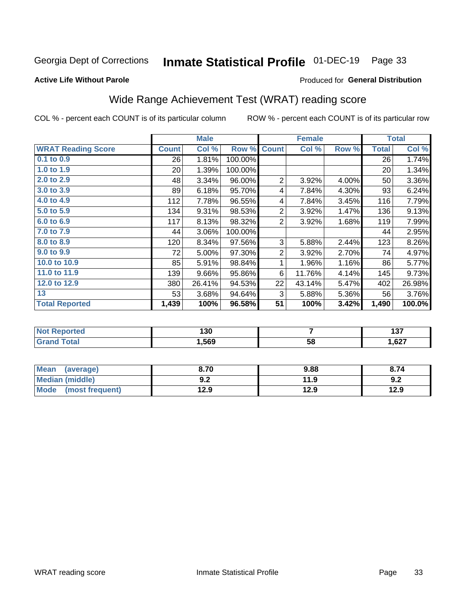## Inmate Statistical Profile 01-DEC-19 Page 33

#### **Active Life Without Parole**

#### Produced for General Distribution

## Wide Range Achievement Test (WRAT) reading score

COL % - percent each COUNT is of its particular column

|                           |                 | <b>Male</b> |         |                | <b>Female</b> |       |              | <b>Total</b> |
|---------------------------|-----------------|-------------|---------|----------------|---------------|-------|--------------|--------------|
| <b>WRAT Reading Score</b> | <b>Count</b>    | Col %       | Row %   | <b>Count</b>   | Col %         | Row % | <b>Total</b> | Col %        |
| $0.1$ to $0.9$            | 26              | 1.81%       | 100.00% |                |               |       | 26           | 1.74%        |
| 1.0 to 1.9                | 20 <sup>2</sup> | 1.39%       | 100.00% |                |               |       | 20           | 1.34%        |
| 2.0 to 2.9                | 48              | 3.34%       | 96.00%  | $\overline{2}$ | 3.92%         | 4.00% | 50           | 3.36%        |
| 3.0 to 3.9                | 89              | 6.18%       | 95.70%  | 4              | 7.84%         | 4.30% | 93           | 6.24%        |
| 4.0 to 4.9                | 112             | 7.78%       | 96.55%  | 4              | 7.84%         | 3.45% | 116          | 7.79%        |
| 5.0 to 5.9                | 134             | 9.31%       | 98.53%  | $\overline{2}$ | 3.92%         | 1.47% | 136          | 9.13%        |
| 6.0 to 6.9                | 117             | 8.13%       | 98.32%  | $\overline{2}$ | 3.92%         | 1.68% | 119          | 7.99%        |
| 7.0 to 7.9                | 44              | 3.06%       | 100.00% |                |               |       | 44           | 2.95%        |
| 8.0 to 8.9                | 120             | 8.34%       | 97.56%  | 3              | 5.88%         | 2.44% | 123          | 8.26%        |
| 9.0 to 9.9                | 72              | 5.00%       | 97.30%  | $\overline{2}$ | 3.92%         | 2.70% | 74           | 4.97%        |
| 10.0 to 10.9              | 85              | 5.91%       | 98.84%  | 1              | 1.96%         | 1.16% | 86           | 5.77%        |
| 11.0 to 11.9              | 139             | 9.66%       | 95.86%  | 6              | 11.76%        | 4.14% | 145          | 9.73%        |
| 12.0 to 12.9              | 380             | 26.41%      | 94.53%  | 22             | 43.14%        | 5.47% | 402          | 26.98%       |
| 13                        | 53              | 3.68%       | 94.64%  | 3              | 5.88%         | 5.36% | 56           | 3.76%        |
| <b>Total Reported</b>     | 1,439           | 100%        | 96.58%  | 51             | 100%          | 3.42% | 1,490        | 100.0%       |

| <b>orted</b><br><b>NOT</b> | 130  |    | 107<br>וטו |
|----------------------------|------|----|------------|
|                            | ,569 | 58 | 1,627      |

| <b>Mean</b><br>(average)       | 8.70         | 9.88 | 8.74 |
|--------------------------------|--------------|------|------|
| <b>Median (middle)</b>         | י ה<br>้ ⊎.∠ | 11.9 | 9.2  |
| <b>Mode</b><br>(most frequent) | 12.9         | 12.9 | 12.9 |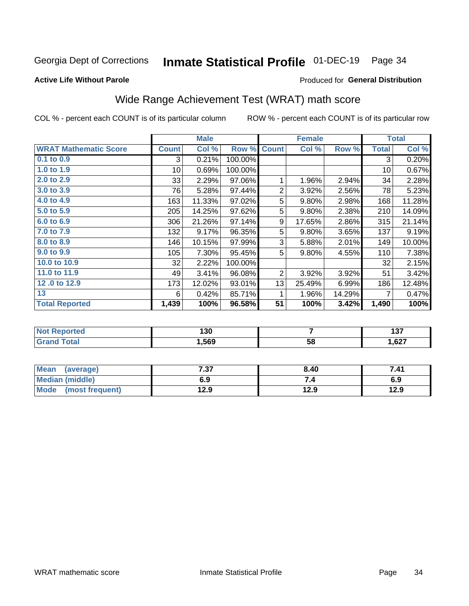#### Inmate Statistical Profile 01-DEC-19 Page 34

#### **Active Life Without Parole**

#### Produced for General Distribution

## Wide Range Achievement Test (WRAT) math score

COL % - percent each COUNT is of its particular column

|                              |                 | <b>Male</b> |         |                | <b>Female</b> |        |              | <b>Total</b> |
|------------------------------|-----------------|-------------|---------|----------------|---------------|--------|--------------|--------------|
| <b>WRAT Mathematic Score</b> | <b>Count</b>    | Col %       | Row %   | <b>Count</b>   | Col %         | Row %  | <b>Total</b> | Col %        |
| 0.1 to 0.9                   | 3               | 0.21%       | 100.00% |                |               |        | 3            | 0.20%        |
| 1.0 to 1.9                   | 10 <sup>1</sup> | 0.69%       | 100.00% |                |               |        | 10           | 0.67%        |
| 2.0 to 2.9                   | 33              | 2.29%       | 97.06%  | 1              | 1.96%         | 2.94%  | 34           | 2.28%        |
| 3.0 to 3.9                   | 76              | 5.28%       | 97.44%  | $\overline{2}$ | 3.92%         | 2.56%  | 78           | 5.23%        |
| 4.0 to 4.9                   | 163             | 11.33%      | 97.02%  | 5              | 9.80%         | 2.98%  | 168          | 11.28%       |
| 5.0 to 5.9                   | 205             | 14.25%      | 97.62%  | 5              | 9.80%         | 2.38%  | 210          | 14.09%       |
| 6.0 to 6.9                   | 306             | 21.26%      | 97.14%  | 9              | 17.65%        | 2.86%  | 315          | 21.14%       |
| 7.0 to 7.9                   | 132             | 9.17%       | 96.35%  | 5              | 9.80%         | 3.65%  | 137          | 9.19%        |
| 8.0 to 8.9                   | 146             | 10.15%      | 97.99%  | 3              | 5.88%         | 2.01%  | 149          | 10.00%       |
| 9.0 to 9.9                   | 105             | 7.30%       | 95.45%  | 5              | 9.80%         | 4.55%  | 110          | 7.38%        |
| 10.0 to 10.9                 | 32              | 2.22%       | 100.00% |                |               |        | 32           | 2.15%        |
| 11.0 to 11.9                 | 49              | 3.41%       | 96.08%  | $\overline{2}$ | 3.92%         | 3.92%  | 51           | 3.42%        |
| 12.0 to 12.9                 | 173             | 12.02%      | 93.01%  | 13             | 25.49%        | 6.99%  | 186          | 12.48%       |
| 13                           | 6               | 0.42%       | 85.71%  | 1              | 1.96%         | 14.29% | 7            | 0.47%        |
| <b>Total Reported</b>        | 1,439           | 100%        | 96.58%  | 51             | 100%          | 3.42%  | 1,490        | 100%         |

| rtea<br>NOT<br>                    | 130  |    | .<br>1 J I |
|------------------------------------|------|----|------------|
| $f \wedge f \wedge f'$<br>$\sim$ . | ,569 | 58 | 1,627      |

| Mean<br>(average)      | 7.37 | 8.40 | 7.41 |
|------------------------|------|------|------|
| <b>Median (middle)</b> | 6.9  |      | 6.9  |
| Mode (most frequent)   | 12.9 | 12.9 | 12.9 |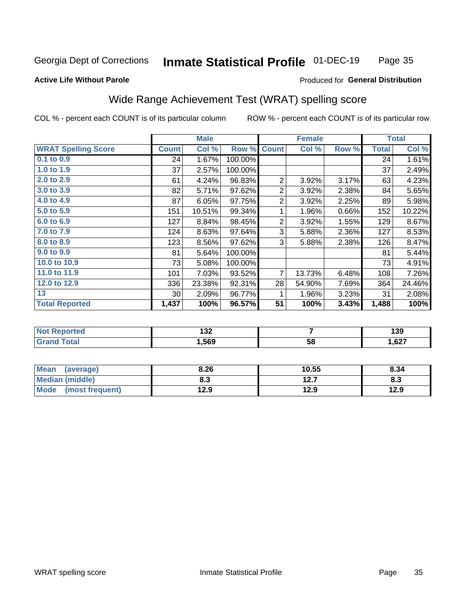#### Inmate Statistical Profile 01-DEC-19 Page 35

#### **Active Life Without Parole**

#### Produced for General Distribution

## Wide Range Achievement Test (WRAT) spelling score

COL % - percent each COUNT is of its particular column

|                            |              | <b>Male</b> |         | <b>Female</b>  |                |       | <b>Total</b> |        |
|----------------------------|--------------|-------------|---------|----------------|----------------|-------|--------------|--------|
| <b>WRAT Spelling Score</b> | <b>Count</b> | Col %       | Row %   | <b>Count</b>   | Col %          | Row % | <b>Total</b> | Col %  |
| 0.1 to 0.9                 | 24           | 1.67%       | 100.00% |                |                |       | 24           | 1.61%  |
| 1.0 to 1.9                 | 37           | 2.57%       | 100.00% |                |                |       | 37           | 2.49%  |
| 2.0 to 2.9                 | 61           | 4.24%       | 96.83%  | 2              | 3.92%          | 3.17% | 63           | 4.23%  |
| 3.0 to 3.9                 | 82           | 5.71%       | 97.62%  | $\overline{c}$ | 3.92%          | 2.38% | 84           | 5.65%  |
| 4.0 to 4.9                 | 87           | 6.05%       | 97.75%  | $\overline{2}$ | 3.92%          | 2.25% | 89           | 5.98%  |
| 5.0 to 5.9                 | 151          | 10.51%      | 99.34%  | 1              | 1.96%          | 0.66% | 152          | 10.22% |
| 6.0 to 6.9                 | 127          | 8.84%       | 98.45%  | $\overline{2}$ | 3.92%          | 1.55% | 129          | 8.67%  |
| 7.0 to 7.9                 | 124          | 8.63%       | 97.64%  | 3              | 5.88%          | 2.36% | 127          | 8.53%  |
| 8.0 to 8.9                 | 123          | 8.56%       | 97.62%  | 3              | 5.88%          | 2.38% | 126          | 8.47%  |
| 9.0 to 9.9                 | 81           | 5.64%       | 100.00% |                |                |       | 81           | 5.44%  |
| 10.0 to 10.9               | 73           | 5.08%       | 100.00% |                |                |       | 73           | 4.91%  |
| 11.0 to 11.9               | 101          | 7.03%       | 93.52%  | $\overline{7}$ | 13.73%         | 6.48% | 108          | 7.26%  |
| 12.0 to 12.9               | 336          | 23.38%      | 92.31%  | 28             | 54.90%         | 7.69% | 364          | 24.46% |
| 13                         | 30           | 2.09%       | 96.77%  | 1              | 1.96%          | 3.23% | 31           | 2.08%  |
| <b>Total Reported</b>      | 1,437        | 100%        | 96.57%  | 51             | 100%           | 3.43% | 1,488        | 100%   |
|                            |              |             |         |                |                |       |              |        |
| <b>Not Reported</b>        |              | 132         |         |                | $\overline{7}$ |       | 139          |        |
| <b>Grand Total</b>         |              | 1,569       |         |                | 58             |       |              | 1,627  |

| <b>Mean</b><br>(average)       | 8.26 | 10.55        | 8.34 |
|--------------------------------|------|--------------|------|
| Median (middle)                | o. J | 127<br>I 4.I | ი.ა  |
| <b>Mode</b><br>(most frequent) | 12.9 | 12.9         | 12.9 |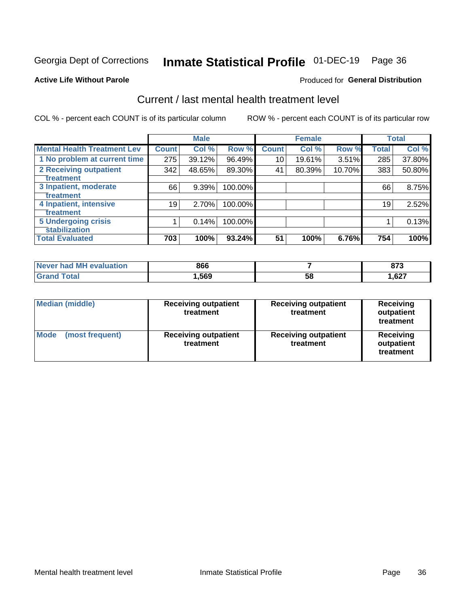## Inmate Statistical Profile 01-DEC-19 Page 36

#### **Active Life Without Parole**

#### Produced for General Distribution

## Current / last mental health treatment level

COL % - percent each COUNT is of its particular column

|                                    |              | <b>Male</b> |         |              | <b>Female</b> |        |              | <b>Total</b> |
|------------------------------------|--------------|-------------|---------|--------------|---------------|--------|--------------|--------------|
| <b>Mental Health Treatment Lev</b> | <b>Count</b> | Col %       | Row %   | <b>Count</b> | Col %         | Row %  | <b>Total</b> | Col %        |
| 1 No problem at current time       | 275          | 39.12%      | 96.49%  | 10           | 19.61%        | 3.51%  | 285          | 37.80%       |
| 2 Receiving outpatient             | 342          | 48.65%      | 89.30%  | 41           | 80.39%        | 10.70% | 383          | 50.80%       |
| <b>Treatment</b>                   |              |             |         |              |               |        |              |              |
| 3 Inpatient, moderate              | 66           | 9.39%       | 100.00% |              |               |        | 66           | 8.75%        |
| Treatment                          |              |             |         |              |               |        |              |              |
| 4 Inpatient, intensive             | 19           | 2.70%       | 100.00% |              |               |        | 19           | 2.52%        |
| Treatment                          |              |             |         |              |               |        |              |              |
| <b>5 Undergoing crisis</b>         |              | 0.14%       | 100.00% |              |               |        |              | 0.13%        |
| <b>stabilization</b>               |              |             |         |              |               |        |              |              |
| <b>Total Evaluated</b>             | 703          | 100%        | 93.24%  | 51           | 100%          | 6.76%  | 754          | 100%         |

| <b>evaluation</b><br>Never had MI | 866  |    | 679<br>. . J |
|-----------------------------------|------|----|--------------|
| int                               | ,569 | 58 | ,627         |

| Median (middle)<br><b>Receiving outpatient</b><br>treatment |                                          | <b>Receiving outpatient</b><br>treatment | <b>Receiving</b><br>outpatient<br>treatment |  |
|-------------------------------------------------------------|------------------------------------------|------------------------------------------|---------------------------------------------|--|
| <b>Mode</b><br>(most frequent)                              | <b>Receiving outpatient</b><br>treatment | <b>Receiving outpatient</b><br>treatment | <b>Receiving</b><br>outpatient<br>treatment |  |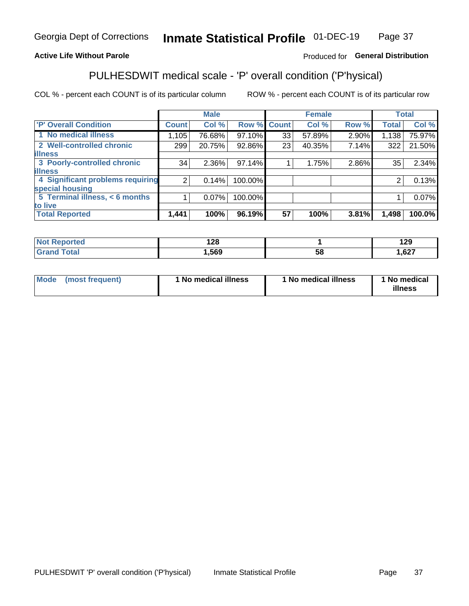#### Inmate Statistical Profile 01-DEC-19 Page 37

#### **Active Life Without Parole**

#### Produced for General Distribution

## PULHESDWIT medical scale - 'P' overall condition ('P'hysical)

COL % - percent each COUNT is of its particular column

|                                  |                | <b>Male</b> |             |    | <b>Female</b> |       |              | <b>Total</b> |
|----------------------------------|----------------|-------------|-------------|----|---------------|-------|--------------|--------------|
| 'P' Overall Condition            | <b>Count</b>   | Col %       | Row % Count |    | Col %         | Row % | <b>Total</b> | Col %        |
| 1 No medical illness             | 1,105          | 76.68%      | 97.10%      | 33 | 57.89%        | 2.90% | 1,138        | 75.97%       |
| 2 Well-controlled chronic        | 299            | 20.75%      | 92.86%      | 23 | 40.35%        | 7.14% | 322          | 21.50%       |
| <b>lillness</b>                  |                |             |             |    |               |       |              |              |
| 3 Poorly-controlled chronic      | 34             | $2.36\%$    | 97.14%      |    | 1.75%         | 2.86% | 35           | 2.34%        |
| <b>illness</b>                   |                |             |             |    |               |       |              |              |
| 4 Significant problems requiring | 2 <sub>1</sub> | 0.14%       | 100.00%     |    |               |       | 2            | 0.13%        |
| special housing                  |                |             |             |    |               |       |              |              |
| 5 Terminal illness, < 6 months   |                | 0.07%       | 100.00%     |    |               |       |              | 0.07%        |
| to live                          |                |             |             |    |               |       |              |              |
| <b>Total Reported</b>            | 1,441          | 100%        | 96.19%      | 57 | 100%          | 3.81% | 1,498        | 100.0%       |

| neo   | 190  |    | 1 20  |
|-------|------|----|-------|
| .     | 14 U |    | 1 L J |
| _____ | ,569 | ၁၀ | ,627  |

|  |  | Mode (most frequent) | 1 No medical illness | 1 No medical illness | 1 No medical<br>illness |
|--|--|----------------------|----------------------|----------------------|-------------------------|
|--|--|----------------------|----------------------|----------------------|-------------------------|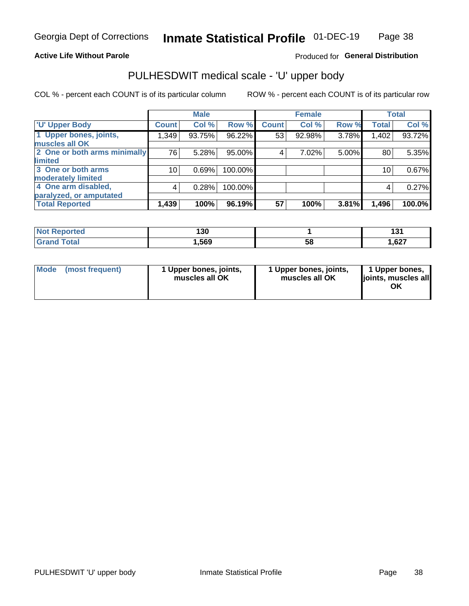#### **Active Life Without Parole**

#### Produced for General Distribution

## PULHESDWIT medical scale - 'U' upper body

COL % - percent each COUNT is of its particular column

|                              |                 | <b>Male</b> |         |              | <b>Female</b> |       |              | <b>Total</b> |
|------------------------------|-----------------|-------------|---------|--------------|---------------|-------|--------------|--------------|
| <b>U' Upper Body</b>         | <b>Count</b>    | Col %       | Row %   | <b>Count</b> | Col %         | Row % | <b>Total</b> | Col %        |
| 1 Upper bones, joints,       | 1,349           | 93.75%      | 96.22%  | 53           | 92.98%        | 3.78% | 1,402        | 93.72%       |
| muscles all OK               |                 |             |         |              |               |       |              |              |
| 2 One or both arms minimally | 76              | 5.28%       | 95.00%  | 4            | 7.02%         | 5.00% | 80           | 5.35%        |
| <b>limited</b>               |                 |             |         |              |               |       |              |              |
| 3 One or both arms           | 10 <sub>1</sub> | 0.69%       | 100.00% |              |               |       | 10           | 0.67%        |
| <b>moderately limited</b>    |                 |             |         |              |               |       |              |              |
| 4 One arm disabled,          | 4               | 0.28%       | 100.00% |              |               |       | 4            | 0.27%        |
| paralyzed, or amputated      |                 |             |         |              |               |       |              |              |
| <b>Total Reported</b>        | 1,439           | 100%        | 96.19%  | 57           | 100%          | 3.81% | 1,496        | 100.0%       |

| <b>Not Reported</b> | 130  |    | ໍາ<br>ושו |
|---------------------|------|----|-----------|
| <b>Total</b>        | ,569 | 58 | 627ء      |

| Mode | (most frequent) | 1 Upper bones, joints,<br>muscles all OK | 1 Upper bones, joints,<br>muscles all OK | 1 Upper bones,<br>ljoints, muscles all<br>OK |
|------|-----------------|------------------------------------------|------------------------------------------|----------------------------------------------|
|------|-----------------|------------------------------------------|------------------------------------------|----------------------------------------------|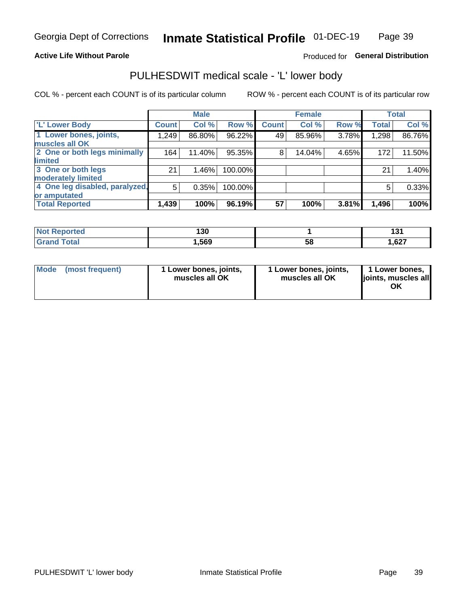#### **Active Life Without Parole**

#### Produced for General Distribution

## PULHESDWIT medical scale - 'L' lower body

COL % - percent each COUNT is of its particular column

|                                |              | <b>Male</b> |         |              | <b>Female</b> |       |              | <b>Total</b> |
|--------------------------------|--------------|-------------|---------|--------------|---------------|-------|--------------|--------------|
| 'L' Lower Body                 | <b>Count</b> | Col %       | Row %   | <b>Count</b> | Col %         | Row % | <b>Total</b> | Col %        |
| 1 Lower bones, joints,         | 1,249        | 86.80%      | 96.22%  | 49           | 85.96%        | 3.78% | 1,298        | 86.76%       |
| muscles all OK                 |              |             |         |              |               |       |              |              |
| 2 One or both legs minimally   | 164          | 11.40%      | 95.35%  | 8            | 14.04%        | 4.65% | 172          | 11.50%       |
| limited                        |              |             |         |              |               |       |              |              |
| 3 One or both legs             | 21           | 1.46%       | 100.00% |              |               |       | 21           | 1.40%        |
| moderately limited             |              |             |         |              |               |       |              |              |
| 4 One leg disabled, paralyzed, | 5            | 0.35%       | 100.00% |              |               |       | 5            | 0.33%        |
| or amputated                   |              |             |         |              |               |       |              |              |
| <b>Total Reported</b>          | 1,439        | 100%        | 96.19%  | 57           | 100%          | 3.81% | 1,496        | 100%         |

| <b>Not Reported</b> | 130  |    | ໍາ<br>ושו |
|---------------------|------|----|-----------|
| <b>Total</b>        | ,569 | 58 | 627ء      |

| Mode | (most frequent) | 1 Lower bones, joints,<br>muscles all OK | 1 Lower bones, joints,<br>muscles all OK | 1 Lower bones,<br>ljoints, muscles all<br>ΟK |
|------|-----------------|------------------------------------------|------------------------------------------|----------------------------------------------|
|------|-----------------|------------------------------------------|------------------------------------------|----------------------------------------------|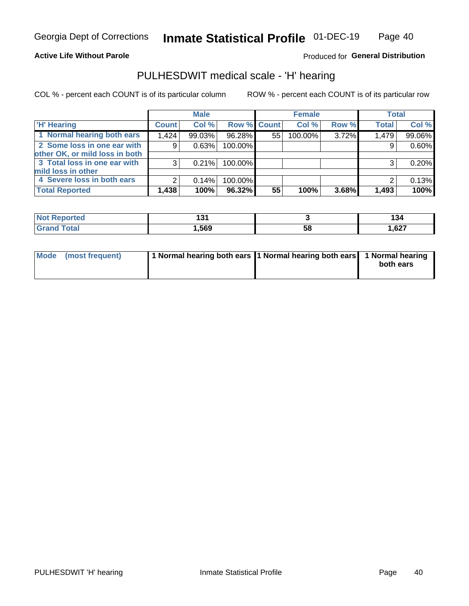#### **Active Life Without Parole**

Produced for General Distribution

### PULHESDWIT medical scale - 'H' hearing

COL % - percent each COUNT is of its particular column

|                                |              | <b>Male</b> |             |    | <b>Female</b> |       | <b>Total</b> |        |
|--------------------------------|--------------|-------------|-------------|----|---------------|-------|--------------|--------|
| <b>H' Hearing</b>              | <b>Count</b> | Col %       | Row % Count |    | Col %         | Row % | <b>Total</b> | Col %  |
| 1 Normal hearing both ears     | 1,424        | 99.03%      | 96.28%      | 55 | 100.00%       | 3.72% | 1,479        | 99.06% |
| 2 Some loss in one ear with    | 9            | 0.63%       | 100.00%     |    |               |       | 9            | 0.60%  |
| other OK, or mild loss in both |              |             |             |    |               |       |              |        |
| 3 Total loss in one ear with   | 3            | 0.21%       | 100.00%     |    |               |       | 3            | 0.20%  |
| mild loss in other             |              |             |             |    |               |       |              |        |
| 4 Severe loss in both ears     | 2            | 0.14%       | 100.00%     |    |               |       |              | 0.13%  |
| <b>Total Reported</b>          | 1,438        | 100%        | 96.32%      | 55 | 100%          | 3.68% | 1,493        | 100%   |

| N<br>тео |      |    | 134   |
|----------|------|----|-------|
| _____    | ,569 | აა | 1,627 |

| Mode (most frequent) | 1 Normal hearing both ears 1 Normal hearing both ears 1 Normal hearing | both ears |
|----------------------|------------------------------------------------------------------------|-----------|
|                      |                                                                        |           |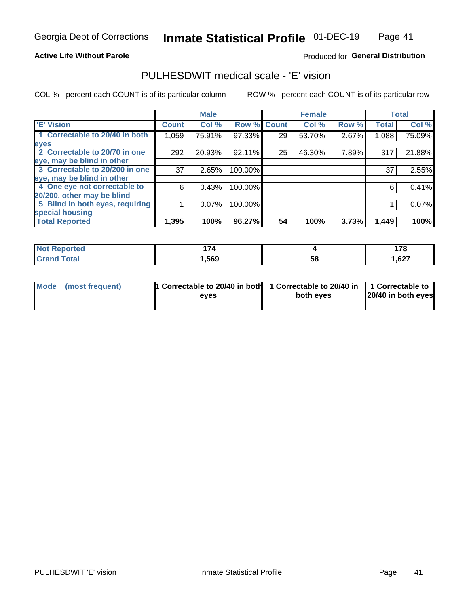#### **Active Life Without Parole**

#### Produced for General Distribution

### PULHESDWIT medical scale - 'E' vision

COL % - percent each COUNT is of its particular column

|                                 |              | <b>Male</b> |         |              | <b>Female</b> |       |              | <b>Total</b> |
|---------------------------------|--------------|-------------|---------|--------------|---------------|-------|--------------|--------------|
| <b>E' Vision</b>                | <b>Count</b> | Col %       | Row %   | <b>Count</b> | Col %         | Row % | <b>Total</b> | Col %        |
| 1 Correctable to 20/40 in both  | 1,059        | 75.91%      | 97.33%  | 29           | 53.70%        | 2.67% | 1,088        | 75.09%       |
| eyes                            |              |             |         |              |               |       |              |              |
| 2 Correctable to 20/70 in one   | 292          | 20.93%      | 92.11%  | 25           | 46.30%        | 7.89% | 317          | 21.88%       |
| eye, may be blind in other      |              |             |         |              |               |       |              |              |
| 3 Correctable to 20/200 in one  | 37           | 2.65%       | 100.00% |              |               |       | 37           | 2.55%        |
| eye, may be blind in other      |              |             |         |              |               |       |              |              |
| 4 One eye not correctable to    | 6            | 0.43%       | 100.00% |              |               |       | 6            | 0.41%        |
| 20/200, other may be blind      |              |             |         |              |               |       |              |              |
| 5 Blind in both eyes, requiring |              | 0.07%       | 100.00% |              |               |       |              | 0.07%        |
| special housing                 |              |             |         |              |               |       |              |              |
| <b>Total Reported</b>           | 1,395        | 100%        | 96.27%  | 54           | 100%          | 3.73% | 1,449        | 100%         |

| <b>rted</b>           | 171  |    | 170     |
|-----------------------|------|----|---------|
| NO                    |      |    | <u></u> |
| $f \wedge f \wedge f$ | ,569 | 58 | 627,    |

| Mode (most frequent) | 1 Correctable to 20/40 in both<br>eves | 1 Correctable to 20/40 in   1 Correctable to  <br>both eyes | 20/40 in both eyes |
|----------------------|----------------------------------------|-------------------------------------------------------------|--------------------|
|                      |                                        |                                                             |                    |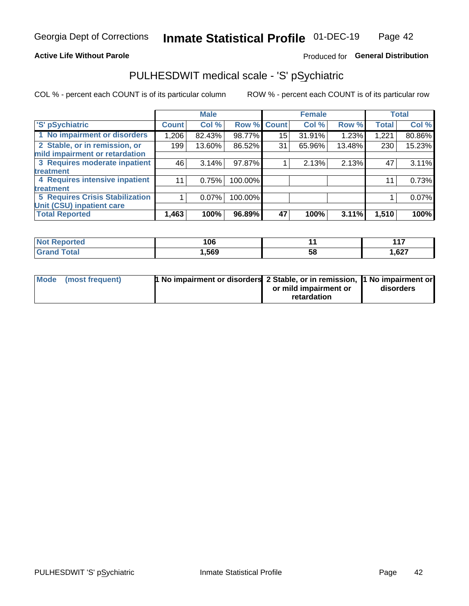#### **Active Life Without Parole**

### Produced for General Distribution

## PULHESDWIT medical scale - 'S' pSychiatric

COL % - percent each COUNT is of its particular column

|                                        |              | <b>Male</b> |         |                 | <b>Female</b> |        |              | <b>Total</b> |
|----------------------------------------|--------------|-------------|---------|-----------------|---------------|--------|--------------|--------------|
| 'S' pSychiatric                        | <b>Count</b> | Col %       |         | Row % Count     | Col %         | Row %  | <b>Total</b> | Col %        |
| 1 No impairment or disorders           | 1,206        | 82.43%      | 98.77%  | 15 <sup>1</sup> | 31.91%        | 1.23%  | 1,221        | 80.86%       |
| 2 Stable, or in remission, or          | 199          | 13.60%      | 86.52%  | 31              | 65.96%        | 13.48% | 230          | 15.23%       |
| mild impairment or retardation         |              |             |         |                 |               |        |              |              |
| 3 Requires moderate inpatient          | 46           | 3.14%       | 97.87%  |                 | 2.13%         | 2.13%  | 47           | 3.11%        |
| treatment                              |              |             |         |                 |               |        |              |              |
| 4 Requires intensive inpatient         | 11           | 0.75%       | 100.00% |                 |               |        | 11           | 0.73%        |
| treatment                              |              |             |         |                 |               |        |              |              |
| <b>5 Requires Crisis Stabilization</b> |              | 0.07%       | 100.00% |                 |               |        |              | 0.07%        |
| Unit (CSU) inpatient care              |              |             |         |                 |               |        |              |              |
| <b>Total Reported</b>                  | 1,463        | 100%        | 96.89%  | 47              | 100%          | 3.11%  | 1,510        | 100%         |

| <b>Not Reported</b>   | 106   |    | 147   |
|-----------------------|-------|----|-------|
| <b>Total</b><br>Grand | 569,، | วง | 1,627 |

| Mode (most frequent) | 1 No impairment or disorders 2 Stable, or in remission, 11 No impairment or |                       |           |
|----------------------|-----------------------------------------------------------------------------|-----------------------|-----------|
|                      |                                                                             | or mild impairment or | disorders |
|                      |                                                                             | retardation           |           |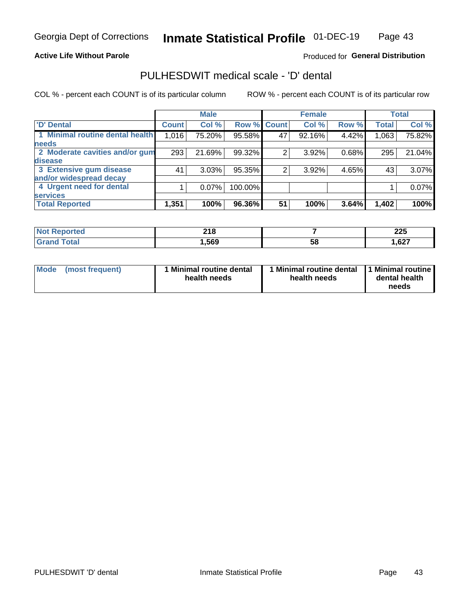**Active Life Without Parole** 

#### Produced for General Distribution

## PULHESDWIT medical scale - 'D' dental

COL % - percent each COUNT is of its particular column

|                                 |              | <b>Male</b> |         |             | <b>Female</b> |       |              | <b>Total</b> |
|---------------------------------|--------------|-------------|---------|-------------|---------------|-------|--------------|--------------|
| <b>D'</b> Dental                | <b>Count</b> | Col %       |         | Row % Count | Col %         | Row % | <b>Total</b> | Col %        |
| 1 Minimal routine dental health | 1,016        | 75.20%      | 95.58%  | 47          | 92.16%        | 4.42% | 1,063        | 75.82%       |
| <b>needs</b>                    |              |             |         |             |               |       |              |              |
| 2 Moderate cavities and/or gum  | 293          | 21.69%      | 99.32%  |             | 3.92%         | 0.68% | 295          | 21.04%       |
| disease                         |              |             |         |             |               |       |              |              |
| 3 Extensive gum disease         | 41           | 3.03%       | 95.35%  | ົ           | 3.92%         | 4.65% | 43           | 3.07%        |
| and/or widespread decay         |              |             |         |             |               |       |              |              |
| 4 Urgent need for dental        |              | 0.07%       | 100.00% |             |               |       |              | 0.07%        |
| <b>services</b>                 |              |             |         |             |               |       |              |              |
| <b>Total Reported</b>           | 1,351        | 100%        | 96.36%  | 51          | 100%          | 3.64% | 1,402        | 100%         |

| ాorted<br>NOT RADO<br>. | 24C<br>21 D |    | へへに<br>ZZJ |
|-------------------------|-------------|----|------------|
| Гоtal                   | ,569        | 58 | 1,627      |

| <b>Mode</b> | (most frequent) | <b>Minimal routine dental</b><br>health needs | 1 Minimal routine dental<br>health needs | <b>11 Minimal routine I</b><br>dental health<br>needs |
|-------------|-----------------|-----------------------------------------------|------------------------------------------|-------------------------------------------------------|
|-------------|-----------------|-----------------------------------------------|------------------------------------------|-------------------------------------------------------|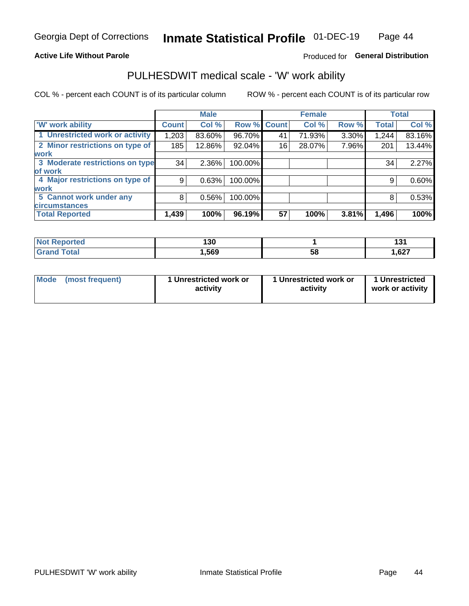#### **Active Life Without Parole**

#### Produced for General Distribution

### PULHESDWIT medical scale - 'W' work ability

COL % - percent each COUNT is of its particular column

|                                 |                    | <b>Male</b> |         |             | <b>Female</b> |       |              | <b>Total</b> |
|---------------------------------|--------------------|-------------|---------|-------------|---------------|-------|--------------|--------------|
| <b>W' work ability</b>          | Count <sup>'</sup> | Col %       |         | Row % Count | Col %         | Row % | <b>Total</b> | Col %        |
| 1 Unrestricted work or activity | 1,203              | 83.60%      | 96.70%  | 41          | 71.93%        | 3.30% | 1,244        | 83.16%       |
| 2 Minor restrictions on type of | 185                | 12.86%      | 92.04%  | 16          | 28.07%        | 7.96% | 201          | 13.44%       |
| <b>work</b>                     |                    |             |         |             |               |       |              |              |
| 3 Moderate restrictions on type | 34                 | $2.36\%$    | 100.00% |             |               |       | 34           | 2.27%        |
| lof work                        |                    |             |         |             |               |       |              |              |
| 4 Major restrictions on type of | 9                  | 0.63%       | 100.00% |             |               |       | 9            | 0.60%        |
| <b>work</b>                     |                    |             |         |             |               |       |              |              |
| 5 Cannot work under any         | 8                  | 0.56%       | 100.00% |             |               |       | 8            | 0.53%        |
| <b>circumstances</b>            |                    |             |         |             |               |       |              |              |
| <b>Total Reported</b>           | 1,439              | 100%        | 96.19%  | 57          | 100%          | 3.81% | 1,496        | 100%         |

| <b>Not Reported</b>          | 190<br>טט ו |   | ^^<br><u></u> |
|------------------------------|-------------|---|---------------|
| <b>Total</b><br><b>C</b> ron | 569, ا      | ວ | 1,627         |

| Mode            | 1 Unrestricted work or | 1 Unrestricted work or | 1 Unrestricted   |
|-----------------|------------------------|------------------------|------------------|
| (most frequent) | activity               | activity               | work or activity |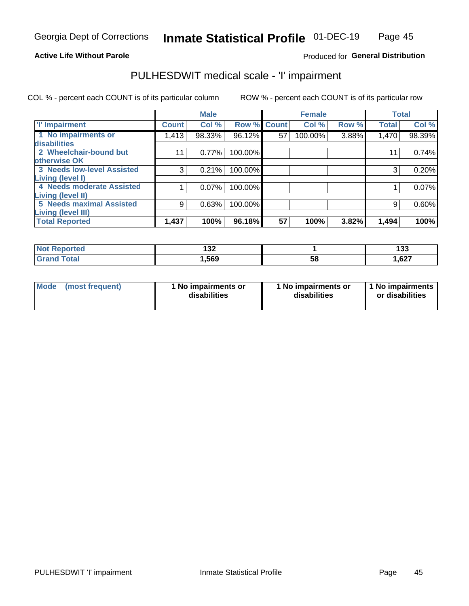#### **Active Life Without Parole**

#### Produced for General Distribution

## PULHESDWIT medical scale - 'I' impairment

|                                                              |              | <b>Male</b> |             |    | <b>Female</b> |       |              | <b>Total</b> |
|--------------------------------------------------------------|--------------|-------------|-------------|----|---------------|-------|--------------|--------------|
| <b>T' Impairment</b>                                         | <b>Count</b> | Col %       | Row % Count |    | Col %         | Row % | <b>Total</b> | Col %        |
| 1 No impairments or<br>disabilities                          | 1,413        | 98.33%      | 96.12%      | 57 | 100.00%       | 3.88% | 1,470        | 98.39%       |
| 2 Wheelchair-bound but<br>otherwise OK                       |              | 0.77%       | 100.00%     |    |               |       | 11           | 0.74%        |
| <b>3 Needs low-level Assisted</b><br>Living (level I)        | 3            | 0.21%       | 100.00%     |    |               |       | 3            | 0.20%        |
| 4 Needs moderate Assisted<br>Living (level II)               |              | 0.07%       | 100.00%     |    |               |       |              | 0.07%        |
| <b>5 Needs maximal Assisted</b><br><b>Living (level III)</b> | 9            | 0.63%       | 100.00%     |    |               |       | 9            | 0.60%        |
| <b>Total Reported</b>                                        | 1,437        | 100%        | 96.18%      | 57 | 100%          | 3.82% | 1,494        | 100%         |

| orted            | .<br>IJZ |    | 492<br>၊ ၁၁ |
|------------------|----------|----|-------------|
| ota <sub>i</sub> | ,569     | 58 | 1,627       |

| <b>Mode</b> | (most frequent) | <b>No impairments or</b><br>disabilities | 1 No impairments or<br>disabilities | 1 No impairments<br>or disabilities |
|-------------|-----------------|------------------------------------------|-------------------------------------|-------------------------------------|
|-------------|-----------------|------------------------------------------|-------------------------------------|-------------------------------------|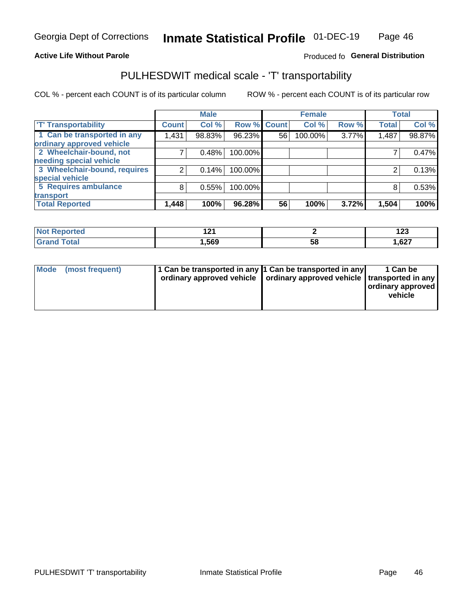#### **Active Life Without Parole**

#### Produced fo General Distribution

## PULHESDWIT medical scale - 'T' transportability

COL % - percent each COUNT is of its particular column

|                              |              | <b>Male</b> |             |    | <b>Female</b> |       |              | <b>Total</b> |
|------------------------------|--------------|-------------|-------------|----|---------------|-------|--------------|--------------|
| <b>T' Transportability</b>   | <b>Count</b> | Col %       | Row % Count |    | Col %         | Row % | <b>Total</b> | Col %        |
| 1 Can be transported in any  | 1,431        | 98.83%      | 96.23%      | 56 | 100.00%       | 3.77% | 1,487        | 98.87%       |
| ordinary approved vehicle    |              |             |             |    |               |       |              |              |
| 2 Wheelchair-bound, not      |              | 0.48%       | 100.00%     |    |               |       |              | 0.47%        |
| needing special vehicle      |              |             |             |    |               |       |              |              |
| 3 Wheelchair-bound, requires |              | 0.14%       | 100.00%     |    |               |       |              | 0.13%        |
| special vehicle              |              |             |             |    |               |       |              |              |
| 5 Requires ambulance         | 8            | 0.55%       | 100.00%     |    |               |       |              | 0.53%        |
| transport                    |              |             |             |    |               |       |              |              |
| <b>Total Reported</b>        | 1,448        | 100%        | 96.28%      | 56 | 100%          | 3.72% | 1,504        | 100%         |

| <b>orted</b> | $\sim$<br>. |    | י ה<br>14J |
|--------------|-------------|----|------------|
| <b>otal</b>  | 1,569       | Ⴢჾ | 1,627      |

| <b>Mode</b> | (most frequent) | 1 Can be transported in any 1 Can be transported in any | ordinary approved vehicle   ordinary approved vehicle   transported in any | 1 Can be<br>  ordinary approved  <br>vehicle |
|-------------|-----------------|---------------------------------------------------------|----------------------------------------------------------------------------|----------------------------------------------|
|-------------|-----------------|---------------------------------------------------------|----------------------------------------------------------------------------|----------------------------------------------|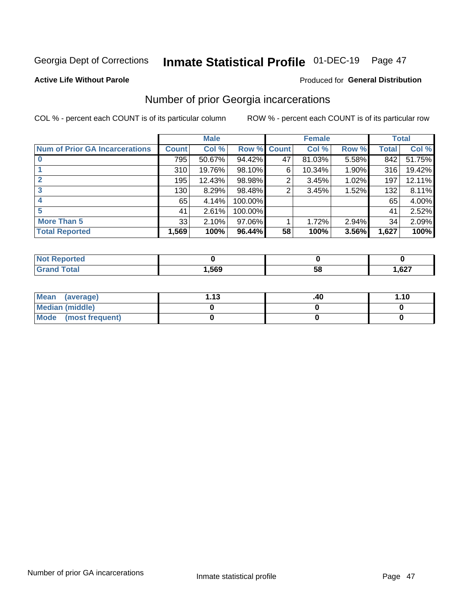## Inmate Statistical Profile 01-DEC-19 Page 47

#### **Active Life Without Parole**

#### Produced for General Distribution

### Number of prior Georgia incarcerations

COL % - percent each COUNT is of its particular column

|                                       |       | <b>Male</b> |             |    | <b>Female</b> |       |       | <b>Total</b> |
|---------------------------------------|-------|-------------|-------------|----|---------------|-------|-------|--------------|
| <b>Num of Prior GA Incarcerations</b> | Count | Col %       | Row % Count |    | Col %         | Row % | Total | Col %        |
| $\bf{0}$                              | 795   | 50.67%      | 94.42%      | 47 | 81.03%        | 5.58% | 842   | 51.75%       |
|                                       | 310   | 19.76%      | 98.10%      | 6  | 10.34%        | 1.90% | 316   | 19.42%       |
|                                       | 195   | 12.43%      | 98.98%      | 2  | 3.45%         | 1.02% | 197   | 12.11%       |
| 3                                     | 130   | 8.29%       | 98.48%      | 2  | 3.45%         | 1.52% | 132   | 8.11%        |
| 4                                     | 65    | 4.14%       | 100.00%     |    |               |       | 65    | 4.00%        |
| 5                                     | 41    | 2.61%       | 100.00%     |    |               |       | 41    | 2.52%        |
| <b>More Than 5</b>                    | 33    | 2.10%       | $97.06\%$   |    | 1.72%         | 2.94% | 34    | 2.09%        |
| <b>Total Reported</b>                 | 1,569 | 100%        | 96.44%      | 58 | 100%          | 3.56% | 1,627 | 100%         |

| orted                           |      |            |      |
|---------------------------------|------|------------|------|
| <b>otal</b><br>$\mathbf{v}$ and | ,569 | - 12<br>JL | ,627 |

| Mean (average)       | 1 1 2 | .40 | 1.10 |
|----------------------|-------|-----|------|
| Median (middle)      |       |     |      |
| Mode (most frequent) |       |     |      |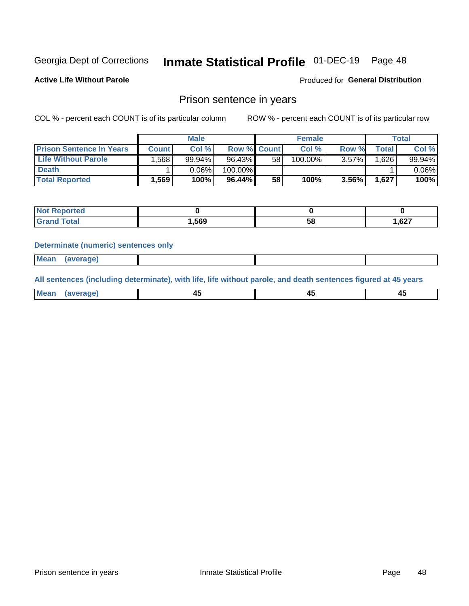## Inmate Statistical Profile 01-DEC-19 Page 48

**Active Life Without Parole** 

Produced for General Distribution

### Prison sentence in years

COL % - percent each COUNT is of its particular column

ROW % - percent each COUNT is of its particular row

|                                 |              | <b>Male</b> |                    |    | <b>Female</b> | Total    |             |          |
|---------------------------------|--------------|-------------|--------------------|----|---------------|----------|-------------|----------|
| <b>Prison Sentence In Years</b> | <b>Count</b> | Col %       | <b>Row % Count</b> |    | Col %         | Row %    | $\tau$ otal | Col %    |
| <b>Life Without Parole</b>      | .568         | 99.94%      | 96.43%             | 58 | 100.00%       | $3.57\%$ | .626        | 99.94%   |
| <b>Death</b>                    |              | $0.06\%$    | 100.00%            |    |               |          |             | $0.06\%$ |
| <b>Total Reported</b>           | .569         | 100%        | 96.44%             | 58 | 100%          | $3.56\%$ | 1,627       | 100%     |

| rted        |              |    |                 |
|-------------|--------------|----|-----------------|
| <b>otal</b> | <b>1.569</b> | эс | 0.27<br>/ ∠ס, ו |

#### **Determinate (numeric) sentences only**

| ' Mea<br><b>Service</b> A<br>ЯМА. |  |  |  |
|-----------------------------------|--|--|--|
|                                   |  |  |  |

All sentences (including determinate), with life, life without parole, and death sentences figured at 45 years

| Me: |  |  |  |
|-----|--|--|--|
|     |  |  |  |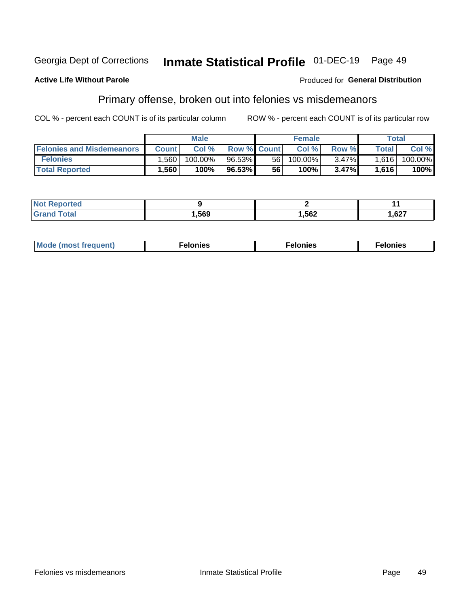#### Inmate Statistical Profile 01-DEC-19 Georgia Dept of Corrections Page 49

#### **Active Life Without Parole**

#### Produced for General Distribution

## Primary offense, broken out into felonies vs misdemeanors

COL % - percent each COUNT is of its particular column

|                                  | <b>Male</b>  |         |                    | <b>Female</b> |         |          | Total        |            |
|----------------------------------|--------------|---------|--------------------|---------------|---------|----------|--------------|------------|
| <b>Felonies and Misdemeanors</b> | <b>Count</b> | Col%    | <b>Row % Count</b> |               | Col%    | Row %    | <b>Total</b> | Col %      |
| <b>Felonies</b>                  | .560         | 100.00% | 96.53%             | 56            | 100.00% | $3.47\%$ | 1.616        | $100.00\%$ |
| <b>Total Reported</b>            | .560         | $100\%$ | 96.53%             | 56            | $100\%$ | 3.47%    | 1,616        | 100%       |

| <b>Not Reported</b>        |      |      |       |
|----------------------------|------|------|-------|
| <sup>-</sup> otal<br>Grand | ,569 | ,562 | 1,627 |

| <b>Mode</b><br>frequent)<br>nies<br>≧ (most tr.<br>. | onies<br>. | lonies<br>ею<br>____ |
|------------------------------------------------------|------------|----------------------|
|------------------------------------------------------|------------|----------------------|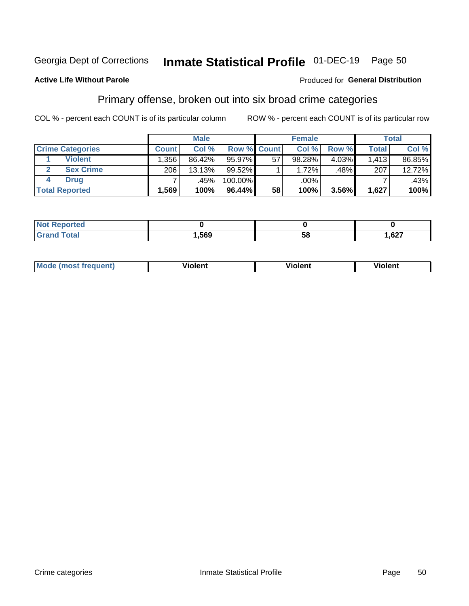#### Inmate Statistical Profile 01-DEC-19 Page 50

#### **Active Life Without Parole**

#### Produced for General Distribution

### Primary offense, broken out into six broad crime categories

COL % - percent each COUNT is of its particular column

|                         | <b>Male</b>  |        |         | <b>Female</b> |        |       | Total        |        |
|-------------------------|--------------|--------|---------|---------------|--------|-------|--------------|--------|
| <b>Crime Categories</b> | <b>Count</b> | Col%   |         | Row % Count   | Col %  | Row % | <b>Total</b> | Col %  |
| <b>Violent</b>          | . .356 '     | 86.42% | 95.97%  | 57            | 98.28% | 4.03% | 1,413        | 86.85% |
| <b>Sex Crime</b>        | 206          | 13.13% | 99.52%  |               | 1.72%  | .48%  | 207          | 12.72% |
| <b>Drug</b>             |              | .45%   | 100.00% |               | .00%   |       |              | .43%   |
| <b>Total Reported</b>   | 1,569        | 100%   | 96.44%  | 58            | 100%   | 3.56% | 1,627        | 100%   |

| ,569 | 58 | 627<br>، 20, ا |
|------|----|----------------|

| <b>Mo</b><br>quent)<br>. | .<br>∕iolent | <br>∕iolent | .<br>วlent |
|--------------------------|--------------|-------------|------------|
|                          |              |             |            |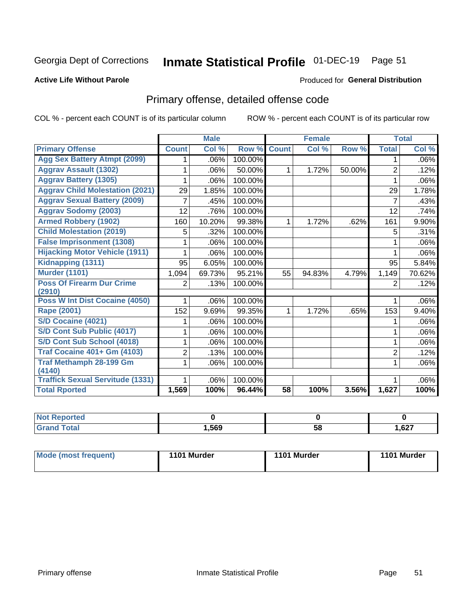## Inmate Statistical Profile 01-DEC-19 Page 51

#### **Active Life Without Parole**

#### Produced for General Distribution

## Primary offense, detailed offense code

COL % - percent each COUNT is of its particular column

|                                            |                | <b>Male</b>                |         |              | <b>Female</b>             |        |                | <b>Total</b> |
|--------------------------------------------|----------------|----------------------------|---------|--------------|---------------------------|--------|----------------|--------------|
| <b>Primary Offense</b>                     | <b>Count</b>   | $\overline{\text{Col }^9}$ | Row %   | <b>Count</b> | $\overline{\text{Col}}$ % | Row %  | <b>Total</b>   | Col %        |
| <b>Agg Sex Battery Atmpt (2099)</b>        |                | .06%                       | 100.00% |              |                           |        | 1              | .06%         |
| <b>Aggrav Assault (1302)</b>               |                | .06%                       | 50.00%  | 1            | 1.72%                     | 50.00% | $\overline{2}$ | .12%         |
| <b>Aggrav Battery (1305)</b>               |                | .06%                       | 100.00% |              |                           |        |                | .06%         |
| <b>Aggrav Child Molestation (2021)</b>     | 29             | 1.85%                      | 100.00% |              |                           |        | 29             | 1.78%        |
| <b>Aggrav Sexual Battery (2009)</b>        | 7              | .45%                       | 100.00% |              |                           |        | 7              | .43%         |
| <b>Aggrav Sodomy (2003)</b>                | 12             | .76%                       | 100.00% |              |                           |        | 12             | .74%         |
| <b>Armed Robbery (1902)</b>                | 160            | 10.20%                     | 99.38%  | 1            | 1.72%                     | .62%   | 161            | 9.90%        |
| <b>Child Molestation (2019)</b>            | 5              | .32%                       | 100.00% |              |                           |        | 5              | .31%         |
| <b>False Imprisonment (1308)</b>           |                | .06%                       | 100.00% |              |                           |        |                | .06%         |
| <b>Hijacking Motor Vehicle (1911)</b>      |                | .06%                       | 100.00% |              |                           |        |                | .06%         |
| Kidnapping (1311)                          | 95             | 6.05%                      | 100.00% |              |                           |        | 95             | 5.84%        |
| <b>Murder (1101)</b>                       | 1,094          | 69.73%                     | 95.21%  | 55           | 94.83%                    | 4.79%  | 1,149          | 70.62%       |
| <b>Poss Of Firearm Dur Crime</b><br>(2910) | 2              | .13%                       | 100.00% |              |                           |        | 2              | .12%         |
| Poss W Int Dist Cocaine (4050)             |                | .06%                       | 100.00% |              |                           |        |                | .06%         |
| Rape (2001)                                | 152            | 9.69%                      | 99.35%  | 1            | 1.72%                     | .65%   | 153            | 9.40%        |
| S/D Cocaine (4021)                         |                | .06%                       | 100.00% |              |                           |        |                | .06%         |
| S/D Cont Sub Public (4017)                 |                | .06%                       | 100.00% |              |                           |        |                | .06%         |
| S/D Cont Sub School (4018)                 |                | .06%                       | 100.00% |              |                           |        | 1              | .06%         |
| <b>Traf Cocaine 401+ Gm (4103)</b>         | $\overline{2}$ | .13%                       | 100.00% |              |                           |        | $\overline{2}$ | .12%         |
| <b>Traf Methamph 28-199 Gm</b>             | 1              | .06%                       | 100.00% |              |                           |        | 1              | .06%         |
| (4140)                                     |                |                            |         |              |                           |        |                |              |
| <b>Traffick Sexual Servitude (1331)</b>    |                | .06%                       | 100.00% |              |                           |        |                | .06%         |
| <b>Total Rported</b>                       | 1,569          | 100%                       | 96.44%  | 58           | 100%                      | 3.56%  | 1,627          | 100%         |

| <b>Not</b><br><b>orted</b><br>₹евк |      |          |      |
|------------------------------------|------|----------|------|
| <b>Total</b>                       | ,569 | --<br>58 | ,627 |

| Mode (most frequent) | 1101 Murder | 1101 Murder | 1101 Murder |
|----------------------|-------------|-------------|-------------|
|----------------------|-------------|-------------|-------------|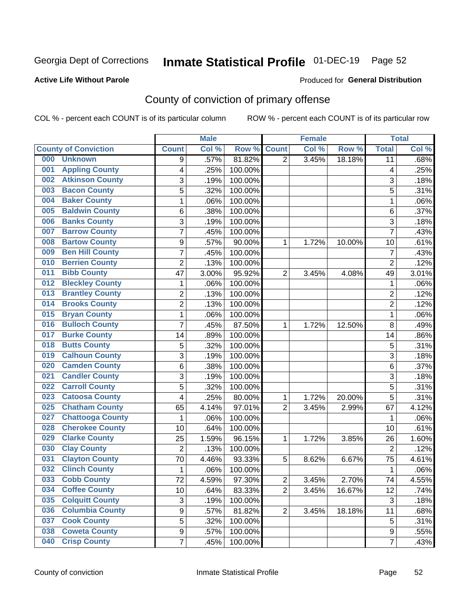## Inmate Statistical Profile 01-DEC-19 Page 52

#### **Active Life Without Parole**

#### Produced for General Distribution

## County of conviction of primary offense

COL % - percent each COUNT is of its particular column

|                                |                  | <b>Male</b> |         |                | <b>Female</b> |        |                | <b>Total</b> |
|--------------------------------|------------------|-------------|---------|----------------|---------------|--------|----------------|--------------|
| <b>County of Conviction</b>    | <b>Count</b>     | Col%        | Row %   | <b>Count</b>   | Col %         | Row %  | <b>Total</b>   | Col %        |
| 000<br><b>Unknown</b>          | 9                | .57%        | 81.82%  | $\overline{2}$ | 3.45%         | 18.18% | 11             | .68%         |
| <b>Appling County</b><br>001   | 4                | .25%        | 100.00% |                |               |        | 4              | .25%         |
| <b>Atkinson County</b><br>002  | 3                | .19%        | 100.00% |                |               |        | 3              | .18%         |
| <b>Bacon County</b><br>003     | 5                | .32%        | 100.00% |                |               |        | 5              | .31%         |
| <b>Baker County</b><br>004     | 1                | .06%        | 100.00% |                |               |        | $\mathbf{1}$   | .06%         |
| <b>Baldwin County</b><br>005   | 6                | .38%        | 100.00% |                |               |        | 6              | .37%         |
| <b>Banks County</b><br>006     | 3                | .19%        | 100.00% |                |               |        | 3              | .18%         |
| <b>Barrow County</b><br>007    | $\overline{7}$   | .45%        | 100.00% |                |               |        | $\overline{7}$ | .43%         |
| <b>Bartow County</b><br>008    | $\boldsymbol{9}$ | .57%        | 90.00%  | 1              | 1.72%         | 10.00% | 10             | .61%         |
| <b>Ben Hill County</b><br>009  | 7                | .45%        | 100.00% |                |               |        | $\overline{7}$ | .43%         |
| <b>Berrien County</b><br>010   | $\overline{c}$   | .13%        | 100.00% |                |               |        | $\overline{2}$ | .12%         |
| <b>Bibb County</b><br>011      | 47               | 3.00%       | 95.92%  | $\overline{2}$ | 3.45%         | 4.08%  | 49             | 3.01%        |
| <b>Bleckley County</b><br>012  | 1                | .06%        | 100.00% |                |               |        | 1              | .06%         |
| <b>Brantley County</b><br>013  | $\overline{2}$   | .13%        | 100.00% |                |               |        | $\overline{2}$ | .12%         |
| <b>Brooks County</b><br>014    | $\overline{c}$   | .13%        | 100.00% |                |               |        | $\overline{2}$ | .12%         |
| <b>Bryan County</b><br>015     | $\mathbf{1}$     | .06%        | 100.00% |                |               |        | $\mathbf{1}$   | .06%         |
| <b>Bulloch County</b><br>016   | $\overline{7}$   | .45%        | 87.50%  | 1              | 1.72%         | 12.50% | 8              | .49%         |
| <b>Burke County</b><br>017     | 14               | .89%        | 100.00% |                |               |        | 14             | .86%         |
| <b>Butts County</b><br>018     | 5                | .32%        | 100.00% |                |               |        | 5              | .31%         |
| <b>Calhoun County</b><br>019   | $\overline{3}$   | .19%        | 100.00% |                |               |        | $\overline{3}$ | .18%         |
| <b>Camden County</b><br>020    | 6                | .38%        | 100.00% |                |               |        | 6              | .37%         |
| <b>Candler County</b><br>021   | 3                | .19%        | 100.00% |                |               |        | 3              | .18%         |
| <b>Carroll County</b><br>022   | 5                | .32%        | 100.00% |                |               |        | 5              | .31%         |
| <b>Catoosa County</b><br>023   | 4                | .25%        | 80.00%  | 1              | 1.72%         | 20.00% | 5              | .31%         |
| <b>Chatham County</b><br>025   | 65               | 4.14%       | 97.01%  | $\overline{2}$ | 3.45%         | 2.99%  | 67             | 4.12%        |
| <b>Chattooga County</b><br>027 | $\mathbf{1}$     | .06%        | 100.00% |                |               |        | 1              | .06%         |
| <b>Cherokee County</b><br>028  | 10               | .64%        | 100.00% |                |               |        | 10             | .61%         |
| <b>Clarke County</b><br>029    | 25               | 1.59%       | 96.15%  | 1              | 1.72%         | 3.85%  | 26             | 1.60%        |
| <b>Clay County</b><br>030      | $\overline{2}$   | .13%        | 100.00% |                |               |        | $\overline{2}$ | .12%         |
| <b>Clayton County</b><br>031   | 70               | 4.46%       | 93.33%  | 5              | 8.62%         | 6.67%  | 75             | 4.61%        |
| <b>Clinch County</b><br>032    | 1                | .06%        | 100.00% |                |               |        | 1              | .06%         |
| <b>Cobb County</b><br>033      | 72               | 4.59%       | 97.30%  | 2              | 3.45%         | 2.70%  | 74             | 4.55%        |
| <b>Coffee County</b><br>034    | 10               | .64%        | 83.33%  | $\overline{2}$ | 3.45%         | 16.67% | 12             | .74%         |
| 035<br><b>Colquitt County</b>  | $\sqrt{3}$       | .19%        | 100.00% |                |               |        | $\sqrt{3}$     | .18%         |
| <b>Columbia County</b><br>036  | 9                | .57%        | 81.82%  | $\overline{2}$ | 3.45%         | 18.18% | 11             | .68%         |
| <b>Cook County</b><br>037      | 5                | .32%        | 100.00% |                |               |        | 5              | .31%         |
| <b>Coweta County</b><br>038    | $\boldsymbol{9}$ | .57%        | 100.00% |                |               |        | 9              | .55%         |
| <b>Crisp County</b><br>040     | $\overline{7}$   | .45%        | 100.00% |                |               |        | $\overline{7}$ | .43%         |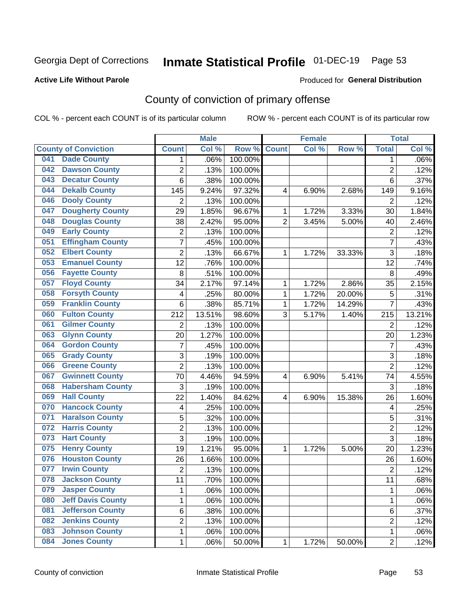## Inmate Statistical Profile 01-DEC-19 Page 53

#### **Active Life Without Parole**

#### Produced for General Distribution

## County of conviction of primary offense

COL % - percent each COUNT is of its particular column

|     |                             |                | <b>Male</b> |         |                | <b>Female</b> |        |                | <b>Total</b> |
|-----|-----------------------------|----------------|-------------|---------|----------------|---------------|--------|----------------|--------------|
|     | <b>County of Conviction</b> | <b>Count</b>   | Col %       | Row %   | <b>Count</b>   | Col %         | Row %  | <b>Total</b>   | Col %        |
| 041 | <b>Dade County</b>          | 1              | .06%        | 100.00% |                |               |        | 1              | $.06\%$      |
| 042 | <b>Dawson County</b>        | $\overline{2}$ | .13%        | 100.00% |                |               |        | $\overline{2}$ | .12%         |
| 043 | <b>Decatur County</b>       | 6              | .38%        | 100.00% |                |               |        | 6              | .37%         |
| 044 | <b>Dekalb County</b>        | 145            | 9.24%       | 97.32%  | 4              | 6.90%         | 2.68%  | 149            | 9.16%        |
| 046 | <b>Dooly County</b>         | $\overline{2}$ | .13%        | 100.00% |                |               |        | $\overline{2}$ | .12%         |
| 047 | <b>Dougherty County</b>     | 29             | 1.85%       | 96.67%  | 1              | 1.72%         | 3.33%  | 30             | 1.84%        |
| 048 | <b>Douglas County</b>       | 38             | 2.42%       | 95.00%  | $\overline{2}$ | 3.45%         | 5.00%  | 40             | 2.46%        |
| 049 | <b>Early County</b>         | $\mathbf 2$    | .13%        | 100.00% |                |               |        | $\overline{2}$ | .12%         |
| 051 | <b>Effingham County</b>     | 7              | .45%        | 100.00% |                |               |        | $\overline{7}$ | .43%         |
| 052 | <b>Elbert County</b>        | $\overline{2}$ | .13%        | 66.67%  | 1              | 1.72%         | 33.33% | 3              | .18%         |
| 053 | <b>Emanuel County</b>       | 12             | .76%        | 100.00% |                |               |        | 12             | .74%         |
| 056 | <b>Fayette County</b>       | 8              | .51%        | 100.00% |                |               |        | 8              | .49%         |
| 057 | <b>Floyd County</b>         | 34             | 2.17%       | 97.14%  | $\mathbf{1}$   | 1.72%         | 2.86%  | 35             | 2.15%        |
| 058 | <b>Forsyth County</b>       | 4              | .25%        | 80.00%  | 1              | 1.72%         | 20.00% | 5              | .31%         |
| 059 | <b>Franklin County</b>      | 6              | .38%        | 85.71%  | 1              | 1.72%         | 14.29% | $\overline{7}$ | .43%         |
| 060 | <b>Fulton County</b>        | 212            | 13.51%      | 98.60%  | 3              | 5.17%         | 1.40%  | 215            | 13.21%       |
| 061 | <b>Gilmer County</b>        | $\overline{2}$ | .13%        | 100.00% |                |               |        | $\overline{2}$ | .12%         |
| 063 | <b>Glynn County</b>         | 20             | 1.27%       | 100.00% |                |               |        | 20             | 1.23%        |
| 064 | <b>Gordon County</b>        | $\overline{7}$ | .45%        | 100.00% |                |               |        | $\overline{7}$ | .43%         |
| 065 | <b>Grady County</b>         | 3              | .19%        | 100.00% |                |               |        | 3              | .18%         |
| 066 | <b>Greene County</b>        | $\overline{2}$ | .13%        | 100.00% |                |               |        | $\overline{2}$ | .12%         |
| 067 | <b>Gwinnett County</b>      | 70             | 4.46%       | 94.59%  | 4              | 6.90%         | 5.41%  | 74             | 4.55%        |
| 068 | <b>Habersham County</b>     | 3              | .19%        | 100.00% |                |               |        | 3              | .18%         |
| 069 | <b>Hall County</b>          | 22             | 1.40%       | 84.62%  | 4              | 6.90%         | 15.38% | 26             | 1.60%        |
| 070 | <b>Hancock County</b>       | 4              | .25%        | 100.00% |                |               |        | 4              | .25%         |
| 071 | <b>Haralson County</b>      | 5              | .32%        | 100.00% |                |               |        | 5              | .31%         |
| 072 | <b>Harris County</b>        | $\overline{c}$ | .13%        | 100.00% |                |               |        | $\overline{2}$ | .12%         |
| 073 | <b>Hart County</b>          | 3              | .19%        | 100.00% |                |               |        | $\overline{3}$ | .18%         |
| 075 | <b>Henry County</b>         | 19             | 1.21%       | 95.00%  | $\mathbf{1}$   | 1.72%         | 5.00%  | 20             | 1.23%        |
| 076 | <b>Houston County</b>       | 26             | 1.66%       | 100.00% |                |               |        | 26             | 1.60%        |
| 077 | <b>Irwin County</b>         | $\overline{2}$ | .13%        | 100.00% |                |               |        | $\overline{2}$ | .12%         |
| 078 | <b>Jackson County</b>       | 11             | .70%        | 100.00% |                |               |        | 11             | .68%         |
| 079 | <b>Jasper County</b>        | $\mathbf{1}$   | .06%        | 100.00% |                |               |        | $\mathbf{1}$   | .06%         |
| 080 | <b>Jeff Davis County</b>    | 1              | .06%        | 100.00% |                |               |        | $\mathbf{1}$   | .06%         |
| 081 | <b>Jefferson County</b>     | 6              | .38%        | 100.00% |                |               |        | 6              | .37%         |
| 082 | <b>Jenkins County</b>       | $\overline{c}$ | .13%        | 100.00% |                |               |        | $\overline{2}$ | .12%         |
| 083 | <b>Johnson County</b>       | $\mathbf 1$    | .06%        | 100.00% |                |               |        | $\mathbf 1$    | .06%         |
| 084 | <b>Jones County</b>         | $\mathbf 1$    | .06%        | 50.00%  | 1              | 1.72%         | 50.00% | $\overline{2}$ | .12%         |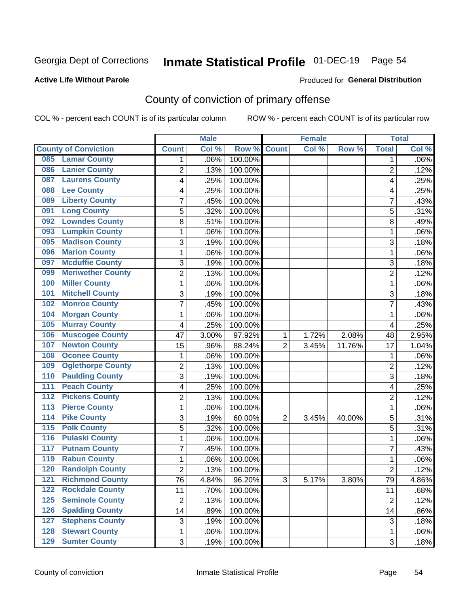## Inmate Statistical Profile 01-DEC-19 Page 54

#### **Active Life Without Parole**

#### Produced for General Distribution

## County of conviction of primary offense

COL % - percent each COUNT is of its particular column

|                                        |                 | <b>Male</b> |         |                | <b>Female</b> |          |                | <b>Total</b> |
|----------------------------------------|-----------------|-------------|---------|----------------|---------------|----------|----------------|--------------|
| <b>County of Conviction</b>            | <b>Count</b>    | Col %       | Row %   | <b>Count</b>   | Col %         | Row %    | <b>Total</b>   | Col %        |
| <b>Lamar County</b><br>085             | 1               | .06%        | 100.00% |                |               |          | 1              | $.06\%$      |
| <b>Lanier County</b><br>086            | $\overline{2}$  | .13%        | 100.00% |                |               |          | $\overline{2}$ | .12%         |
| <b>Laurens County</b><br>087           | 4               | .25%        | 100.00% |                |               |          | 4              | .25%         |
| <b>Lee County</b><br>088               | 4               | .25%        | 100.00% |                |               |          | 4              | .25%         |
| <b>Liberty County</b><br>089           | 7               | .45%        | 100.00% |                |               |          | 7              | .43%         |
| <b>Long County</b><br>091              | 5               | .32%        | 100.00% |                |               |          | 5              | .31%         |
| <b>Lowndes County</b><br>092           | 8               | .51%        | 100.00% |                |               |          | 8              | .49%         |
| <b>Lumpkin County</b><br>093           | 1               | .06%        | 100.00% |                |               |          | 1              | .06%         |
| <b>Madison County</b><br>095           | 3               | .19%        | 100.00% |                |               |          | 3              | .18%         |
| <b>Marion County</b><br>096            | 1               | .06%        | 100.00% |                |               |          | 1              | .06%         |
| <b>Mcduffie County</b><br>097          | 3               | .19%        | 100.00% |                |               |          | 3              | .18%         |
| <b>Meriwether County</b><br>099        | $\overline{2}$  | .13%        | 100.00% |                |               |          | $\overline{2}$ | .12%         |
| <b>Miller County</b><br>100            | 1               | .06%        | 100.00% |                |               |          | 1              | .06%         |
| <b>Mitchell County</b><br>101          | 3               | .19%        | 100.00% |                |               |          | 3              | .18%         |
| <b>Monroe County</b><br>102            | 7               | .45%        | 100.00% |                |               |          | $\overline{7}$ | .43%         |
| <b>Morgan County</b><br>104            | 1               | .06%        | 100.00% |                |               |          | 1              | .06%         |
| <b>Murray County</b><br>105            | 4               | .25%        | 100.00% |                |               |          | 4              | .25%         |
| <b>Muscogee County</b><br>106          | 47              | 3.00%       | 97.92%  | 1              | 1.72%         | 2.08%    | 48             | 2.95%        |
| <b>Newton County</b><br>107            | 15              | .96%        | 88.24%  | $\overline{2}$ | 3.45%         | 11.76%   | 17             | 1.04%        |
| <b>Oconee County</b><br>108            | 1               | .06%        | 100.00% |                |               |          | 1              | .06%         |
| <b>Oglethorpe County</b><br>109        | 2               | .13%        | 100.00% |                |               |          | 2              | .12%         |
| <b>Paulding County</b><br>110          | 3               | .19%        | 100.00% |                |               |          | 3              | .18%         |
| <b>Peach County</b><br>111             | 4               | .25%        | 100.00% |                |               |          | 4              | .25%         |
| <b>Pickens County</b><br>112           | $\overline{2}$  | .13%        | 100.00% |                |               |          | $\overline{2}$ | .12%         |
| <b>Pierce County</b><br>113            | 1               | .06%        | 100.00% |                |               |          | 1              | .06%         |
| <b>Pike County</b><br>$\overline{114}$ | 3               | .19%        | 60.00%  | $\overline{2}$ | 3.45%         | 40.00%   | 5              | .31%         |
| <b>Polk County</b><br>$\overline{115}$ | 5               | .32%        | 100.00% |                |               |          | 5              | .31%         |
| <b>Pulaski County</b><br>116           | 1               | .06%        | 100.00% |                |               |          | $\mathbf{1}$   | .06%         |
| <b>Putnam County</b><br>117            | 7               | .45%        | 100.00% |                |               |          | 7              | .43%         |
| <b>Rabun County</b><br>119             | 1               | .06%        | 100.00% |                |               |          | 1              | .06%         |
| <b>Randolph County</b><br>120          | 2               | .13%        | 100.00% |                |               |          | $\overline{2}$ | .12%         |
| <b>121 Richmond County</b>             | $\overline{76}$ | 4.84%       | 96.20%  | 3              | 5.17%         | $3.80\%$ | 79             | 4.86%        |
| <b>Rockdale County</b><br>122          | 11              | .70%        | 100.00% |                |               |          | 11             | .68%         |
| $125$<br><b>Seminole County</b>        | $\overline{2}$  | .13%        | 100.00% |                |               |          | $\overline{2}$ | .12%         |
| <b>Spalding County</b><br>126          | 14              | .89%        | 100.00% |                |               |          | 14             | .86%         |
| <b>Stephens County</b><br>127          | 3               | .19%        | 100.00% |                |               |          | 3              | .18%         |
| <b>Stewart County</b><br>128           | 1               | .06%        | 100.00% |                |               |          | 1              | .06%         |
| <b>Sumter County</b><br>129            | 3               | .19%        | 100.00% |                |               |          | 3              | .18%         |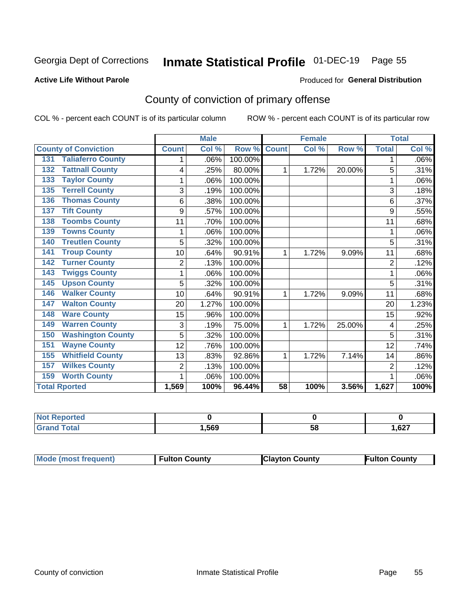## Inmate Statistical Profile 01-DEC-19 Page 55

#### **Active Life Without Parole**

#### Produced for General Distribution

## County of conviction of primary offense

COL % - percent each COUNT is of its particular column

|                                 |                | <b>Male</b> |         |                 | <b>Female</b> |        |                | <b>Total</b> |
|---------------------------------|----------------|-------------|---------|-----------------|---------------|--------|----------------|--------------|
| <b>County of Conviction</b>     | <b>Count</b>   | Col %       | Row %   | <b>Count</b>    | CoI%          | Row %  | <b>Total</b>   | Col %        |
| <b>Taliaferro County</b><br>131 | 1              | .06%        | 100.00% |                 |               |        | 1              | .06%         |
| <b>Tattnall County</b><br>132   | 4              | .25%        | 80.00%  | 1               | 1.72%         | 20.00% | 5              | .31%         |
| <b>Taylor County</b><br>133     |                | .06%        | 100.00% |                 |               |        | 1              | .06%         |
| <b>Terrell County</b><br>135    | 3              | .19%        | 100.00% |                 |               |        | 3              | .18%         |
| <b>Thomas County</b><br>136     | 6              | .38%        | 100.00% |                 |               |        | 6              | .37%         |
| <b>Tift County</b><br>137       | 9              | .57%        | 100.00% |                 |               |        | 9              | .55%         |
| <b>Toombs County</b><br>138     | 11             | .70%        | 100.00% |                 |               |        | 11             | .68%         |
| <b>Towns County</b><br>139      | 1              | .06%        | 100.00% |                 |               |        | 1              | .06%         |
| <b>Treutlen County</b><br>140   | 5              | .32%        | 100.00% |                 |               |        | 5              | .31%         |
| <b>Troup County</b><br>141      | 10             | .64%        | 90.91%  | 1               | 1.72%         | 9.09%  | 11             | .68%         |
| <b>Turner County</b><br>142     | $\overline{2}$ | .13%        | 100.00% |                 |               |        | $\overline{2}$ | .12%         |
| <b>Twiggs County</b><br>143     |                | .06%        | 100.00% |                 |               |        | 1              | .06%         |
| <b>Upson County</b><br>145      | 5              | .32%        | 100.00% |                 |               |        | 5              | .31%         |
| <b>Walker County</b><br>146     | 10             | .64%        | 90.91%  | 1               | 1.72%         | 9.09%  | 11             | .68%         |
| <b>Walton County</b><br>147     | 20             | 1.27%       | 100.00% |                 |               |        | 20             | 1.23%        |
| <b>Ware County</b><br>148       | 15             | .96%        | 100.00% |                 |               |        | 15             | .92%         |
| <b>Warren County</b><br>149     | 3              | .19%        | 75.00%  | 1               | 1.72%         | 25.00% | 4              | .25%         |
| <b>Washington County</b><br>150 | 5              | .32%        | 100.00% |                 |               |        | 5              | .31%         |
| <b>Wayne County</b><br>151      | 12             | .76%        | 100.00% |                 |               |        | 12             | .74%         |
| <b>Whitfield County</b><br>155  | 13             | .83%        | 92.86%  | 1               | 1.72%         | 7.14%  | 14             | .86%         |
| <b>Wilkes County</b><br>157     | $\overline{2}$ | .13%        | 100.00% |                 |               |        | $\overline{2}$ | .12%         |
| <b>Worth County</b><br>159      |                | .06%        | 100.00% |                 |               |        | 1              | .06%         |
| <b>Total Rported</b>            | 1,569          | 100%        | 96.44%  | $\overline{58}$ | 100%          | 3.56%  | 1,627          | 100%         |

| rtea<br>тепо |      |    |       |
|--------------|------|----|-------|
| υιαι         | ,569 | วง | 1,627 |

| <b>Mode (most frequent)</b> | <b>Fulton County</b> | <b>Clayton County</b> | <b>Fulton County</b> |
|-----------------------------|----------------------|-----------------------|----------------------|
|-----------------------------|----------------------|-----------------------|----------------------|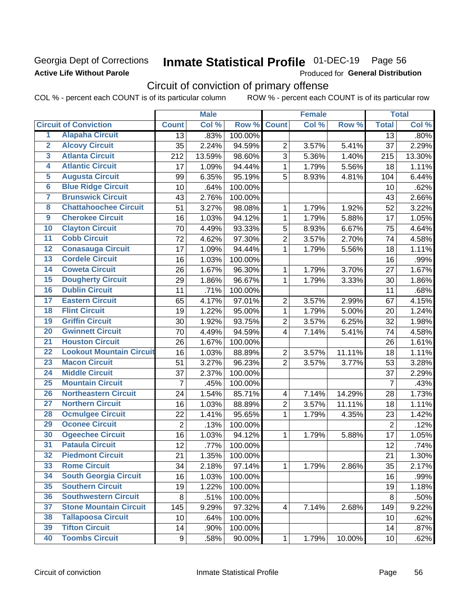### Georgia Dept of Corrections **Active Life Without Parole**

## Inmate Statistical Profile 01-DEC-19 Page 56

Produced for General Distribution

## Circuit of conviction of primary offense

|                         |                                 |                | <b>Male</b> |         |                         | <b>Female</b> |        |                | <b>Total</b> |
|-------------------------|---------------------------------|----------------|-------------|---------|-------------------------|---------------|--------|----------------|--------------|
|                         | <b>Circuit of Conviction</b>    | <b>Count</b>   | Col %       | Row %   | <b>Count</b>            | Col %         | Row %  | <b>Total</b>   | Col %        |
| 1                       | <b>Alapaha Circuit</b>          | 13             | .83%        | 100.00% |                         |               |        | 13             | .80%         |
| $\overline{2}$          | <b>Alcovy Circuit</b>           | 35             | 2.24%       | 94.59%  | $\overline{2}$          | 3.57%         | 5.41%  | 37             | 2.29%        |
| $\overline{3}$          | <b>Atlanta Circuit</b>          | 212            | 13.59%      | 98.60%  | 3                       | 5.36%         | 1.40%  | 215            | 13.30%       |
| $\overline{4}$          | <b>Atlantic Circuit</b>         | 17             | 1.09%       | 94.44%  | 1                       | 1.79%         | 5.56%  | 18             | 1.11%        |
| $\overline{5}$          | <b>Augusta Circuit</b>          | 99             | 6.35%       | 95.19%  | 5                       | 8.93%         | 4.81%  | 104            | 6.44%        |
| $\overline{\bf{6}}$     | <b>Blue Ridge Circuit</b>       | 10             | .64%        | 100.00% |                         |               |        | 10             | .62%         |
| 7                       | <b>Brunswick Circuit</b>        | 43             | 2.76%       | 100.00% |                         |               |        | 43             | 2.66%        |
| $\overline{\mathbf{8}}$ | <b>Chattahoochee Circuit</b>    | 51             | 3.27%       | 98.08%  | 1                       | 1.79%         | 1.92%  | 52             | 3.22%        |
| $\overline{9}$          | <b>Cherokee Circuit</b>         | 16             | 1.03%       | 94.12%  | $\mathbf{1}$            | 1.79%         | 5.88%  | 17             | 1.05%        |
| 10                      | <b>Clayton Circuit</b>          | 70             | 4.49%       | 93.33%  | 5                       | 8.93%         | 6.67%  | 75             | 4.64%        |
| $\overline{11}$         | <b>Cobb Circuit</b>             | 72             | 4.62%       | 97.30%  | $\overline{2}$          | 3.57%         | 2.70%  | 74             | 4.58%        |
| $\overline{12}$         | <b>Conasauga Circuit</b>        | 17             | 1.09%       | 94.44%  | 1                       | 1.79%         | 5.56%  | 18             | 1.11%        |
| 13                      | <b>Cordele Circuit</b>          | 16             | 1.03%       | 100.00% |                         |               |        | 16             | .99%         |
| 14                      | <b>Coweta Circuit</b>           | 26             | 1.67%       | 96.30%  | 1                       | 1.79%         | 3.70%  | 27             | 1.67%        |
| 15                      | <b>Dougherty Circuit</b>        | 29             | 1.86%       | 96.67%  | $\mathbf{1}$            | 1.79%         | 3.33%  | 30             | 1.86%        |
| 16                      | <b>Dublin Circuit</b>           | 11             | .71%        | 100.00% |                         |               |        | 11             | .68%         |
| 17                      | <b>Eastern Circuit</b>          | 65             | 4.17%       | 97.01%  | $\overline{2}$          | 3.57%         | 2.99%  | 67             | 4.15%        |
| $\overline{18}$         | <b>Flint Circuit</b>            | 19             | 1.22%       | 95.00%  | 1                       | 1.79%         | 5.00%  | 20             | 1.24%        |
| 19                      | <b>Griffin Circuit</b>          | 30             | 1.92%       | 93.75%  | $\mathbf 2$             | 3.57%         | 6.25%  | 32             | 1.98%        |
| $\overline{20}$         | <b>Gwinnett Circuit</b>         | 70             | 4.49%       | 94.59%  | 4                       | 7.14%         | 5.41%  | 74             | 4.58%        |
| $\overline{21}$         | <b>Houston Circuit</b>          | 26             | 1.67%       | 100.00% |                         |               |        | 26             | 1.61%        |
| $\overline{22}$         | <b>Lookout Mountain Circuit</b> | 16             | 1.03%       | 88.89%  | $\overline{2}$          | 3.57%         | 11.11% | 18             | 1.11%        |
| 23                      | <b>Macon Circuit</b>            | 51             | 3.27%       | 96.23%  | $\overline{2}$          | 3.57%         | 3.77%  | 53             | 3.28%        |
| $\overline{24}$         | <b>Middle Circuit</b>           | 37             | 2.37%       | 100.00% |                         |               |        | 37             | 2.29%        |
| $\overline{25}$         | <b>Mountain Circuit</b>         | $\overline{7}$ | .45%        | 100.00% |                         |               |        | $\overline{7}$ | .43%         |
| 26                      | <b>Northeastern Circuit</b>     | 24             | 1.54%       | 85.71%  | $\overline{4}$          | 7.14%         | 14.29% | 28             | 1.73%        |
| $\overline{27}$         | <b>Northern Circuit</b>         | 16             | 1.03%       | 88.89%  | $\overline{2}$          | 3.57%         | 11.11% | 18             | 1.11%        |
| 28                      | <b>Ocmulgee Circuit</b>         | 22             | 1.41%       | 95.65%  | 1                       | 1.79%         | 4.35%  | 23             | 1.42%        |
| 29                      | <b>Oconee Circuit</b>           | $\overline{2}$ | .13%        | 100.00% |                         |               |        | $\overline{2}$ | .12%         |
| 30                      | <b>Ogeechee Circuit</b>         | 16             | 1.03%       | 94.12%  | 1                       | 1.79%         | 5.88%  | 17             | 1.05%        |
| $\overline{31}$         | <b>Pataula Circuit</b>          | 12             | .77%        | 100.00% |                         |               |        | 12             | .74%         |
| 32                      | <b>Piedmont Circuit</b>         | 21             | 1.35%       | 100.00% |                         |               |        | 21             | 1.30%        |
| 33                      | <b>Rome Circuit</b>             | 34             | 2.18%       | 97.14%  | $\mathbf{1}$            | 1.79%         | 2.86%  | 35             | 2.17%        |
| 34                      | <b>South Georgia Circuit</b>    | 16             | 1.03%       | 100.00% |                         |               |        | 16             | .99%         |
| 35                      | <b>Southern Circuit</b>         | 19             | 1.22%       | 100.00% |                         |               |        | 19             | 1.18%        |
| 36                      | <b>Southwestern Circuit</b>     | 8              | .51%        | 100.00% |                         |               |        | 8              | .50%         |
| 37                      | <b>Stone Mountain Circuit</b>   | 145            | 9.29%       | 97.32%  | $\overline{\mathbf{4}}$ | 7.14%         | 2.68%  | 149            | 9.22%        |
| 38                      | <b>Tallapoosa Circuit</b>       | 10             | .64%        | 100.00% |                         |               |        | 10             | .62%         |
| 39                      | <b>Tifton Circuit</b>           | 14             | .90%        | 100.00% |                         |               |        | 14             | .87%         |
| 40                      | <b>Toombs Circuit</b>           | 9              | .58%        | 90.00%  | $\mathbf{1}$            | 1.79%         | 10.00% | 10             | .62%         |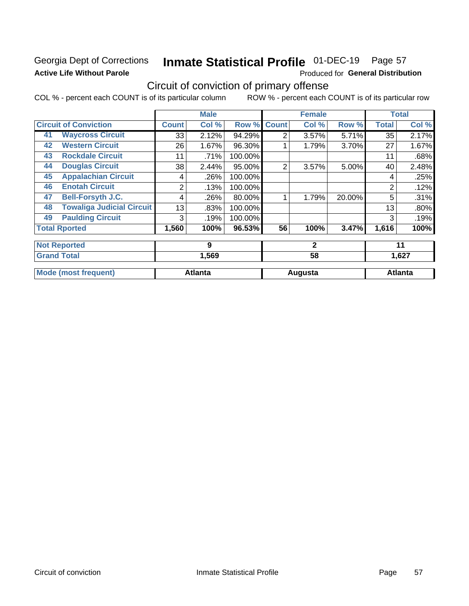### Georgia Dept of Corrections **Active Life Without Parole**

## Inmate Statistical Profile 01-DEC-19 Page 57

Produced for General Distribution

## Circuit of conviction of primary offense

|    |                                  |              | <b>Male</b>    |         |                | <b>Female</b> |        |              | <b>Total</b>   |
|----|----------------------------------|--------------|----------------|---------|----------------|---------------|--------|--------------|----------------|
|    | <b>Circuit of Conviction</b>     | <b>Count</b> | Col %          | Row %   | <b>Count</b>   | Col %         | Row %  | <b>Total</b> | Col %          |
| 41 | <b>Waycross Circuit</b>          | 33           | 2.12%          | 94.29%  | $\overline{2}$ | 3.57%         | 5.71%  | 35           | 2.17%          |
| 42 | <b>Western Circuit</b>           | 26           | 1.67%          | 96.30%  |                | 1.79%         | 3.70%  | 27           | 1.67%          |
| 43 | <b>Rockdale Circuit</b>          | 11           | .71%           | 100.00% |                |               |        | 11           | .68%           |
| 44 | <b>Douglas Circuit</b>           | 38           | 2.44%          | 95.00%  | $\overline{2}$ | 3.57%         | 5.00%  | 40           | 2.48%          |
| 45 | <b>Appalachian Circuit</b>       | 4            | .26%           | 100.00% |                |               |        | 4            | .25%           |
| 46 | <b>Enotah Circuit</b>            | 2            | .13%           | 100.00% |                |               |        | 2            | .12%           |
| 47 | <b>Bell-Forsyth J.C.</b>         | 4            | .26%           | 80.00%  |                | 1.79%         | 20.00% | 5            | .31%           |
| 48 | <b>Towaliga Judicial Circuit</b> | 13           | .83%           | 100.00% |                |               |        | 13           | .80%           |
| 49 | <b>Paulding Circuit</b>          | 3            | .19%           | 100.00% |                |               |        | 3            | .19%           |
|    | <b>Total Rported</b>             | 1,560        | 100%           | 96.53%  | 56             | 100%          | 3.47%  | 1,616        | 100%           |
|    | <b>Not Reported</b>              |              | 9              |         |                | $\mathbf{2}$  |        |              | 11             |
|    | <b>Grand Total</b>               |              | 1,569          |         | 58             |               |        | 1,627        |                |
|    | <b>Mode (most frequent)</b>      |              | <b>Atlanta</b> |         |                | Augusta       |        |              | <b>Atlanta</b> |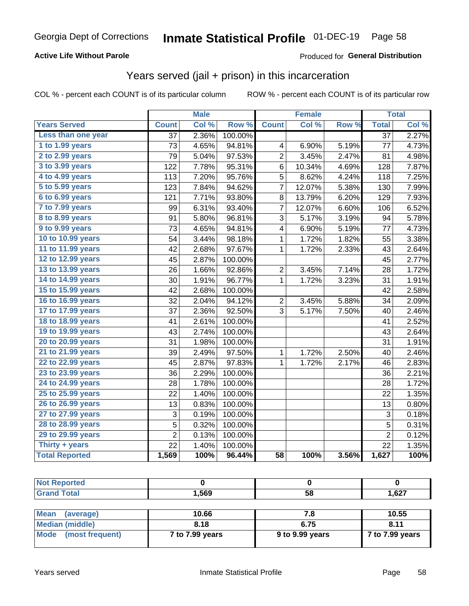#### **Active Life Without Parole**

### Produced for General Distribution

### Years served (jail + prison) in this incarceration

COL % - percent each COUNT is of its particular column

|                       |                  | <b>Male</b> |           |                         | <b>Female</b> |       |                           | <b>Total</b> |
|-----------------------|------------------|-------------|-----------|-------------------------|---------------|-------|---------------------------|--------------|
| <b>Years Served</b>   | <b>Count</b>     | Col %       | Row %     | <b>Count</b>            | Col %         | Row % | <b>Total</b>              | Col %        |
| Less than one year    | $\overline{37}$  | 2.36%       | 100.00%   |                         |               |       | $\overline{37}$           | 2.27%        |
| 1 to 1.99 years       | 73               | 4.65%       | 94.81%    | 4                       | 6.90%         | 5.19% | 77                        | 4.73%        |
| 2 to 2.99 years       | 79               | 5.04%       | 97.53%    | $\overline{2}$          | 3.45%         | 2.47% | 81                        | 4.98%        |
| 3 to 3.99 years       | $\overline{1}22$ | 7.78%       | $95.31\%$ | 6                       | 10.34%        | 4.69% | 128                       | 7.87%        |
| 4 to 4.99 years       | 113              | 7.20%       | 95.76%    | 5                       | 8.62%         | 4.24% | 118                       | 7.25%        |
| 5 to 5.99 years       | 123              | 7.84%       | 94.62%    | 7                       | 12.07%        | 5.38% | 130                       | 7.99%        |
| 6 to 6.99 years       | 121              | 7.71%       | 93.80%    | 8                       | 13.79%        | 6.20% | 129                       | 7.93%        |
| 7 to 7.99 years       | 99               | 6.31%       | 93.40%    | 7                       | 12.07%        | 6.60% | 106                       | 6.52%        |
| 8 to 8.99 years       | 91               | 5.80%       | 96.81%    | 3                       | 5.17%         | 3.19% | 94                        | 5.78%        |
| 9 to 9.99 years       | 73               | 4.65%       | 94.81%    | 4                       | 6.90%         | 5.19% | 77                        | 4.73%        |
| 10 to 10.99 years     | 54               | 3.44%       | 98.18%    | 1                       | 1.72%         | 1.82% | 55                        | 3.38%        |
| 11 to 11.99 years     | 42               | 2.68%       | 97.67%    | 1                       | 1.72%         | 2.33% | 43                        | 2.64%        |
| 12 to 12.99 years     | 45               | 2.87%       | 100.00%   |                         |               |       | 45                        | 2.77%        |
| 13 to 13.99 years     | 26               | 1.66%       | 92.86%    | $\overline{\mathbf{c}}$ | 3.45%         | 7.14% | 28                        | 1.72%        |
| 14 to 14.99 years     | 30               | 1.91%       | 96.77%    | $\mathbf 1$             | 1.72%         | 3.23% | 31                        | 1.91%        |
| 15 to 15.99 years     | 42               | 2.68%       | 100.00%   |                         |               |       | 42                        | 2.58%        |
| 16 to 16.99 years     | 32               | 2.04%       | 94.12%    | $\overline{2}$          | 3.45%         | 5.88% | 34                        | 2.09%        |
| 17 to 17.99 years     | 37               | 2.36%       | 92.50%    | 3                       | 5.17%         | 7.50% | 40                        | 2.46%        |
| 18 to 18.99 years     | 41               | 2.61%       | 100.00%   |                         |               |       | 41                        | 2.52%        |
| 19 to 19.99 years     | 43               | 2.74%       | 100.00%   |                         |               |       | 43                        | 2.64%        |
| 20 to 20.99 years     | 31               | 1.98%       | 100.00%   |                         |               |       | 31                        | 1.91%        |
| 21 to 21.99 years     | 39               | 2.49%       | 97.50%    | 1                       | 1.72%         | 2.50% | 40                        | 2.46%        |
| 22 to 22.99 years     | 45               | 2.87%       | 97.83%    | 1                       | 1.72%         | 2.17% | 46                        | 2.83%        |
| 23 to 23.99 years     | 36               | 2.29%       | 100.00%   |                         |               |       | 36                        | 2.21%        |
| 24 to 24.99 years     | 28               | 1.78%       | 100.00%   |                         |               |       | 28                        | 1.72%        |
| 25 to 25.99 years     | 22               | 1.40%       | 100.00%   |                         |               |       | 22                        | 1.35%        |
| 26 to 26.99 years     | 13               | 0.83%       | 100.00%   |                         |               |       | 13                        | 0.80%        |
| 27 to 27.99 years     | 3                | 0.19%       | 100.00%   |                         |               |       | $\ensuremath{\mathsf{3}}$ | 0.18%        |
| 28 to 28.99 years     | 5                | 0.32%       | 100.00%   |                         |               |       | 5                         | 0.31%        |
| 29 to 29.99 years     | $\overline{2}$   | 0.13%       | 100.00%   |                         |               |       | $\overline{2}$            | 0.12%        |
| Thirty + years        | $\overline{22}$  | 1.40%       | 100.00%   |                         |               |       | $\overline{22}$           | 1.35%        |
| <b>Total Reported</b> | 1,569            | 100%        | 96.44%    | $\overline{58}$         | 100%          | 3.56% | 1,627                     | 100%         |

| $N =$<br>tea:                                |       |    |      |
|----------------------------------------------|-------|----|------|
| T <sub>ofol</sub><br><b>C</b> <sub>non</sub> | 1,569 | 58 | ,627 |
|                                              |       |    |      |

| Mean<br>(average)    | 10.66           | 7.8             | 10.55           |
|----------------------|-----------------|-----------------|-----------------|
| Median (middle)      | 8.18            | 6.75            | 8.11            |
| Mode (most frequent) | 7 to 7.99 years | 9 to 9.99 years | 7 to 7.99 years |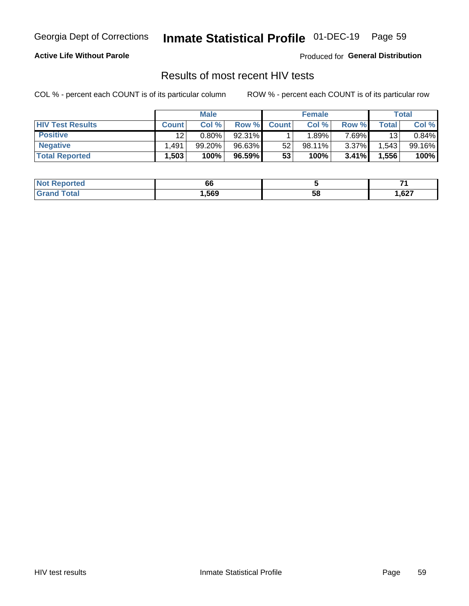## Inmate Statistical Profile 01-DEC-19 Page 59

#### **Active Life Without Parole**

Produced for General Distribution

### Results of most recent HIV tests

COL % - percent each COUNT is of its particular column

|                         | <b>Male</b>     |          |        | <b>Female</b> |           |          | Total   |        |
|-------------------------|-----------------|----------|--------|---------------|-----------|----------|---------|--------|
| <b>HIV Test Results</b> | <b>Count</b>    | Col %    | Row %I | <b>Count</b>  | Col %     | Row %    | Total L | Col %  |
| <b>Positive</b>         | 12 <sup>2</sup> | $0.80\%$ | 92.31% |               | .89%      | $7.69\%$ | 13      | 0.84%  |
| <b>Negative</b>         | .491            | 99.20%   | 96.63% | 52            | $98.11\%$ | $3.37\%$ | .543    | 99.16% |
| <b>Total Reported</b>   | .503            | 100%     | 96.59% | 53            | 100%      | 3.41%    | 1,556   | 100%   |

| <b>Not Reported</b>              | 66     |    |      |
|----------------------------------|--------|----|------|
| <b>Total</b><br>Gra <sub>r</sub> | 569, ا | 58 | 627, |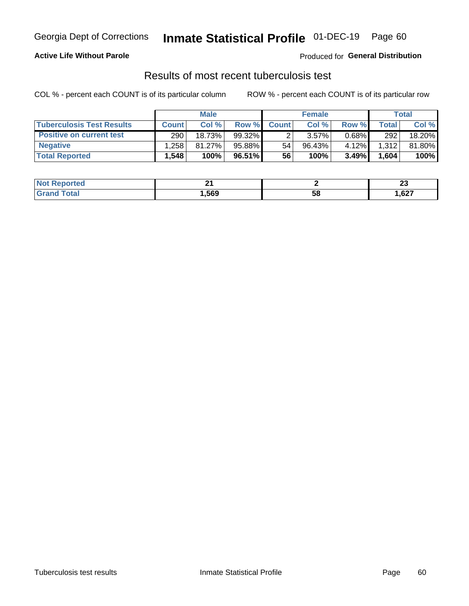## Georgia Dept of Corrections **Inmate Statistical Profile** 01-DEC-19 Page 60

#### **Active Life Without Parole**

Produced for **General Distribution**

## Results of most recent tuberculosis test

|                                  | <b>Male</b>  |           |           | <b>Female</b> |           |          | Total        |        |
|----------------------------------|--------------|-----------|-----------|---------------|-----------|----------|--------------|--------|
| <b>Tuberculosis Test Results</b> | <b>Count</b> | Col %     | Row %I    | <b>Count</b>  | Col %     | Row %    | <b>Total</b> | Col %  |
| Positive on current test         | 290          | 18.73%    | $99.32\%$ |               | $3.57\%$  | $0.68\%$ | 292          | 18.20% |
| <b>Negative</b>                  | .258         | $81.27\%$ | 95.88%    | 54            | $96.43\%$ | 4.12%    | 1,312        | 81.80% |
| <b>Total Reported</b>            | .548 ْ       | 100%      | 96.51% I  | 56            | 100%      | $3.49\%$ | 1,604        | 100%   |

| <b>Not Reported</b> | ົ<br>- - |    | e.<br>~ |
|---------------------|----------|----|---------|
| `otal               | ,569     | эŏ | 1,627   |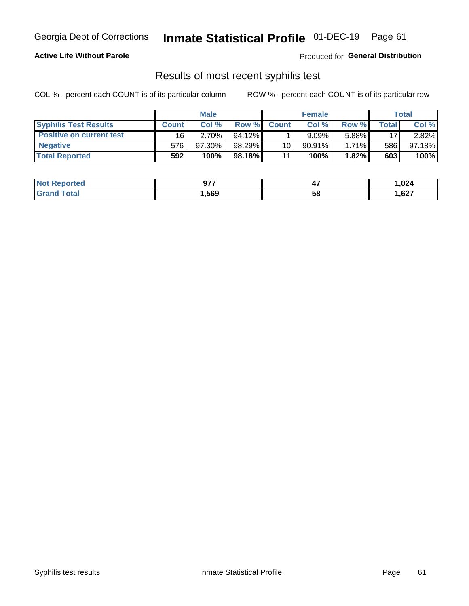## Georgia Dept of Corrections **Inmate Statistical Profile** 01-DEC-19 Page 61

#### **Active Life Without Parole**

Produced for **General Distribution**

### Results of most recent syphilis test

|                                 | <b>Male</b>  |           |           | <b>Female</b> |           |          | Total |        |
|---------------------------------|--------------|-----------|-----------|---------------|-----------|----------|-------|--------|
| <b>Syphilis Test Results</b>    | <b>Count</b> | Col%      | Row %     | <b>Count</b>  | Col %     | Row %I   | Total | Col %  |
| <b>Positive on current test</b> | 16           | $2.70\%$  | $94.12\%$ |               | 9.09%     | 5.88%    | 17    | 2.82%  |
| <b>Negative</b>                 | 576          | $97.30\%$ | 98.29%    | 10            | $90.91\%$ | $1.71\%$ | 586   | 97.18% |
| <b>Total Reported</b>           | 592          | 100%      | 98.18% I  | 11            | 100%      | 1.82%    | 603   | 100%   |

| <b>Not Reported</b> | ヘフフ<br>J I I | <br>TI. | 1,024 |
|---------------------|--------------|---------|-------|
| Total               | ,569         | 58      | ,627  |